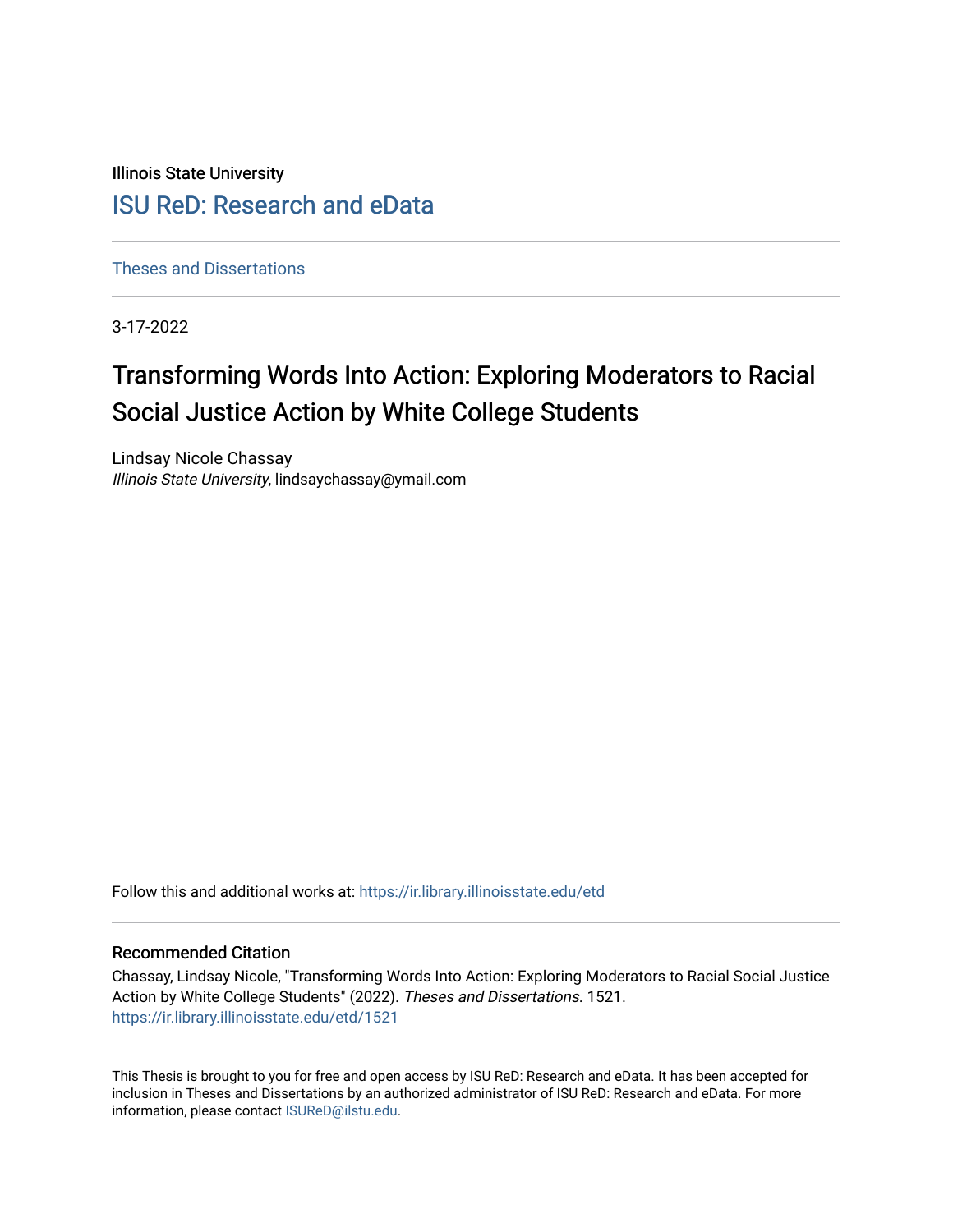Illinois State University

# [ISU ReD: Research and eData](https://ir.library.illinoisstate.edu/)

[Theses and Dissertations](https://ir.library.illinoisstate.edu/etd)

3-17-2022

# Transforming Words Into Action: Exploring Moderators to Racial Social Justice Action by White College Students

Lindsay Nicole Chassay Illinois State University, lindsaychassay@ymail.com

Follow this and additional works at: [https://ir.library.illinoisstate.edu/etd](https://ir.library.illinoisstate.edu/etd?utm_source=ir.library.illinoisstate.edu%2Fetd%2F1521&utm_medium=PDF&utm_campaign=PDFCoverPages) 

## Recommended Citation

Chassay, Lindsay Nicole, "Transforming Words Into Action: Exploring Moderators to Racial Social Justice Action by White College Students" (2022). Theses and Dissertations. 1521. [https://ir.library.illinoisstate.edu/etd/1521](https://ir.library.illinoisstate.edu/etd/1521?utm_source=ir.library.illinoisstate.edu%2Fetd%2F1521&utm_medium=PDF&utm_campaign=PDFCoverPages) 

This Thesis is brought to you for free and open access by ISU ReD: Research and eData. It has been accepted for inclusion in Theses and Dissertations by an authorized administrator of ISU ReD: Research and eData. For more information, please contact [ISUReD@ilstu.edu.](mailto:ISUReD@ilstu.edu)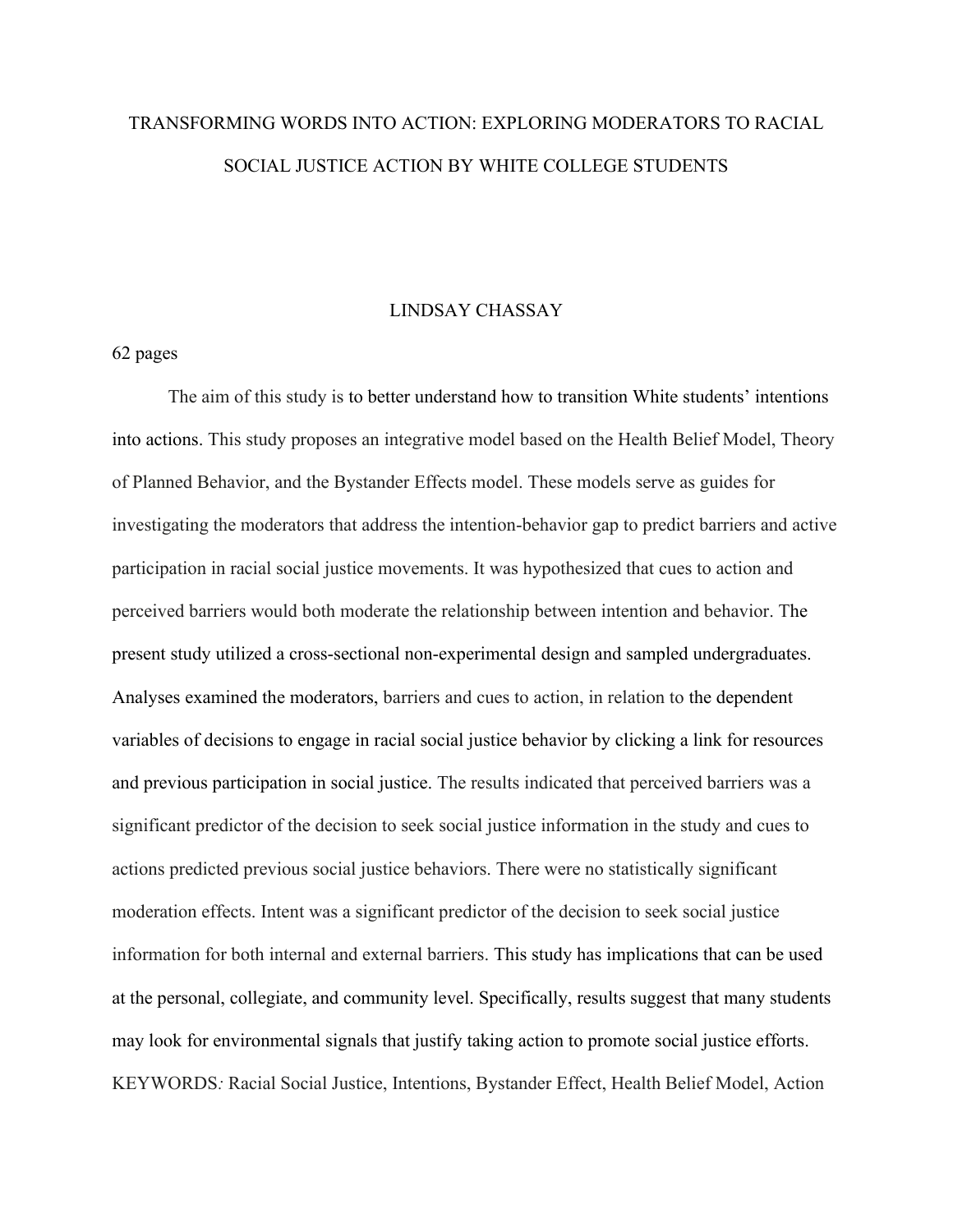# TRANSFORMING WORDS INTO ACTION: EXPLORING MODERATORS TO RACIAL SOCIAL JUSTICE ACTION BY WHITE COLLEGE STUDENTS

## LINDSAY CHASSAY

## 62 pages

The aim of this study is to better understand how to transition White students' intentions into actions. This study proposes an integrative model based on the Health Belief Model, Theory of Planned Behavior, and the Bystander Effects model. These models serve as guides for investigating the moderators that address the intention-behavior gap to predict barriers and active participation in racial social justice movements. It was hypothesized that cues to action and perceived barriers would both moderate the relationship between intention and behavior. The present study utilized a cross-sectional non-experimental design and sampled undergraduates. Analyses examined the moderators, barriers and cues to action, in relation to the dependent variables of decisions to engage in racial social justice behavior by clicking a link for resources and previous participation in social justice. The results indicated that perceived barriers was a significant predictor of the decision to seek social justice information in the study and cues to actions predicted previous social justice behaviors. There were no statistically significant moderation effects. Intent was a significant predictor of the decision to seek social justice information for both internal and external barriers. This study has implications that can be used at the personal, collegiate, and community level. Specifically, results suggest that many students may look for environmental signals that justify taking action to promote social justice efforts. KEYWORDS*:* Racial Social Justice, Intentions, Bystander Effect, Health Belief Model, Action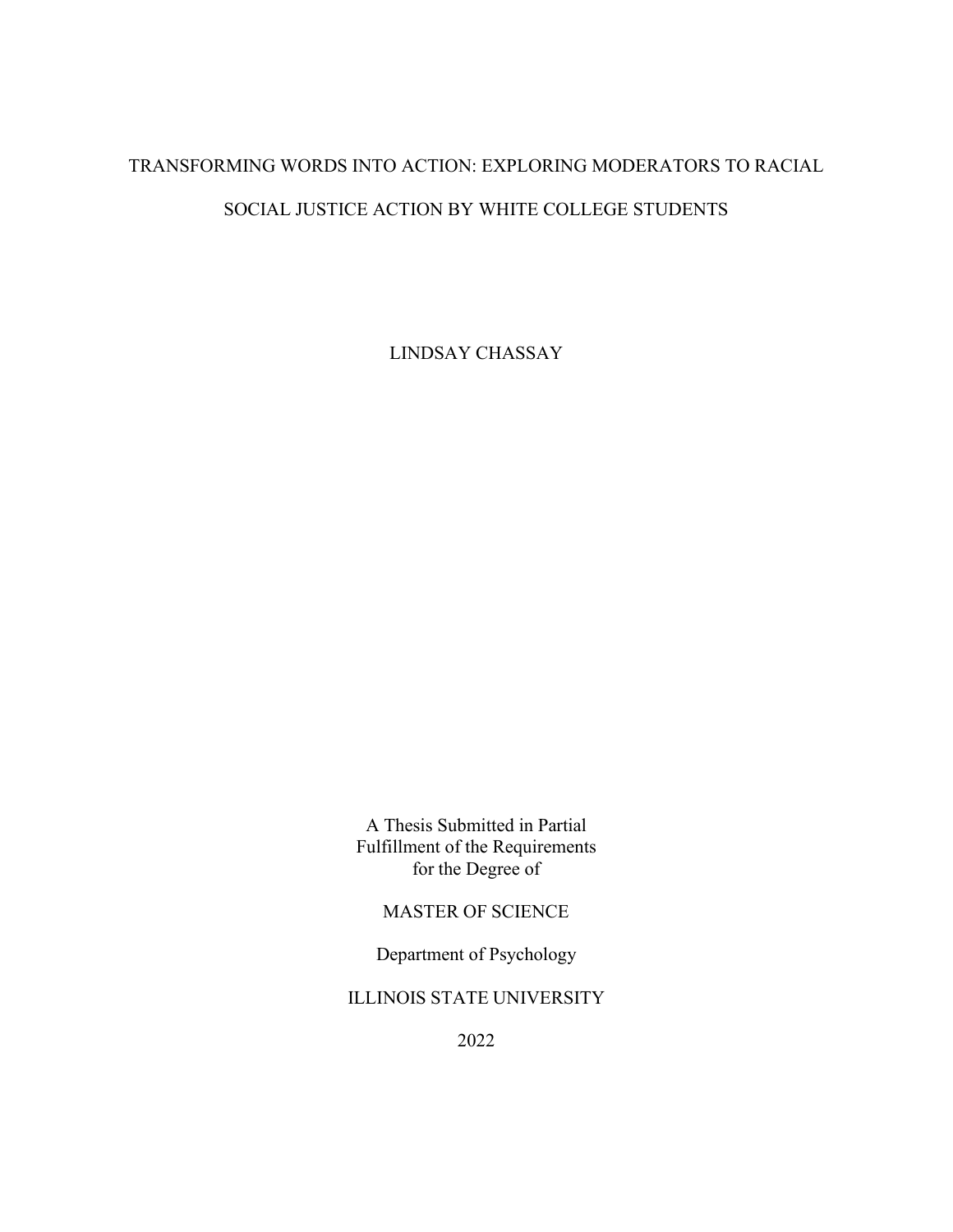# TRANSFORMING WORDS INTO ACTION: EXPLORING MODERATORS TO RACIAL SOCIAL JUSTICE ACTION BY WHITE COLLEGE STUDENTS

LINDSAY CHASSAY

A Thesis Submitted in Partial Fulfillment of the Requirements for the Degree of

MASTER OF SCIENCE

Department of Psychology

ILLINOIS STATE UNIVERSITY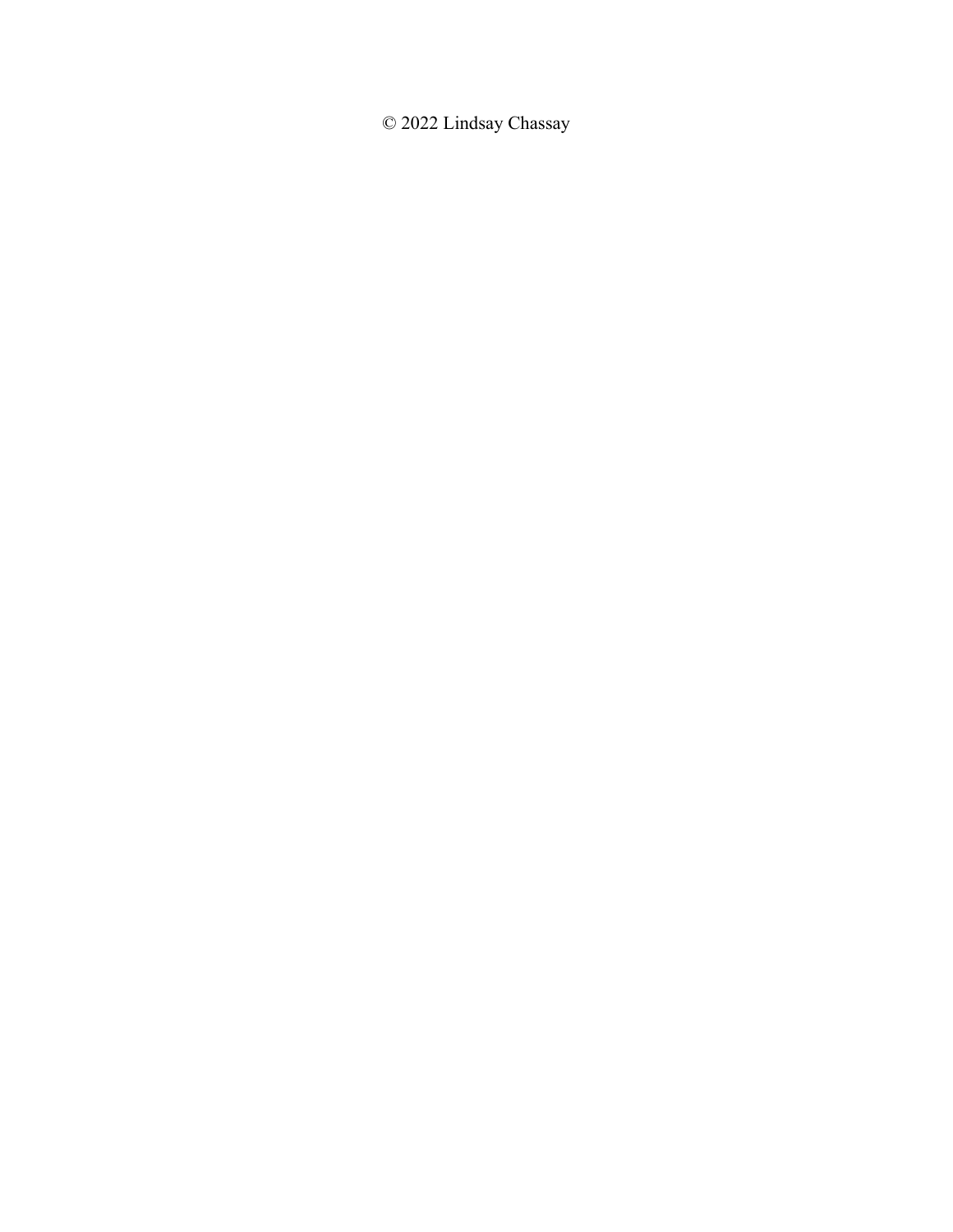© 2022 Lindsay Chassay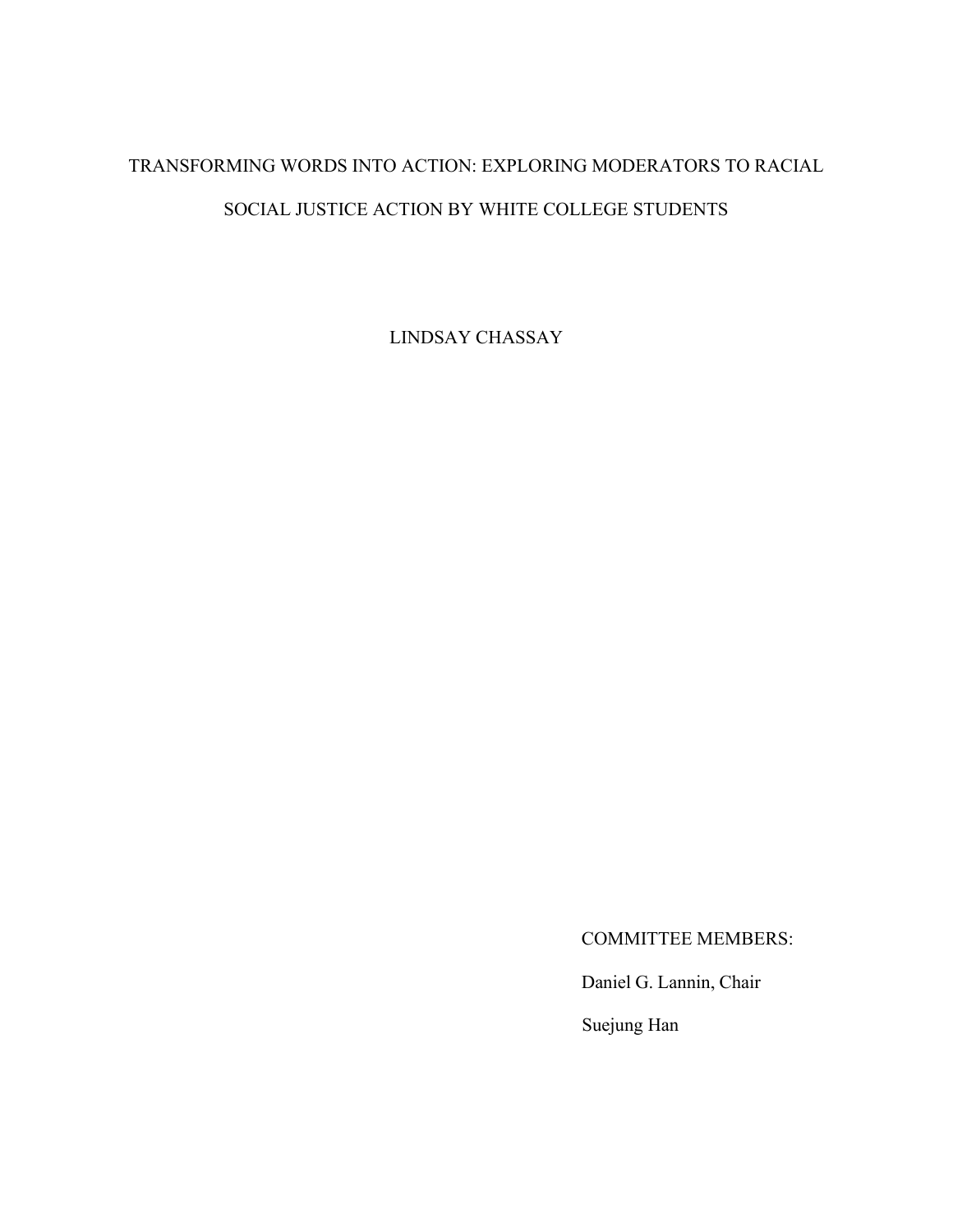# TRANSFORMING WORDS INTO ACTION: EXPLORING MODERATORS TO RACIAL SOCIAL JUSTICE ACTION BY WHITE COLLEGE STUDENTS

LINDSAY CHASSAY

COMMITTEE MEMBERS:

Daniel G. Lannin, Chair

Suejung Han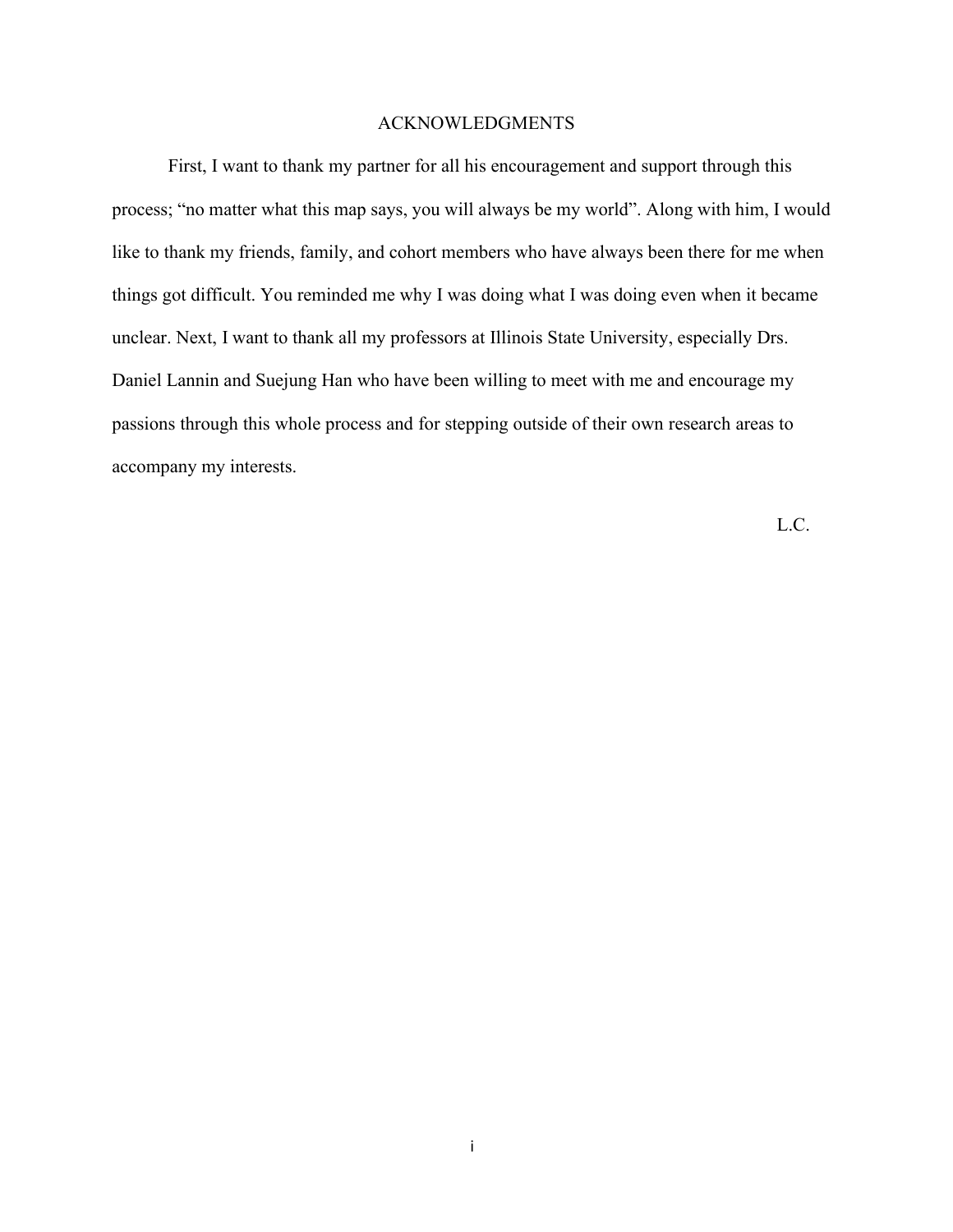## ACKNOWLEDGMENTS

First, I want to thank my partner for all his encouragement and support through this process; "no matter what this map says, you will always be my world". Along with him, I would like to thank my friends, family, and cohort members who have always been there for me when things got difficult. You reminded me why I was doing what I was doing even when it became unclear. Next, I want to thank all my professors at Illinois State University, especially Drs. Daniel Lannin and Suejung Han who have been willing to meet with me and encourage my passions through this whole process and for stepping outside of their own research areas to accompany my interests.

L.C.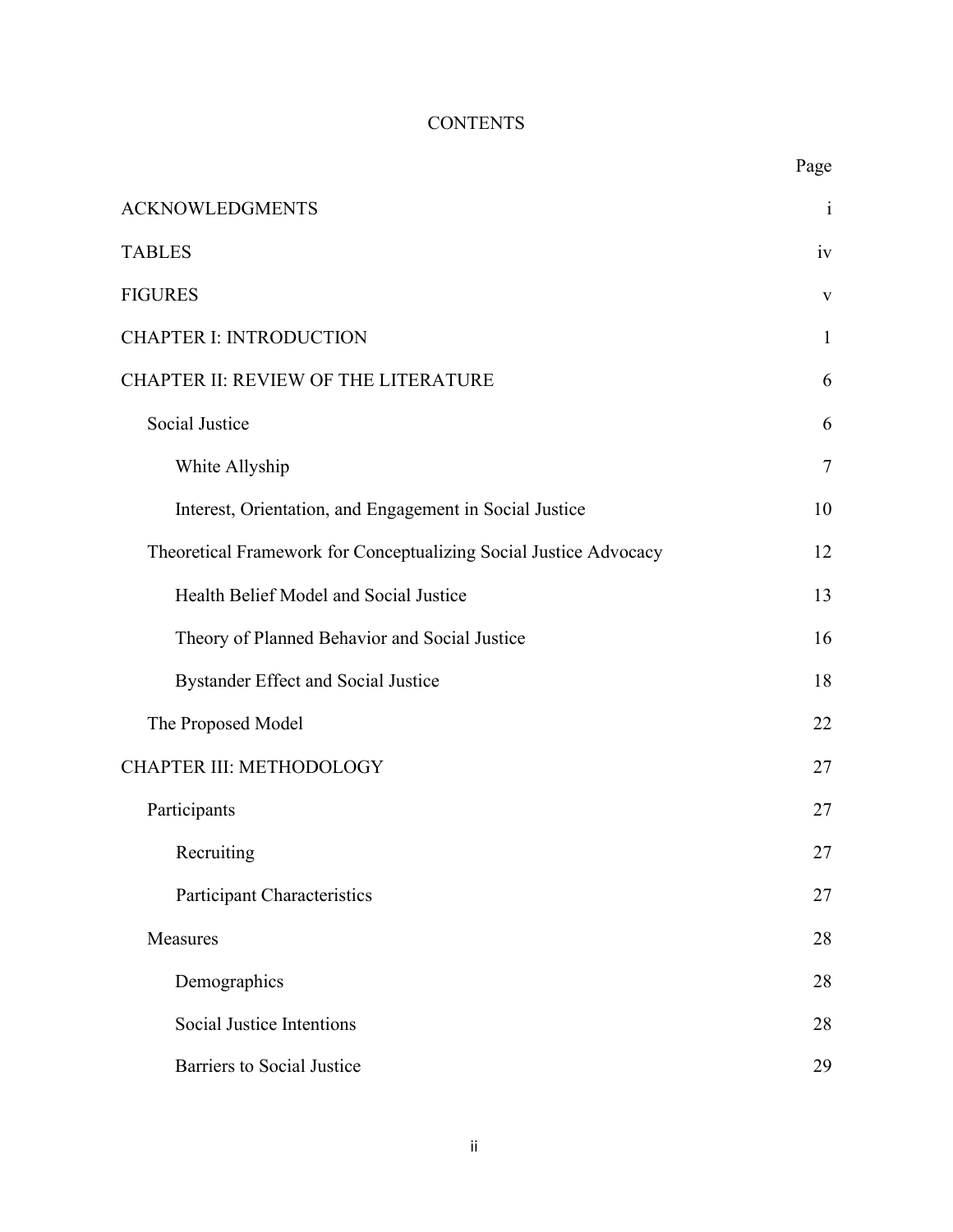# **CONTENTS**

|                                                                   | Page         |
|-------------------------------------------------------------------|--------------|
| <b>ACKNOWLEDGMENTS</b>                                            | $\mathbf{i}$ |
| <b>TABLES</b>                                                     | iv           |
| <b>FIGURES</b>                                                    | V            |
| <b>CHAPTER I: INTRODUCTION</b>                                    | $\mathbf{1}$ |
| CHAPTER II: REVIEW OF THE LITERATURE                              | 6            |
| <b>Social Justice</b>                                             | 6            |
| White Allyship                                                    | $\tau$       |
| Interest, Orientation, and Engagement in Social Justice           | 10           |
| Theoretical Framework for Conceptualizing Social Justice Advocacy | 12           |
| Health Belief Model and Social Justice                            | 13           |
| Theory of Planned Behavior and Social Justice                     | 16           |
| Bystander Effect and Social Justice                               | 18           |
| The Proposed Model                                                | 22           |
| CHAPTER III: METHODOLOGY                                          | 27           |
| Participants                                                      | 27           |
| Recruiting                                                        | 27           |
| <b>Participant Characteristics</b>                                | 27           |
| Measures                                                          | 28           |
| Demographics                                                      | 28           |
| Social Justice Intentions                                         | 28           |
| <b>Barriers to Social Justice</b>                                 | 29           |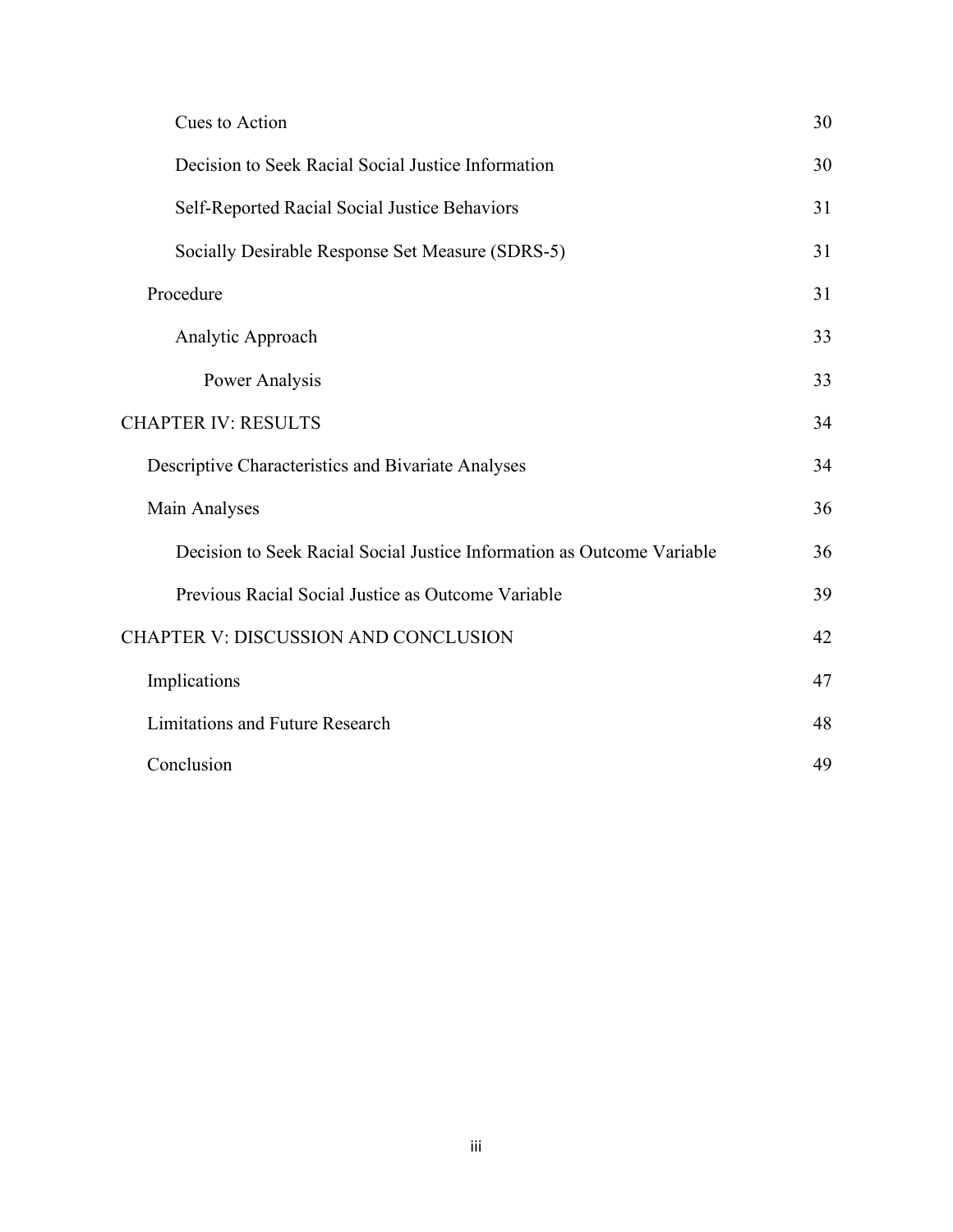| Cues to Action                                                         | 30 |
|------------------------------------------------------------------------|----|
| Decision to Seek Racial Social Justice Information                     | 30 |
| Self-Reported Racial Social Justice Behaviors                          | 31 |
| Socially Desirable Response Set Measure (SDRS-5)                       | 31 |
| Procedure                                                              | 31 |
| Analytic Approach                                                      | 33 |
| Power Analysis                                                         | 33 |
| <b>CHAPTER IV: RESULTS</b>                                             | 34 |
| Descriptive Characteristics and Bivariate Analyses                     | 34 |
| Main Analyses                                                          | 36 |
| Decision to Seek Racial Social Justice Information as Outcome Variable | 36 |
| Previous Racial Social Justice as Outcome Variable                     | 39 |
| CHAPTER V: DISCUSSION AND CONCLUSION                                   | 42 |
| Implications                                                           | 47 |
| <b>Limitations and Future Research</b>                                 | 48 |
| Conclusion                                                             | 49 |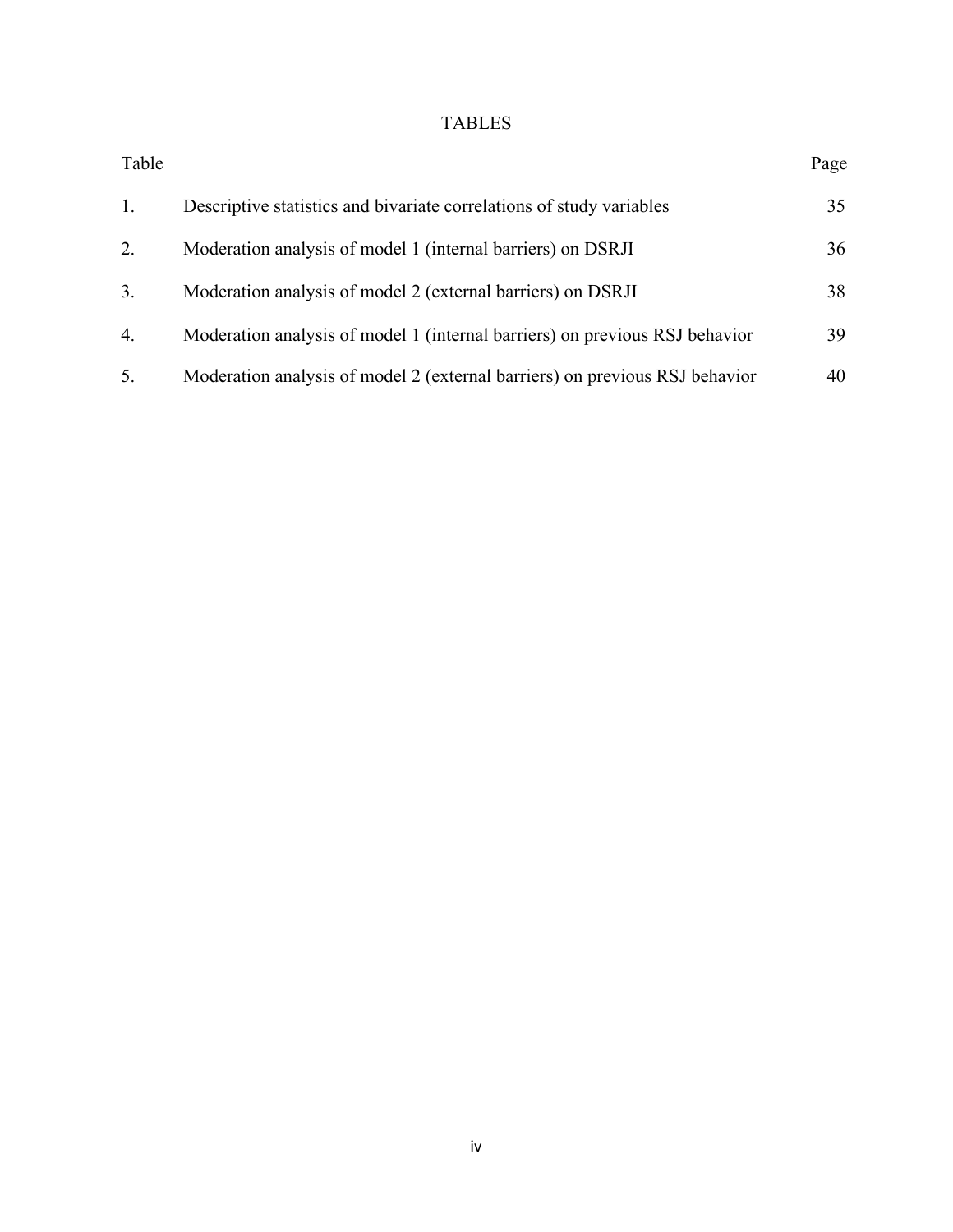# TABLES

| Table |                                                                             | Page |
|-------|-----------------------------------------------------------------------------|------|
| 1.    | Descriptive statistics and bivariate correlations of study variables        | 35   |
| 2.    | Moderation analysis of model 1 (internal barriers) on DSRJI                 | 36   |
| 3.    | Moderation analysis of model 2 (external barriers) on DSRJI                 | 38   |
| 4.    | Moderation analysis of model 1 (internal barriers) on previous RSJ behavior | 39   |
| 5.    | Moderation analysis of model 2 (external barriers) on previous RSJ behavior | 40   |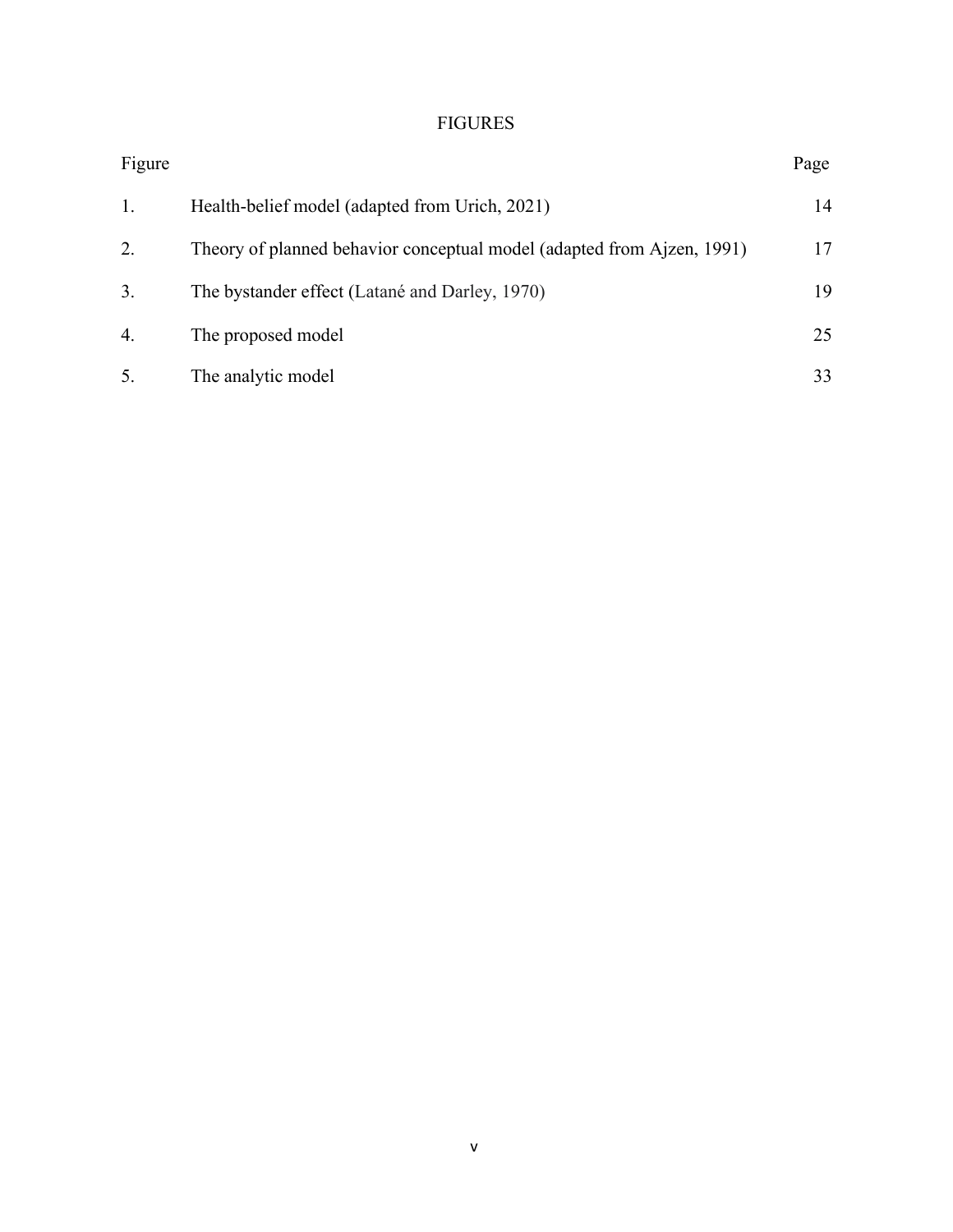# FIGURES

| Figure |                                                                        | Page |
|--------|------------------------------------------------------------------------|------|
| 1.     | Health-belief model (adapted from Urich, 2021)                         | 14   |
| 2.     | Theory of planned behavior conceptual model (adapted from Ajzen, 1991) | 17   |
| 3.     | The bystander effect (Latané and Darley, 1970)                         | 19   |
| 4.     | The proposed model                                                     | 25   |
| 5.     | The analytic model                                                     | 33   |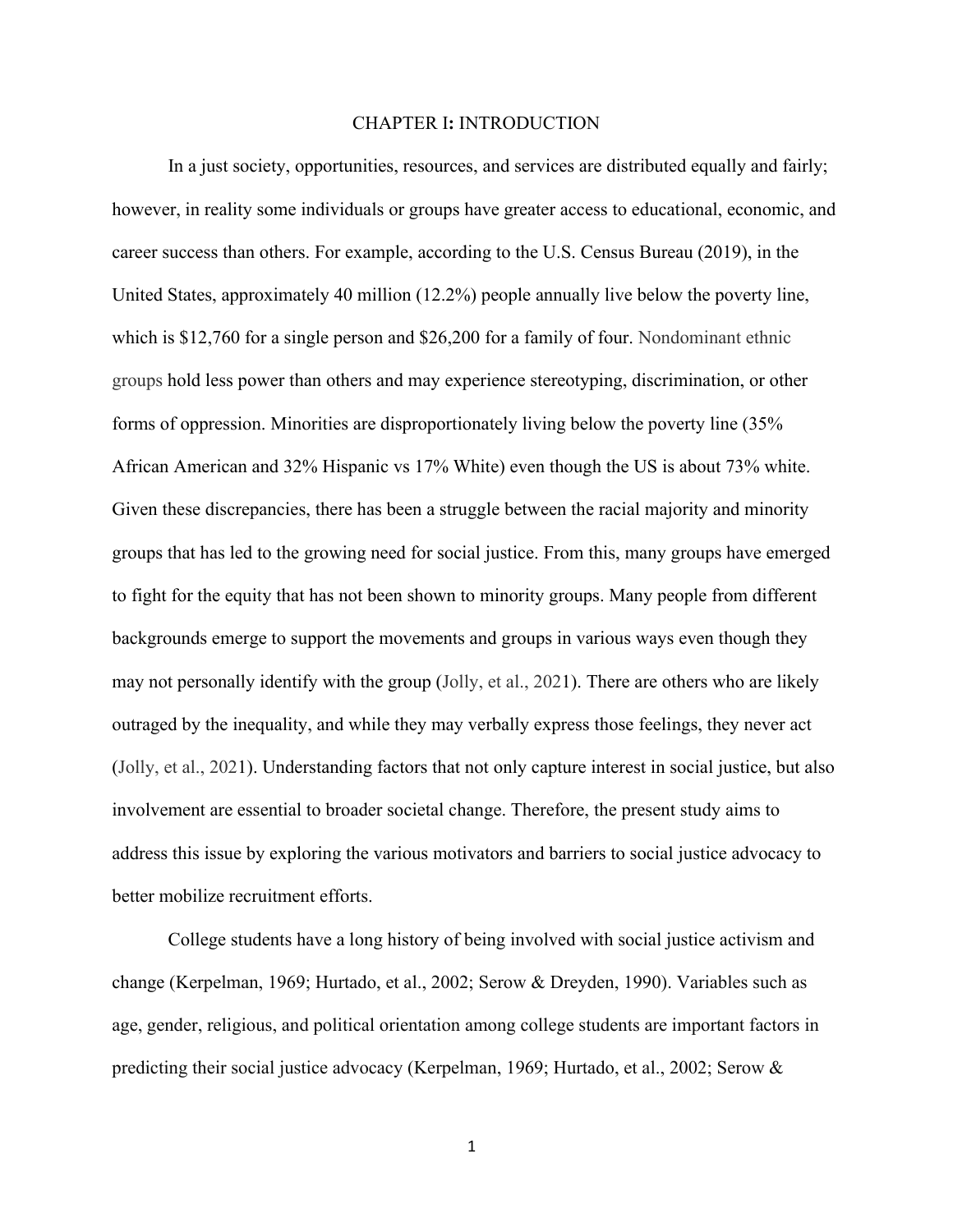#### CHAPTER I**:** INTRODUCTION

In a just society, opportunities, resources, and services are distributed equally and fairly; however, in reality some individuals or groups have greater access to educational, economic, and career success than others. For example, according to the U.S. Census Bureau (2019), in the United States, approximately 40 million (12.2%) people annually live below the poverty line, which is \$12,760 for a single person and \$26,200 for a family of four. Nondominant ethnic groups hold less power than others and may experience stereotyping, discrimination, or other forms of oppression. Minorities are disproportionately living below the poverty line (35% African American and 32% Hispanic vs 17% White) even though the US is about 73% white. Given these discrepancies, there has been a struggle between the racial majority and minority groups that has led to the growing need for social justice. From this, many groups have emerged to fight for the equity that has not been shown to minority groups. Many people from different backgrounds emerge to support the movements and groups in various ways even though they may not personally identify with the group (Jolly, et al., 2021). There are others who are likely outraged by the inequality, and while they may verbally express those feelings, they never act (Jolly, et al., 2021). Understanding factors that not only capture interest in social justice, but also involvement are essential to broader societal change. Therefore, the present study aims to address this issue by exploring the various motivators and barriers to social justice advocacy to better mobilize recruitment efforts.

College students have a long history of being involved with social justice activism and change (Kerpelman, 1969; Hurtado, et al., 2002; Serow & Dreyden, 1990). Variables such as age, gender, religious, and political orientation among college students are important factors in predicting their social justice advocacy (Kerpelman, 1969; Hurtado, et al., 2002; Serow &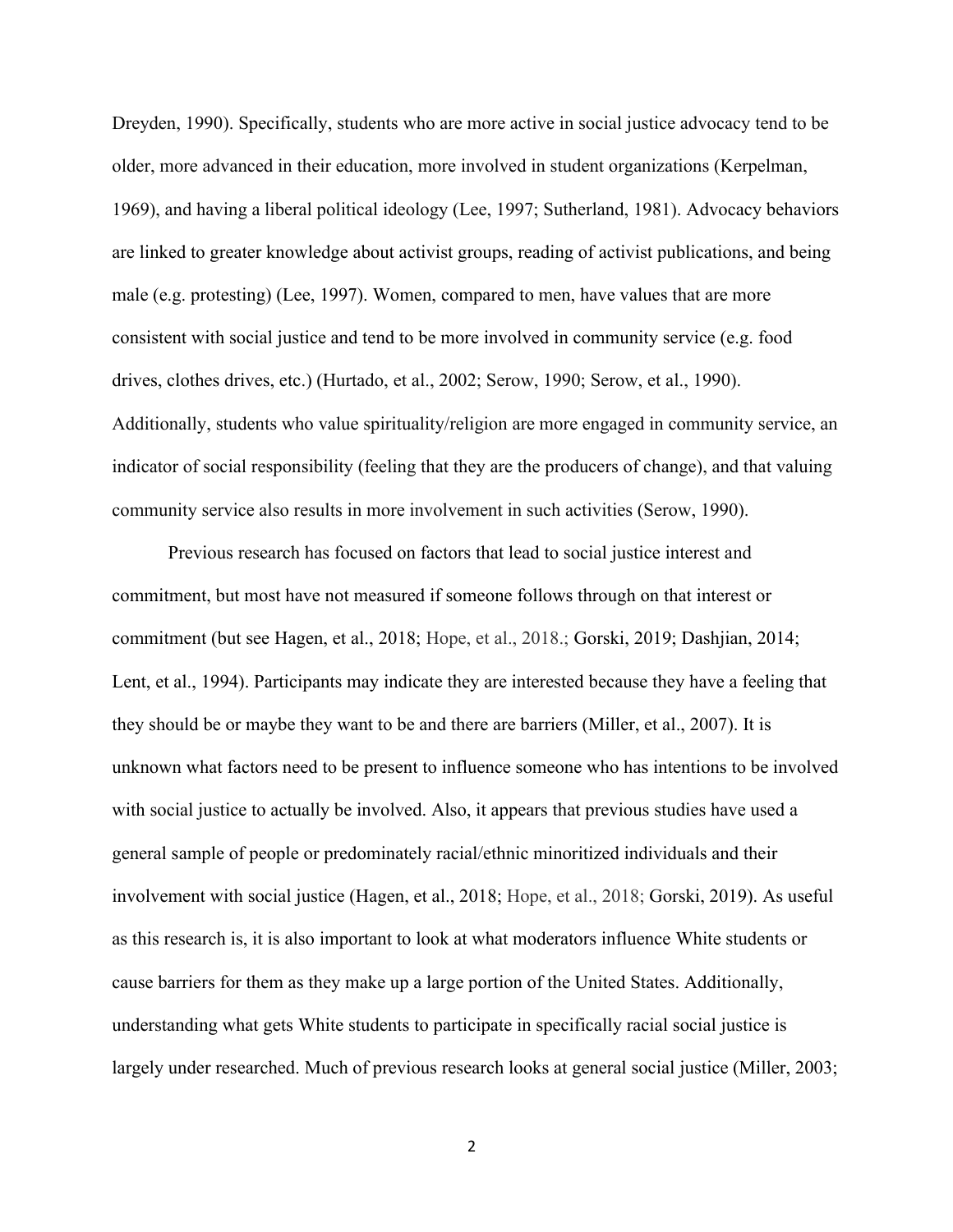Dreyden, 1990). Specifically, students who are more active in social justice advocacy tend to be older, more advanced in their education, more involved in student organizations (Kerpelman, 1969), and having a liberal political ideology (Lee, 1997; Sutherland, 1981). Advocacy behaviors are linked to greater knowledge about activist groups, reading of activist publications, and being male (e.g. protesting) (Lee, 1997). Women, compared to men, have values that are more consistent with social justice and tend to be more involved in community service (e.g. food drives, clothes drives, etc.) (Hurtado, et al., 2002; Serow, 1990; Serow, et al., 1990). Additionally, students who value spirituality/religion are more engaged in community service, an indicator of social responsibility (feeling that they are the producers of change), and that valuing community service also results in more involvement in such activities (Serow, 1990).

Previous research has focused on factors that lead to social justice interest and commitment, but most have not measured if someone follows through on that interest or commitment (but see Hagen, et al., 2018; Hope, et al., 2018.; Gorski, 2019; Dashjian, 2014; Lent, et al., 1994). Participants may indicate they are interested because they have a feeling that they should be or maybe they want to be and there are barriers (Miller, et al., 2007). It is unknown what factors need to be present to influence someone who has intentions to be involved with social justice to actually be involved. Also, it appears that previous studies have used a general sample of people or predominately racial/ethnic minoritized individuals and their involvement with social justice (Hagen, et al., 2018; Hope, et al., 2018; Gorski, 2019). As useful as this research is, it is also important to look at what moderators influence White students or cause barriers for them as they make up a large portion of the United States. Additionally, understanding what gets White students to participate in specifically racial social justice is largely under researched. Much of previous research looks at general social justice (Miller, 2003;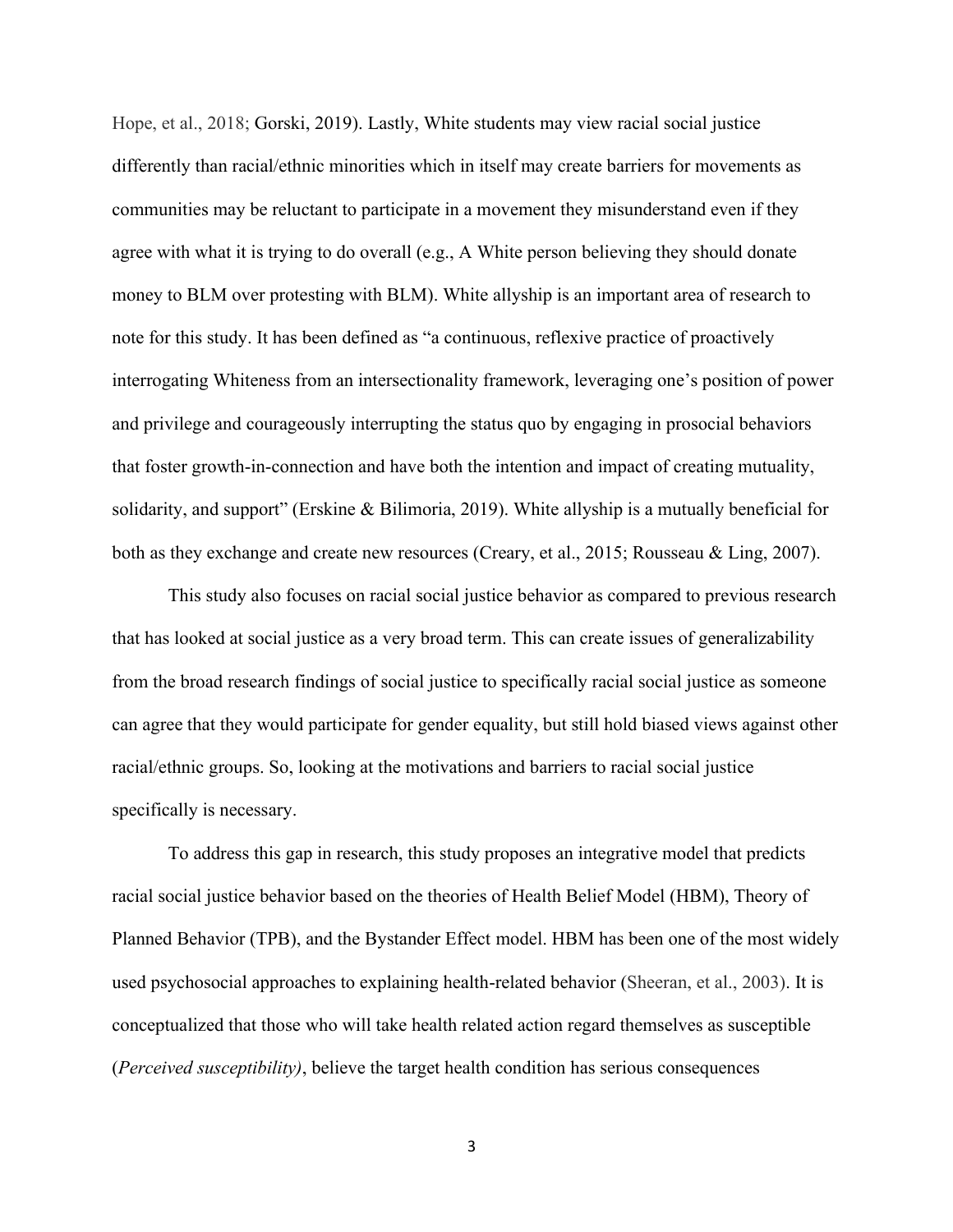Hope, et al., 2018; Gorski, 2019). Lastly, White students may view racial social justice differently than racial/ethnic minorities which in itself may create barriers for movements as communities may be reluctant to participate in a movement they misunderstand even if they agree with what it is trying to do overall (e.g., A White person believing they should donate money to BLM over protesting with BLM). White allyship is an important area of research to note for this study. It has been defined as "a continuous, reflexive practice of proactively interrogating Whiteness from an intersectionality framework, leveraging one's position of power and privilege and courageously interrupting the status quo by engaging in prosocial behaviors that foster growth-in-connection and have both the intention and impact of creating mutuality, solidarity, and support" (Erskine & Bilimoria, 2019). White allyship is a mutually beneficial for both as they exchange and create new resources (Creary, et al., 2015; Rousseau & Ling, 2007).

This study also focuses on racial social justice behavior as compared to previous research that has looked at social justice as a very broad term. This can create issues of generalizability from the broad research findings of social justice to specifically racial social justice as someone can agree that they would participate for gender equality, but still hold biased views against other racial/ethnic groups. So, looking at the motivations and barriers to racial social justice specifically is necessary.

To address this gap in research, this study proposes an integrative model that predicts racial social justice behavior based on the theories of Health Belief Model (HBM), Theory of Planned Behavior (TPB), and the Bystander Effect model. HBM has been one of the most widely used psychosocial approaches to explaining health-related behavior (Sheeran, et al., 2003). It is conceptualized that those who will take health related action regard themselves as susceptible (*Perceived susceptibility)*, believe the target health condition has serious consequences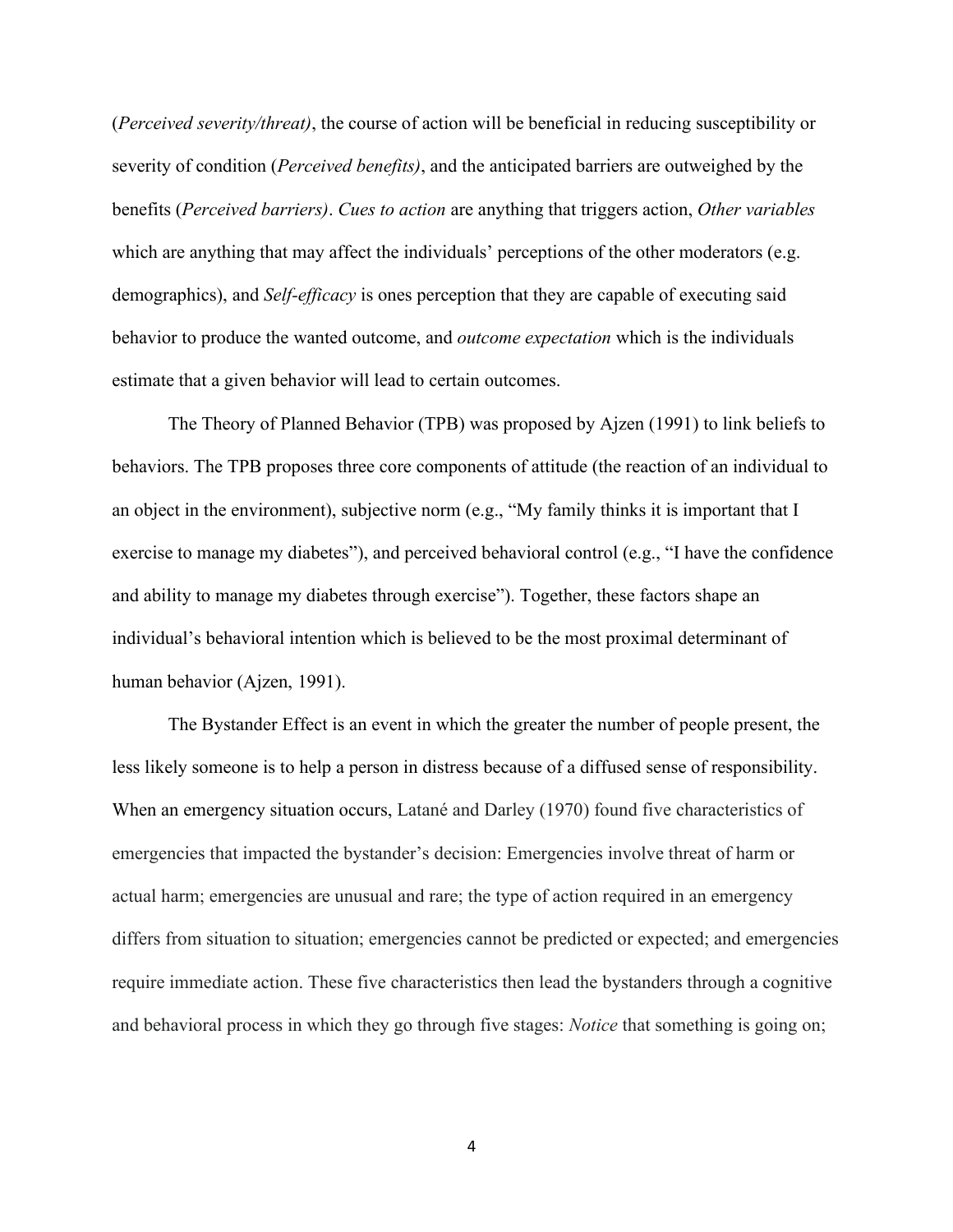(*Perceived severity/threat)*, the course of action will be beneficial in reducing susceptibility or severity of condition (*Perceived benefits)*, and the anticipated barriers are outweighed by the benefits (*Perceived barriers)*. *Cues to action* are anything that triggers action, *Other variables*  which are anything that may affect the individuals' perceptions of the other moderators (e.g. demographics), and *Self-efficacy* is ones perception that they are capable of executing said behavior to produce the wanted outcome, and *outcome expectation* which is the individuals estimate that a given behavior will lead to certain outcomes.

The Theory of Planned Behavior (TPB) was proposed by Ajzen (1991) to link beliefs to behaviors. The TPB proposes three core components of attitude (the reaction of an individual to an object in the environment), subjective norm (e.g., "My family thinks it is important that I exercise to manage my diabetes"), and perceived behavioral control (e.g., "I have the confidence and ability to manage my diabetes through exercise"). Together, these factors shape an individual's behavioral intention which is believed to be the most proximal determinant of human behavior (Ajzen, 1991).

The Bystander Effect is an event in which the greater the number of people present, the less likely someone is to help a person in distress because of a diffused sense of responsibility. When an emergency situation occurs, Latané and Darley (1970) found five characteristics of emergencies that impacted the bystander's decision: Emergencies involve threat of harm or actual harm; emergencies are unusual and rare; the type of action required in an emergency differs from situation to situation; emergencies cannot be predicted or expected; and emergencies require immediate action. These five characteristics then lead the bystanders through a cognitive and behavioral process in which they go through five stages: *Notice* that something is going on;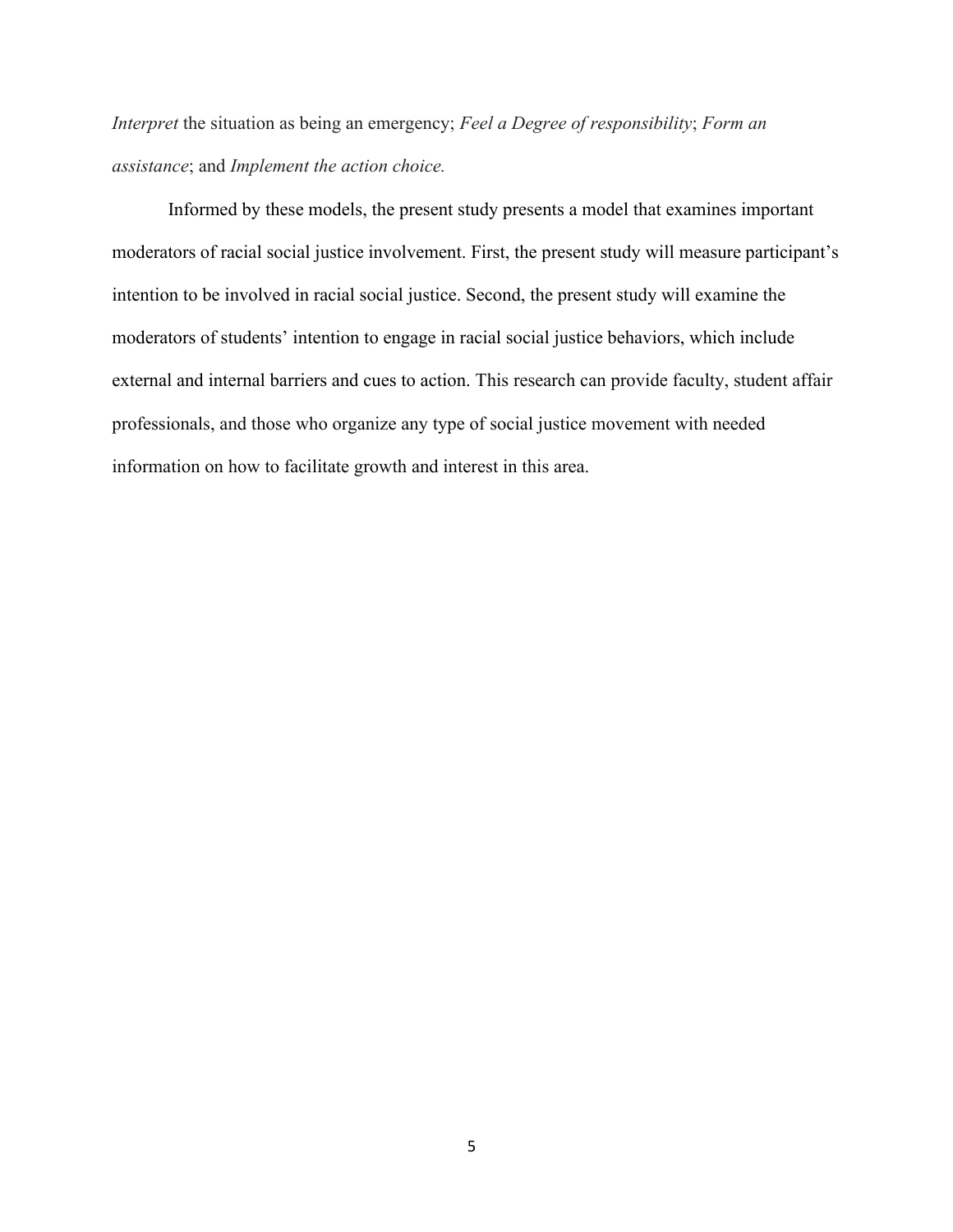*Interpret* the situation as being an emergency; *Feel a Degree of responsibility*; *Form an assistance*; and *Implement the action choice.*

Informed by these models, the present study presents a model that examines important moderators of racial social justice involvement. First, the present study will measure participant's intention to be involved in racial social justice. Second, the present study will examine the moderators of students' intention to engage in racial social justice behaviors, which include external and internal barriers and cues to action. This research can provide faculty, student affair professionals, and those who organize any type of social justice movement with needed information on how to facilitate growth and interest in this area.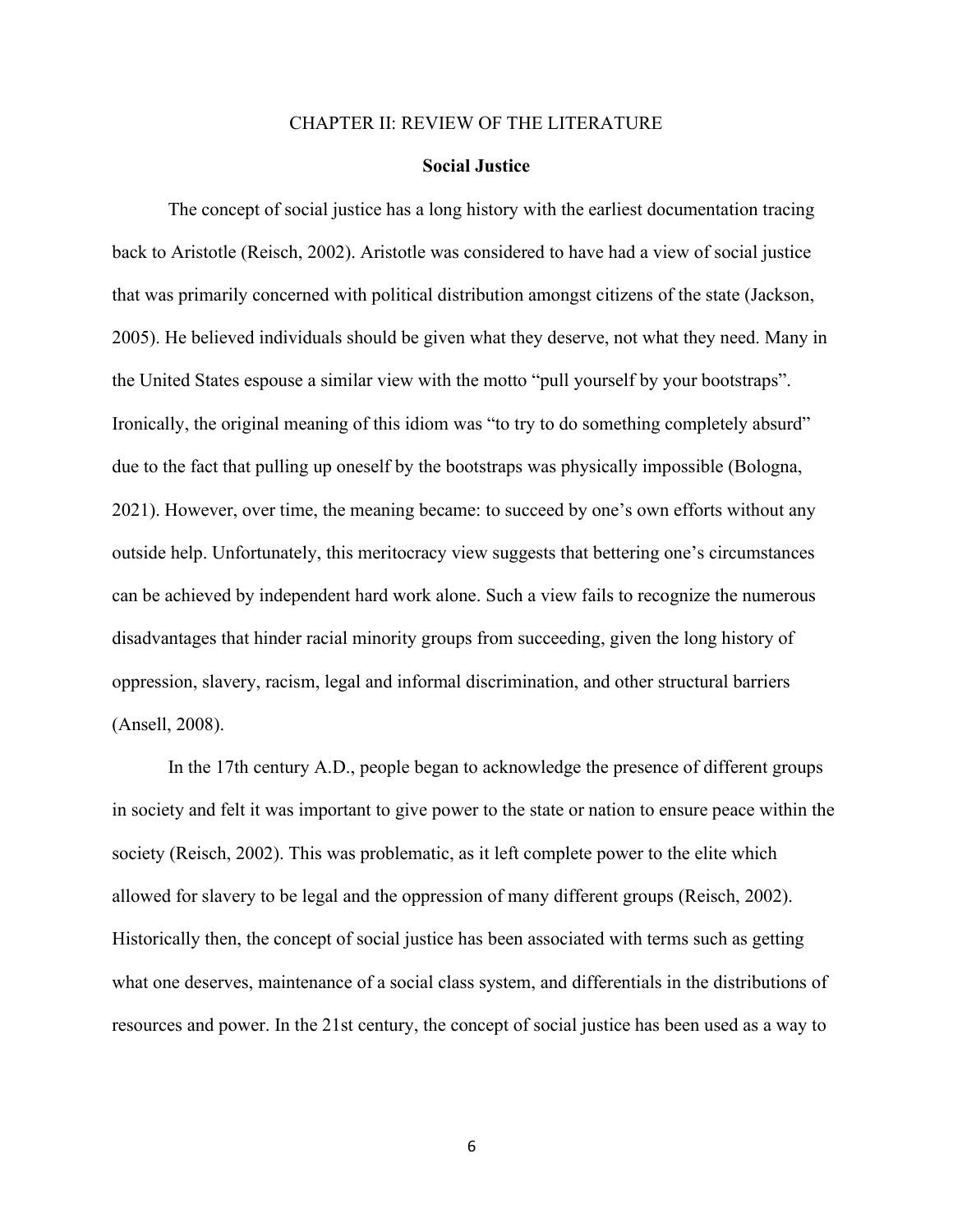#### CHAPTER II: REVIEW OF THE LITERATURE

#### **Social Justice**

The concept of social justice has a long history with the earliest documentation tracing back to Aristotle (Reisch, 2002). Aristotle was considered to have had a view of social justice that was primarily concerned with political distribution amongst citizens of the state (Jackson, 2005). He believed individuals should be given what they deserve, not what they need. Many in the United States espouse a similar view with the motto "pull yourself by your bootstraps". Ironically, the original meaning of this idiom was "to try to do something completely absurd" due to the fact that pulling up oneself by the bootstraps was physically impossible (Bologna, 2021). However, over time, the meaning became: to succeed by one's own efforts without any outside help. Unfortunately, this meritocracy view suggests that bettering one's circumstances can be achieved by independent hard work alone. Such a view fails to recognize the numerous disadvantages that hinder racial minority groups from succeeding, given the long history of oppression, slavery, racism, legal and informal discrimination, and other structural barriers (Ansell, 2008).

In the 17th century A.D., people began to acknowledge the presence of different groups in society and felt it was important to give power to the state or nation to ensure peace within the society (Reisch, 2002). This was problematic, as it left complete power to the elite which allowed for slavery to be legal and the oppression of many different groups (Reisch, 2002). Historically then, the concept of social justice has been associated with terms such as getting what one deserves, maintenance of a social class system, and differentials in the distributions of resources and power. In the 21st century, the concept of social justice has been used as a way to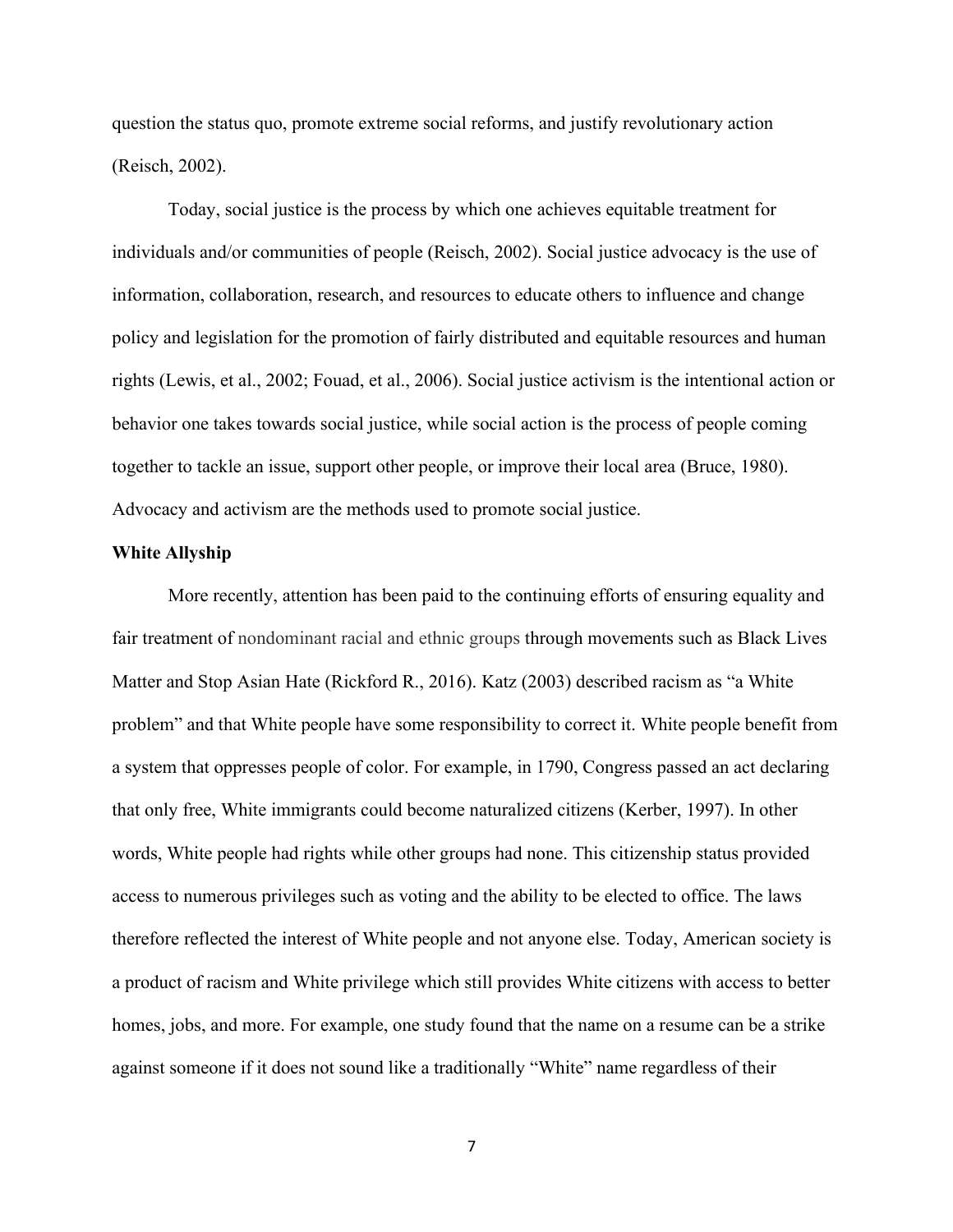question the status quo, promote extreme social reforms, and justify revolutionary action (Reisch, 2002).

Today, social justice is the process by which one achieves equitable treatment for individuals and/or communities of people (Reisch, 2002). Social justice advocacy is the use of information, collaboration, research, and resources to educate others to influence and change policy and legislation for the promotion of fairly distributed and equitable resources and human rights (Lewis, et al., 2002; Fouad, et al., 2006). Social justice activism is the intentional action or behavior one takes towards social justice, while social action is the process of people coming together to tackle an issue, support other people, or improve their local area (Bruce, 1980). Advocacy and activism are the methods used to promote social justice.

#### **White Allyship**

More recently, attention has been paid to the continuing efforts of ensuring equality and fair treatment of nondominant racial and ethnic groups through movements such as Black Lives Matter and Stop Asian Hate (Rickford R., 2016). Katz (2003) described racism as "a White problem" and that White people have some responsibility to correct it. White people benefit from a system that oppresses people of color. For example, in 1790, Congress passed an act declaring that only free, White immigrants could become naturalized citizens (Kerber, 1997). In other words, White people had rights while other groups had none. This citizenship status provided access to numerous privileges such as voting and the ability to be elected to office. The laws therefore reflected the interest of White people and not anyone else. Today, American society is a product of racism and White privilege which still provides White citizens with access to better homes, jobs, and more. For example, one study found that the name on a resume can be a strike against someone if it does not sound like a traditionally "White" name regardless of their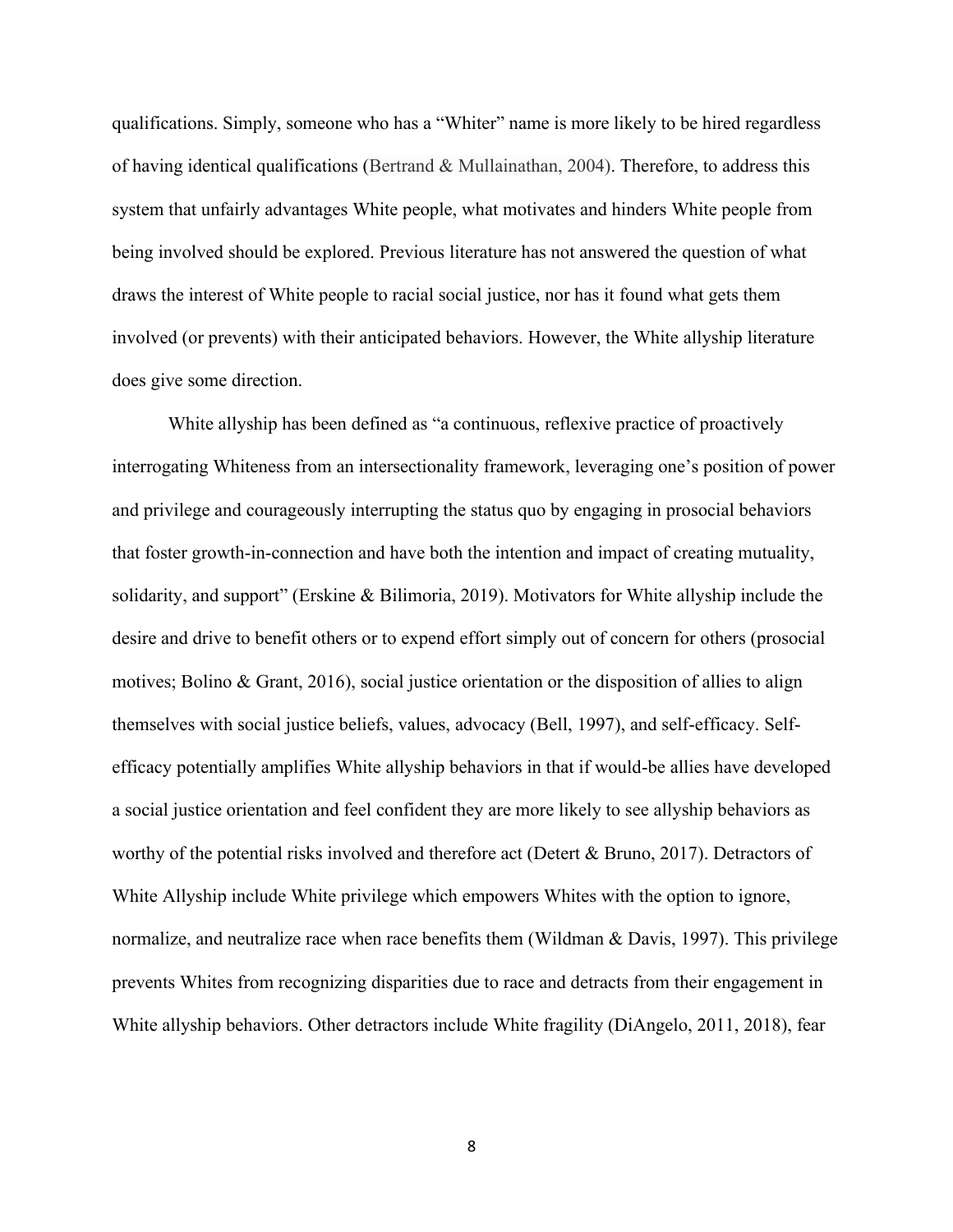qualifications. Simply, someone who has a "Whiter" name is more likely to be hired regardless of having identical qualifications (Bertrand & Mullainathan, 2004). Therefore, to address this system that unfairly advantages White people, what motivates and hinders White people from being involved should be explored. Previous literature has not answered the question of what draws the interest of White people to racial social justice, nor has it found what gets them involved (or prevents) with their anticipated behaviors. However, the White allyship literature does give some direction.

White allyship has been defined as "a continuous, reflexive practice of proactively interrogating Whiteness from an intersectionality framework, leveraging one's position of power and privilege and courageously interrupting the status quo by engaging in prosocial behaviors that foster growth-in-connection and have both the intention and impact of creating mutuality, solidarity, and support" (Erskine & Bilimoria, 2019). Motivators for White allyship include the desire and drive to benefit others or to expend effort simply out of concern for others (prosocial motives; Bolino & Grant, 2016), social justice orientation or the disposition of allies to align themselves with social justice beliefs, values, advocacy (Bell, 1997), and self-efficacy. Selfefficacy potentially amplifies White allyship behaviors in that if would-be allies have developed a social justice orientation and feel confident they are more likely to see allyship behaviors as worthy of the potential risks involved and therefore act (Detert & Bruno, 2017). Detractors of White Allyship include White privilege which empowers Whites with the option to ignore, normalize, and neutralize race when race benefits them (Wildman & Davis, 1997). This privilege prevents Whites from recognizing disparities due to race and detracts from their engagement in White allyship behaviors. Other detractors include White fragility (DiAngelo, 2011, 2018), fear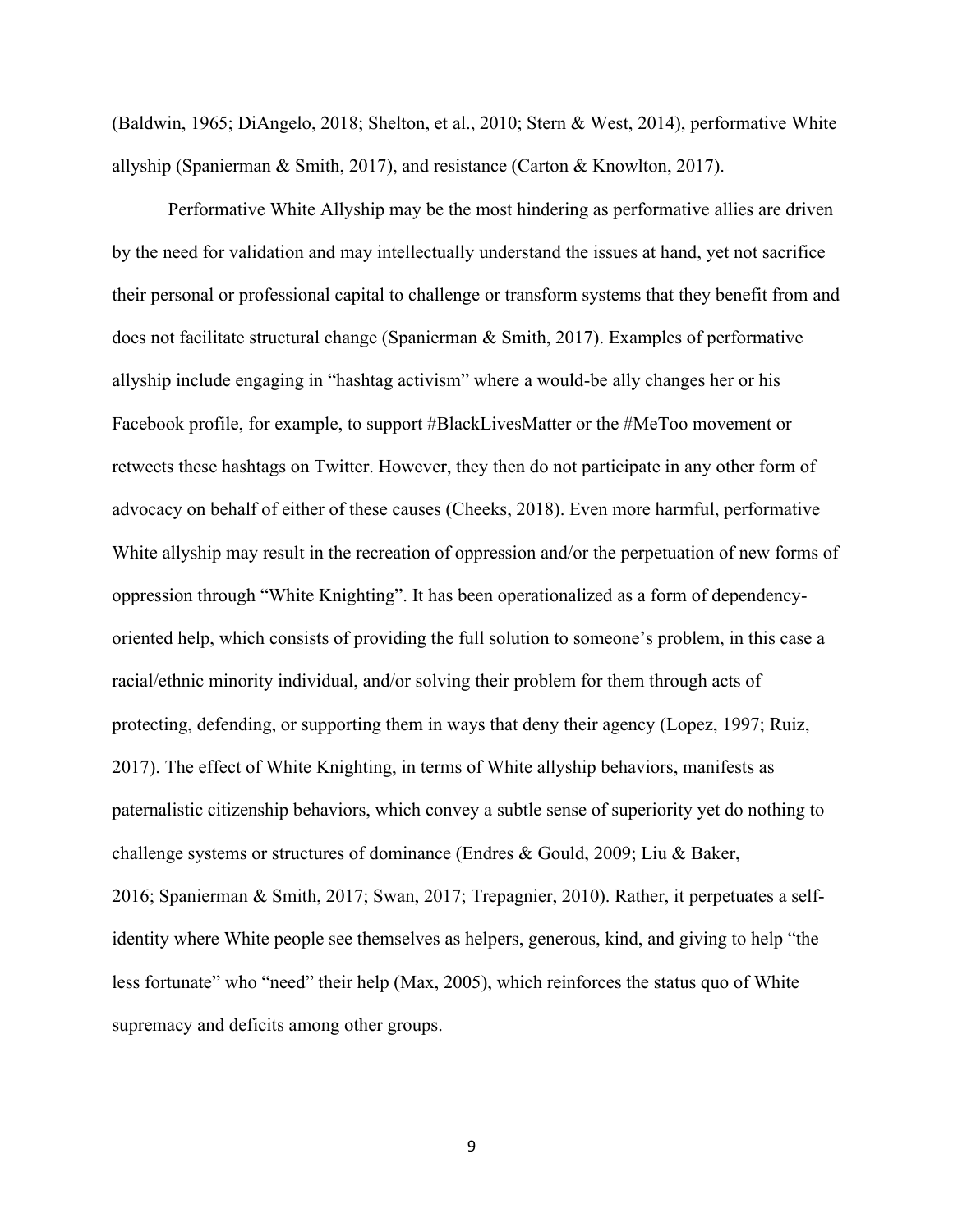(Baldwin, 1965; DiAngelo, 2018; Shelton, et al., 2010; Stern & West, 2014), performative White allyship (Spanierman & Smith, 2017), and resistance (Carton & Knowlton, 2017).

Performative White Allyship may be the most hindering as performative allies are driven by the need for validation and may intellectually understand the issues at hand, yet not sacrifice their personal or professional capital to challenge or transform systems that they benefit from and does not facilitate structural change (Spanierman & Smith, 2017). Examples of performative allyship include engaging in "hashtag activism" where a would-be ally changes her or his Facebook profile, for example, to support #BlackLivesMatter or the #MeToo movement or retweets these hashtags on Twitter. However, they then do not participate in any other form of advocacy on behalf of either of these causes (Cheeks, 2018). Even more harmful, performative White allyship may result in the recreation of oppression and/or the perpetuation of new forms of oppression through "White Knighting". It has been operationalized as a form of dependencyoriented help, which consists of providing the full solution to someone's problem, in this case a racial/ethnic minority individual, and/or solving their problem for them through acts of protecting, defending, or supporting them in ways that deny their agency (Lopez, 1997; Ruiz, 2017). The effect of White Knighting, in terms of White allyship behaviors, manifests as paternalistic citizenship behaviors, which convey a subtle sense of superiority yet do nothing to challenge systems or structures of dominance (Endres & Gould, 2009; Liu & Baker, 2016; Spanierman & Smith, 2017; Swan, 2017; Trepagnier, 2010). Rather, it perpetuates a selfidentity where White people see themselves as helpers, generous, kind, and giving to help "the less fortunate" who "need" their help (Max, 2005), which reinforces the status quo of White supremacy and deficits among other groups.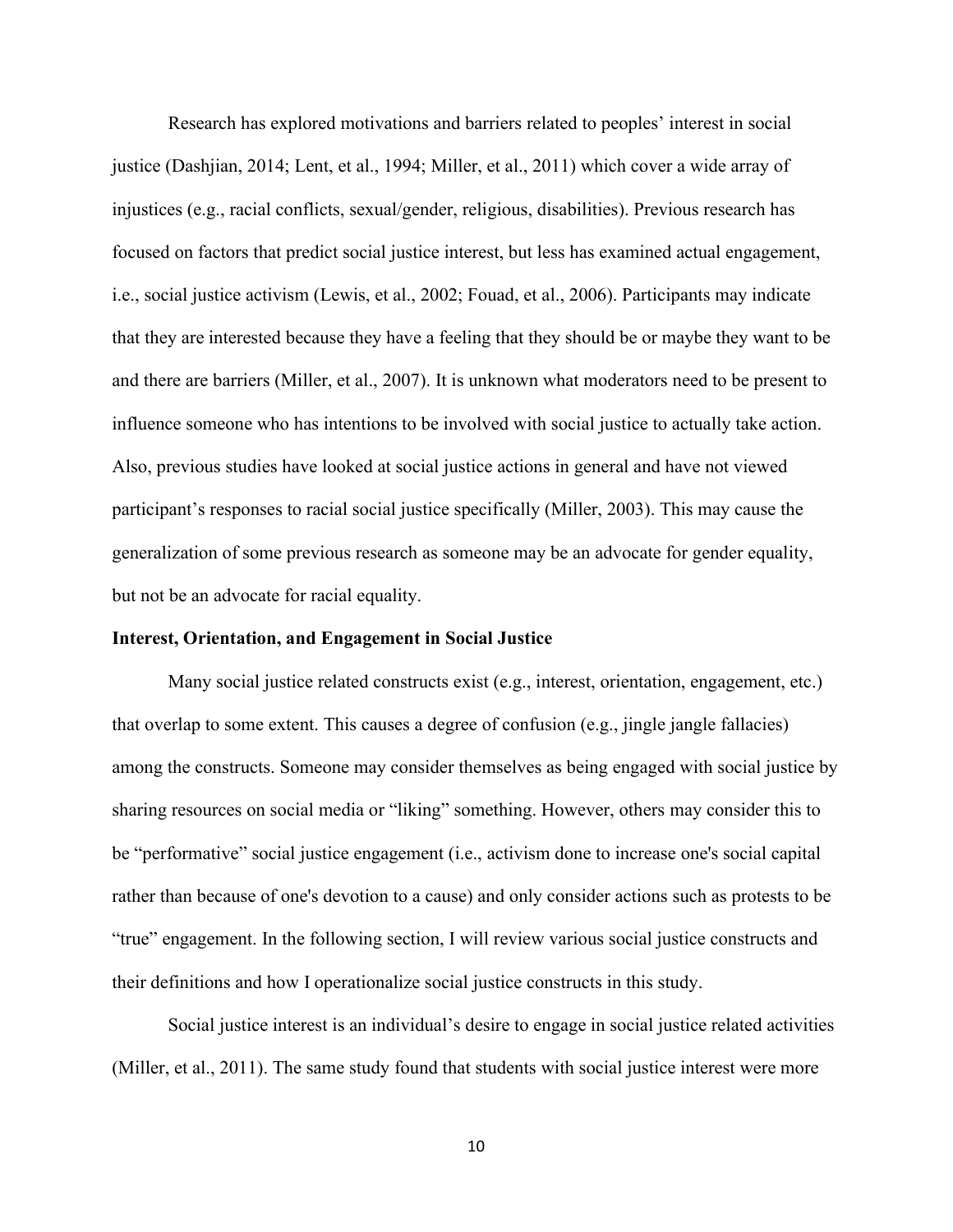Research has explored motivations and barriers related to peoples' interest in social justice (Dashjian, 2014; Lent, et al., 1994; Miller, et al., 2011) which cover a wide array of injustices (e.g., racial conflicts, sexual/gender, religious, disabilities). Previous research has focused on factors that predict social justice interest, but less has examined actual engagement, i.e., social justice activism (Lewis, et al., 2002; Fouad, et al., 2006). Participants may indicate that they are interested because they have a feeling that they should be or maybe they want to be and there are barriers (Miller, et al., 2007). It is unknown what moderators need to be present to influence someone who has intentions to be involved with social justice to actually take action. Also, previous studies have looked at social justice actions in general and have not viewed participant's responses to racial social justice specifically (Miller, 2003). This may cause the generalization of some previous research as someone may be an advocate for gender equality, but not be an advocate for racial equality.

### **Interest, Orientation, and Engagement in Social Justice**

Many social justice related constructs exist (e.g., interest, orientation, engagement, etc.) that overlap to some extent. This causes a degree of confusion (e.g., jingle jangle fallacies) among the constructs. Someone may consider themselves as being engaged with social justice by sharing resources on social media or "liking" something. However, others may consider this to be "performative" social justice engagement (i.e., activism done to increase one's social capital rather than because of one's devotion to a cause) and only consider actions such as protests to be "true" engagement. In the following section, I will review various social justice constructs and their definitions and how I operationalize social justice constructs in this study.

Social justice interest is an individual's desire to engage in social justice related activities (Miller, et al., 2011). The same study found that students with social justice interest were more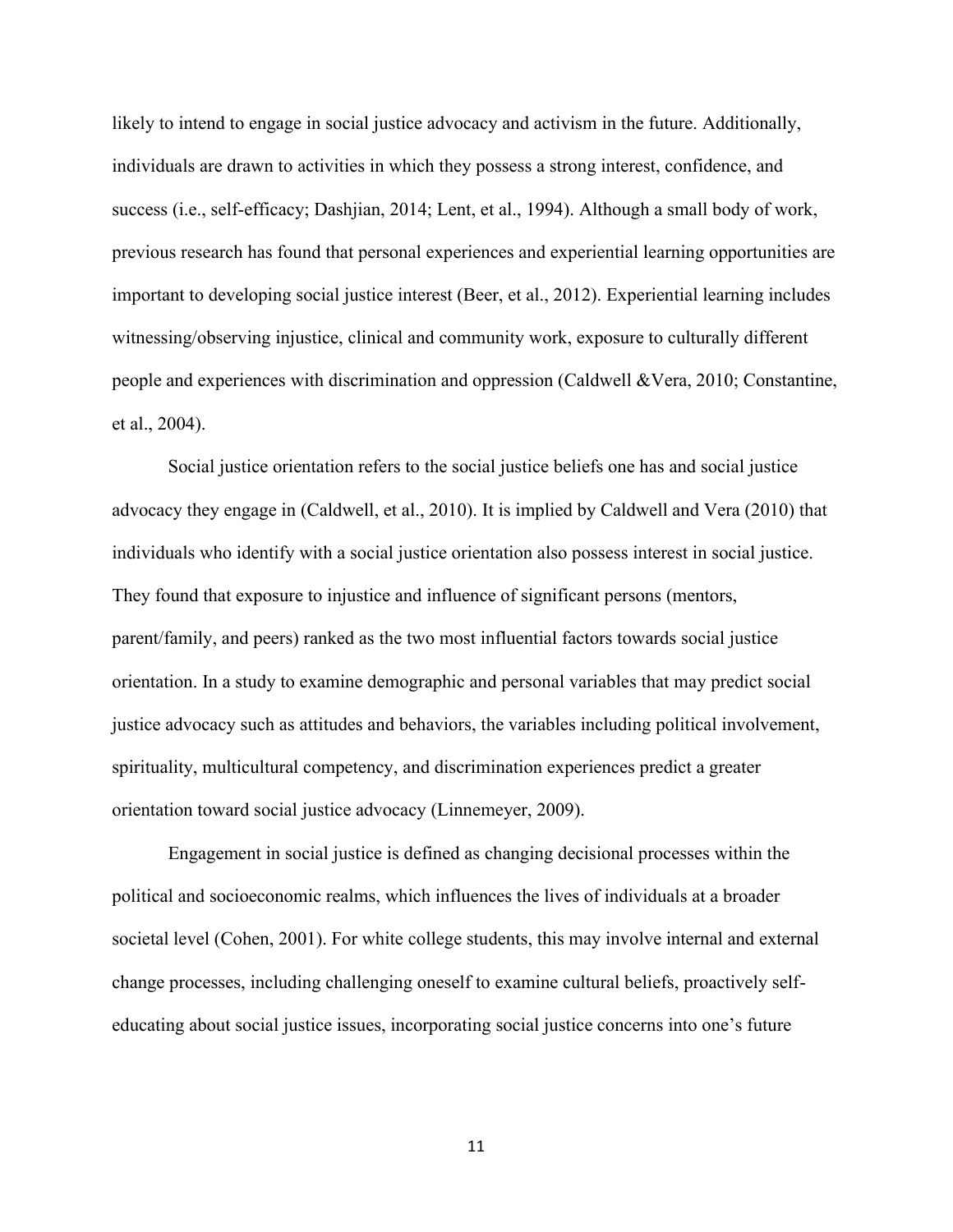likely to intend to engage in social justice advocacy and activism in the future. Additionally, individuals are drawn to activities in which they possess a strong interest, confidence, and success (i.e., self-efficacy; Dashjian, 2014; Lent, et al., 1994). Although a small body of work, previous research has found that personal experiences and experiential learning opportunities are important to developing social justice interest (Beer, et al., 2012). Experiential learning includes witnessing/observing injustice, clinical and community work, exposure to culturally different people and experiences with discrimination and oppression (Caldwell &Vera, 2010; Constantine, et al., 2004).

Social justice orientation refers to the social justice beliefs one has and social justice advocacy they engage in (Caldwell, et al., 2010). It is implied by Caldwell and Vera (2010) that individuals who identify with a social justice orientation also possess interest in social justice. They found that exposure to injustice and influence of significant persons (mentors, parent/family, and peers) ranked as the two most influential factors towards social justice orientation. In a study to examine demographic and personal variables that may predict social justice advocacy such as attitudes and behaviors, the variables including political involvement, spirituality, multicultural competency, and discrimination experiences predict a greater orientation toward social justice advocacy (Linnemeyer, 2009).

Engagement in social justice is defined as changing decisional processes within the political and socioeconomic realms, which influences the lives of individuals at a broader societal level (Cohen, 2001). For white college students, this may involve internal and external change processes, including challenging oneself to examine cultural beliefs, proactively selfeducating about social justice issues, incorporating social justice concerns into one's future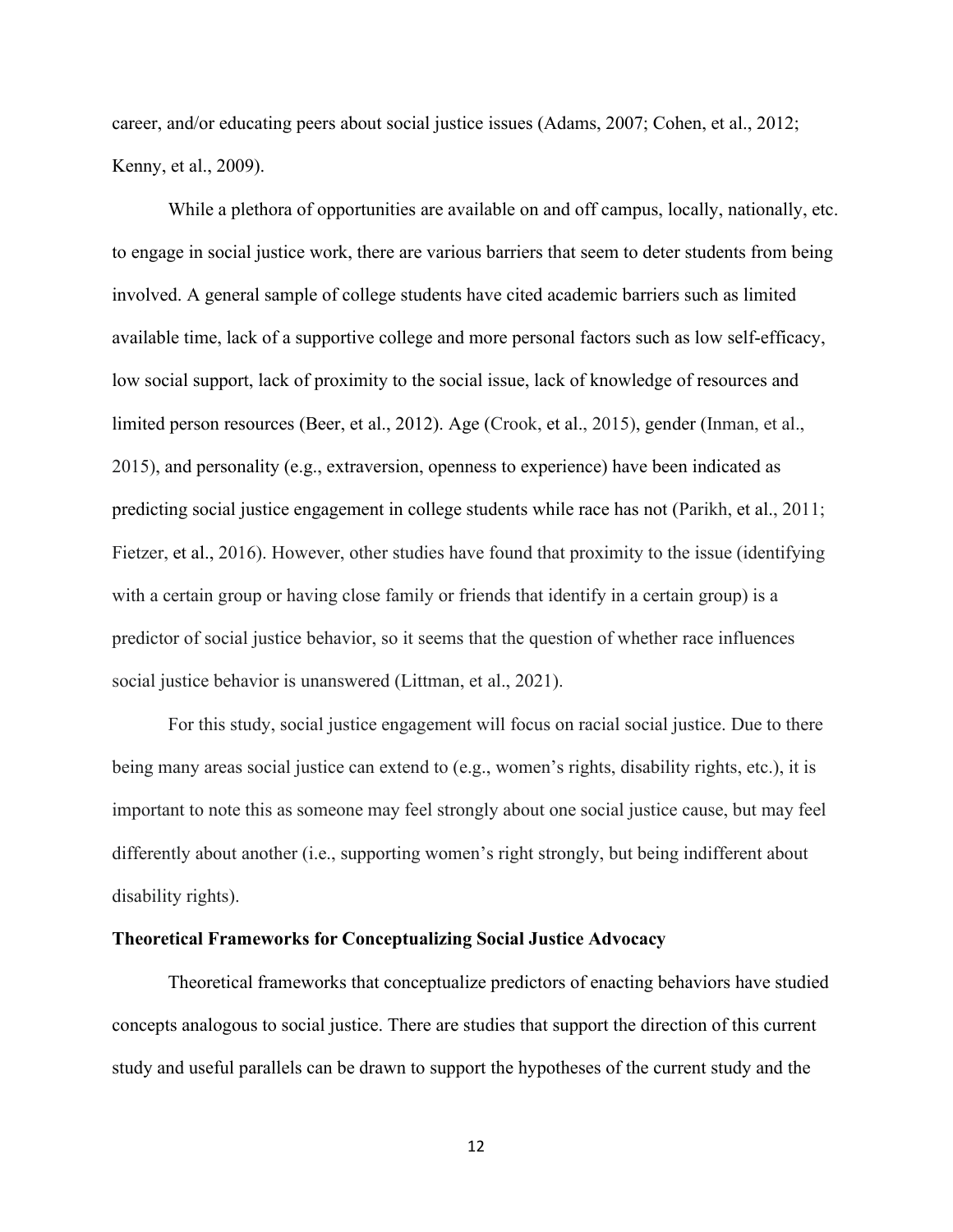career, and/or educating peers about social justice issues (Adams, 2007; Cohen, et al., 2012; Kenny, et al., 2009).

While a plethora of opportunities are available on and off campus, locally, nationally, etc. to engage in social justice work, there are various barriers that seem to deter students from being involved. A general sample of college students have cited academic barriers such as limited available time, lack of a supportive college and more personal factors such as low self-efficacy, low social support, lack of proximity to the social issue, lack of knowledge of resources and limited person resources (Beer, et al., 2012). Age (Crook, et al., 2015), gender (Inman, et al., 2015), and personality (e.g., extraversion, openness to experience) have been indicated as predicting social justice engagement in college students while race has not (Parikh, et al., 2011; Fietzer, et al., 2016). However, other studies have found that proximity to the issue (identifying with a certain group or having close family or friends that identify in a certain group) is a predictor of social justice behavior, so it seems that the question of whether race influences social justice behavior is unanswered (Littman, et al., 2021).

For this study, social justice engagement will focus on racial social justice. Due to there being many areas social justice can extend to (e.g., women's rights, disability rights, etc.), it is important to note this as someone may feel strongly about one social justice cause, but may feel differently about another (i.e., supporting women's right strongly, but being indifferent about disability rights).

#### **Theoretical Frameworks for Conceptualizing Social Justice Advocacy**

Theoretical frameworks that conceptualize predictors of enacting behaviors have studied concepts analogous to social justice. There are studies that support the direction of this current study and useful parallels can be drawn to support the hypotheses of the current study and the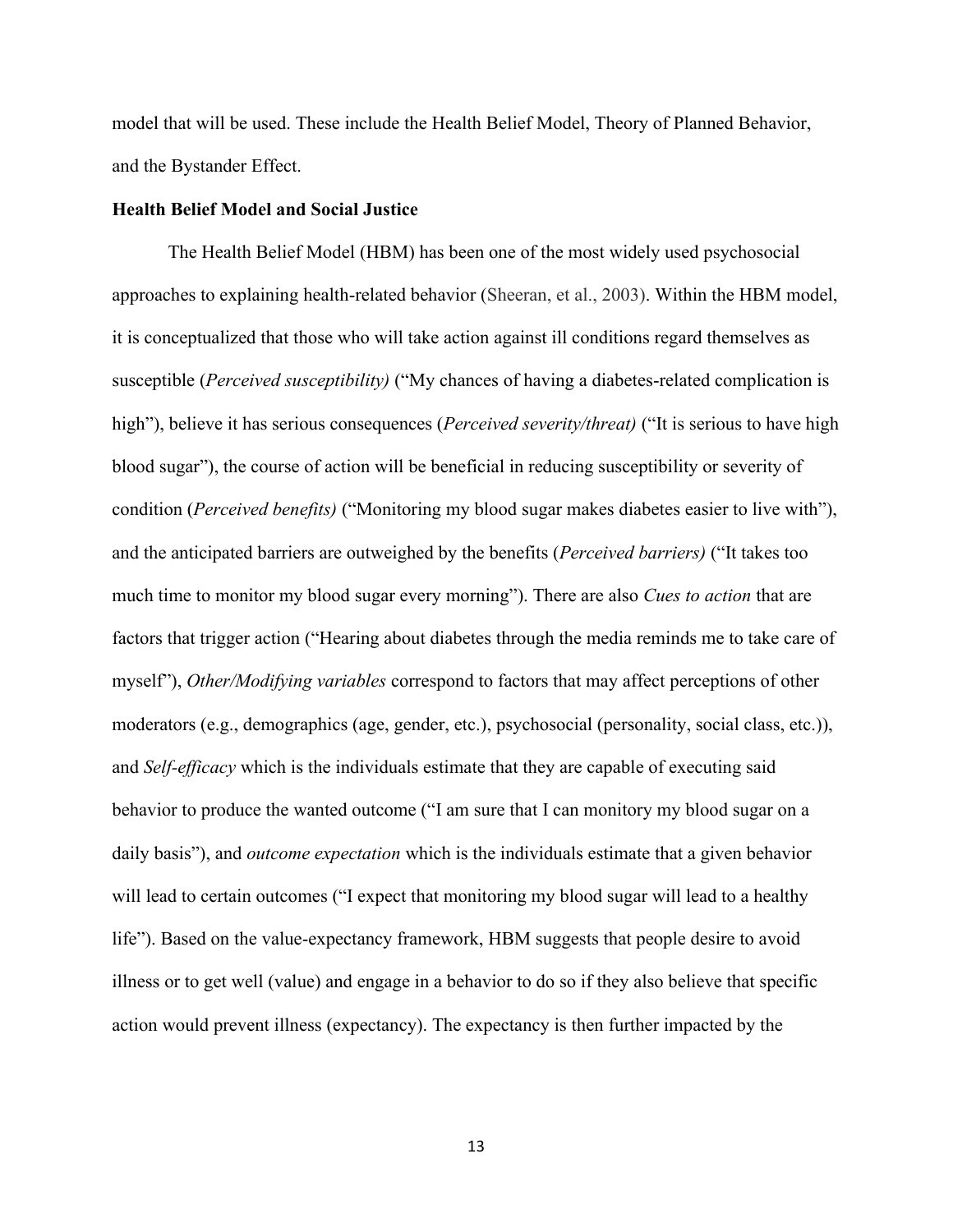model that will be used. These include the Health Belief Model, Theory of Planned Behavior, and the Bystander Effect.

#### **Health Belief Model and Social Justice**

The Health Belief Model (HBM) has been one of the most widely used psychosocial approaches to explaining health-related behavior (Sheeran, et al., 2003). Within the HBM model, it is conceptualized that those who will take action against ill conditions regard themselves as susceptible (*Perceived susceptibility)* ("My chances of having a diabetes-related complication is high"), believe it has serious consequences (*Perceived severity/threat)* ("It is serious to have high blood sugar"), the course of action will be beneficial in reducing susceptibility or severity of condition (*Perceived benefits)* ("Monitoring my blood sugar makes diabetes easier to live with"), and the anticipated barriers are outweighed by the benefits (*Perceived barriers)* ("It takes too much time to monitor my blood sugar every morning"). There are also *Cues to action* that are factors that trigger action ("Hearing about diabetes through the media reminds me to take care of myself"), *Other/Modifying variables* correspond to factors that may affect perceptions of other moderators (e.g., demographics (age, gender, etc.), psychosocial (personality, social class, etc.)), and *Self-efficacy* which is the individuals estimate that they are capable of executing said behavior to produce the wanted outcome ("I am sure that I can monitory my blood sugar on a daily basis"), and *outcome expectation* which is the individuals estimate that a given behavior will lead to certain outcomes ("I expect that monitoring my blood sugar will lead to a healthy life"). Based on the value-expectancy framework, HBM suggests that people desire to avoid illness or to get well (value) and engage in a behavior to do so if they also believe that specific action would prevent illness (expectancy). The expectancy is then further impacted by the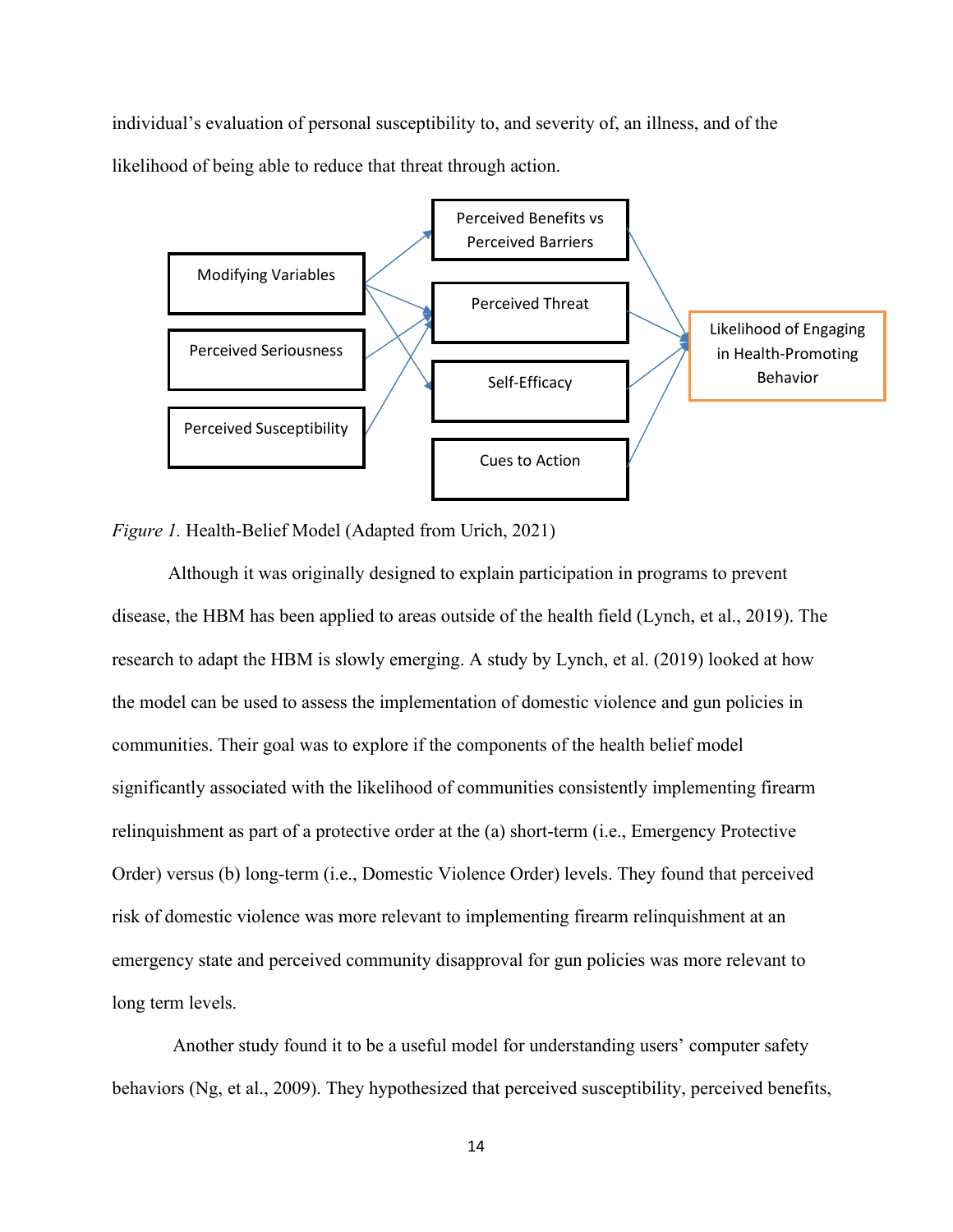individual's evaluation of personal susceptibility to, and severity of, an illness, and of the likelihood of being able to reduce that threat through action.



*Figure 1.* Health-Belief Model (Adapted from Urich, 2021)

Although it was originally designed to explain participation in programs to prevent disease, the HBM has been applied to areas outside of the health field (Lynch, et al., 2019). The research to adapt the HBM is slowly emerging. A study by Lynch, et al. (2019) looked at how the model can be used to assess the implementation of domestic violence and gun policies in communities. Their goal was to explore if the components of the health belief model significantly associated with the likelihood of communities consistently implementing firearm relinquishment as part of a protective order at the (a) short-term (i.e., Emergency Protective Order) versus (b) long-term (i.e., Domestic Violence Order) levels. They found that perceived risk of domestic violence was more relevant to implementing firearm relinquishment at an emergency state and perceived community disapproval for gun policies was more relevant to long term levels.

Another study found it to be a useful model for understanding users' computer safety behaviors (Ng, et al., 2009). They hypothesized that perceived susceptibility, perceived benefits,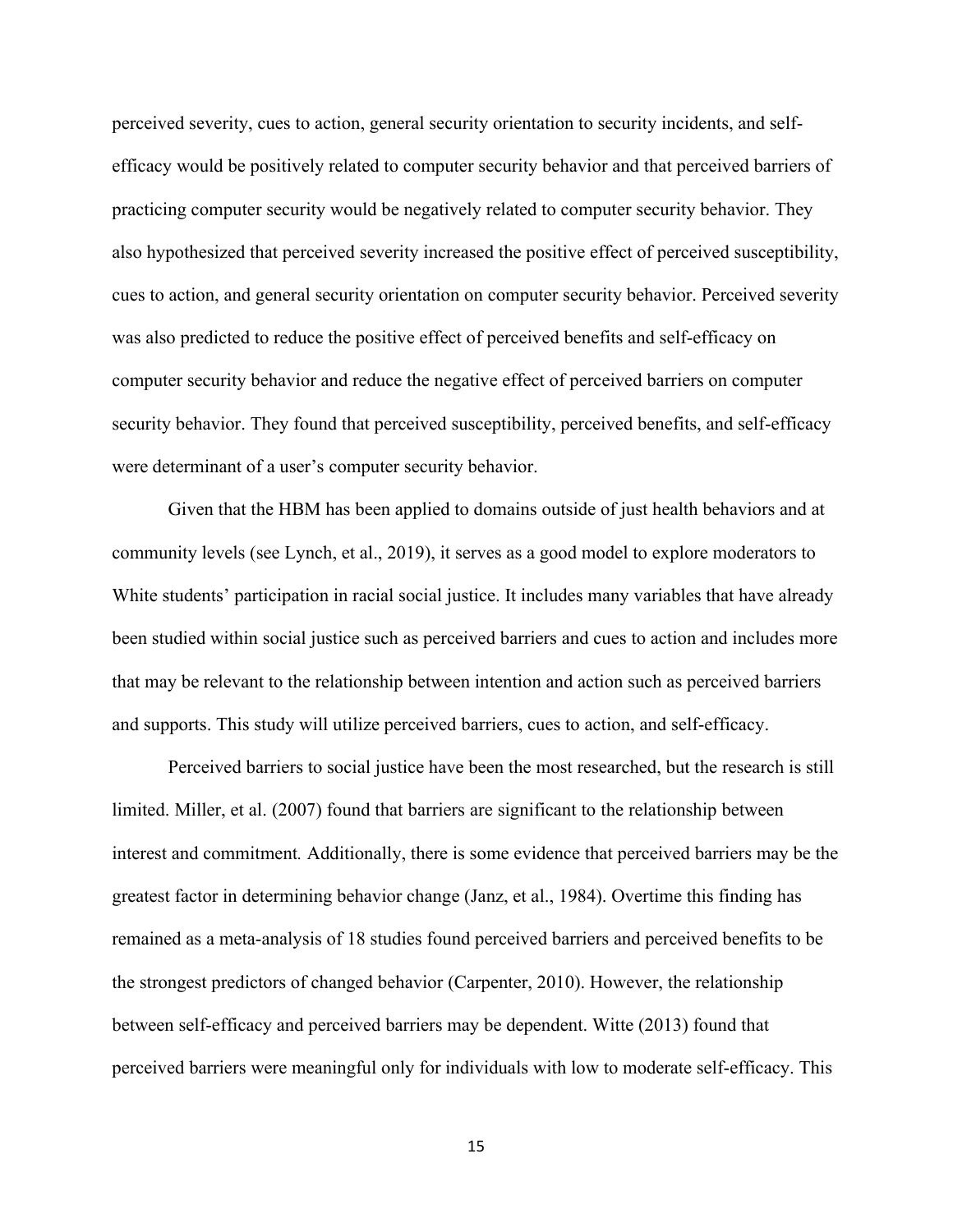perceived severity, cues to action, general security orientation to security incidents, and selfefficacy would be positively related to computer security behavior and that perceived barriers of practicing computer security would be negatively related to computer security behavior. They also hypothesized that perceived severity increased the positive effect of perceived susceptibility, cues to action, and general security orientation on computer security behavior. Perceived severity was also predicted to reduce the positive effect of perceived benefits and self-efficacy on computer security behavior and reduce the negative effect of perceived barriers on computer security behavior. They found that perceived susceptibility, perceived benefits, and self-efficacy were determinant of a user's computer security behavior.

Given that the HBM has been applied to domains outside of just health behaviors and at community levels (see Lynch, et al., 2019), it serves as a good model to explore moderators to White students' participation in racial social justice. It includes many variables that have already been studied within social justice such as perceived barriers and cues to action and includes more that may be relevant to the relationship between intention and action such as perceived barriers and supports. This study will utilize perceived barriers, cues to action, and self-efficacy.

Perceived barriers to social justice have been the most researched, but the research is still limited. Miller, et al. (2007) found that barriers are significant to the relationship between interest and commitment*.* Additionally, there is some evidence that perceived barriers may be the greatest factor in determining behavior change (Janz, et al., 1984). Overtime this finding has remained as a meta-analysis of 18 studies found perceived barriers and perceived benefits to be the strongest predictors of changed behavior (Carpenter, 2010). However, the relationship between self-efficacy and perceived barriers may be dependent. Witte (2013) found that perceived barriers were meaningful only for individuals with low to moderate self-efficacy. This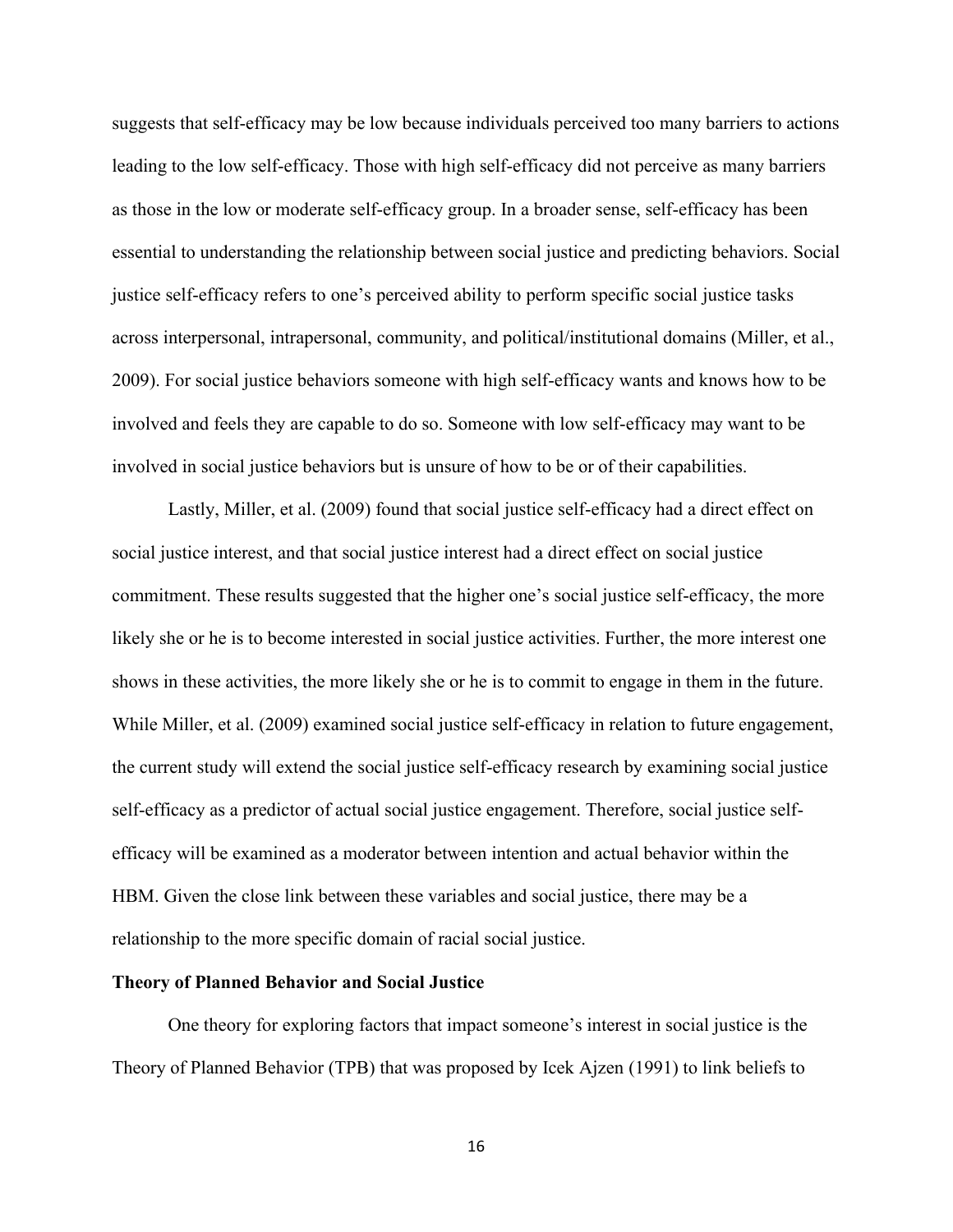suggests that self-efficacy may be low because individuals perceived too many barriers to actions leading to the low self-efficacy. Those with high self-efficacy did not perceive as many barriers as those in the low or moderate self-efficacy group. In a broader sense, self-efficacy has been essential to understanding the relationship between social justice and predicting behaviors. Social justice self-efficacy refers to one's perceived ability to perform specific social justice tasks across interpersonal, intrapersonal, community, and political/institutional domains (Miller, et al., 2009). For social justice behaviors someone with high self-efficacy wants and knows how to be involved and feels they are capable to do so. Someone with low self-efficacy may want to be involved in social justice behaviors but is unsure of how to be or of their capabilities.

Lastly, Miller, et al. (2009) found that social justice self-efficacy had a direct effect on social justice interest, and that social justice interest had a direct effect on social justice commitment. These results suggested that the higher one's social justice self-efficacy, the more likely she or he is to become interested in social justice activities. Further, the more interest one shows in these activities, the more likely she or he is to commit to engage in them in the future. While Miller, et al. (2009) examined social justice self-efficacy in relation to future engagement, the current study will extend the social justice self-efficacy research by examining social justice self-efficacy as a predictor of actual social justice engagement. Therefore, social justice selfefficacy will be examined as a moderator between intention and actual behavior within the HBM. Given the close link between these variables and social justice, there may be a relationship to the more specific domain of racial social justice.

#### **Theory of Planned Behavior and Social Justice**

One theory for exploring factors that impact someone's interest in social justice is the Theory of Planned Behavior (TPB) that was proposed by Icek Ajzen (1991) to link beliefs to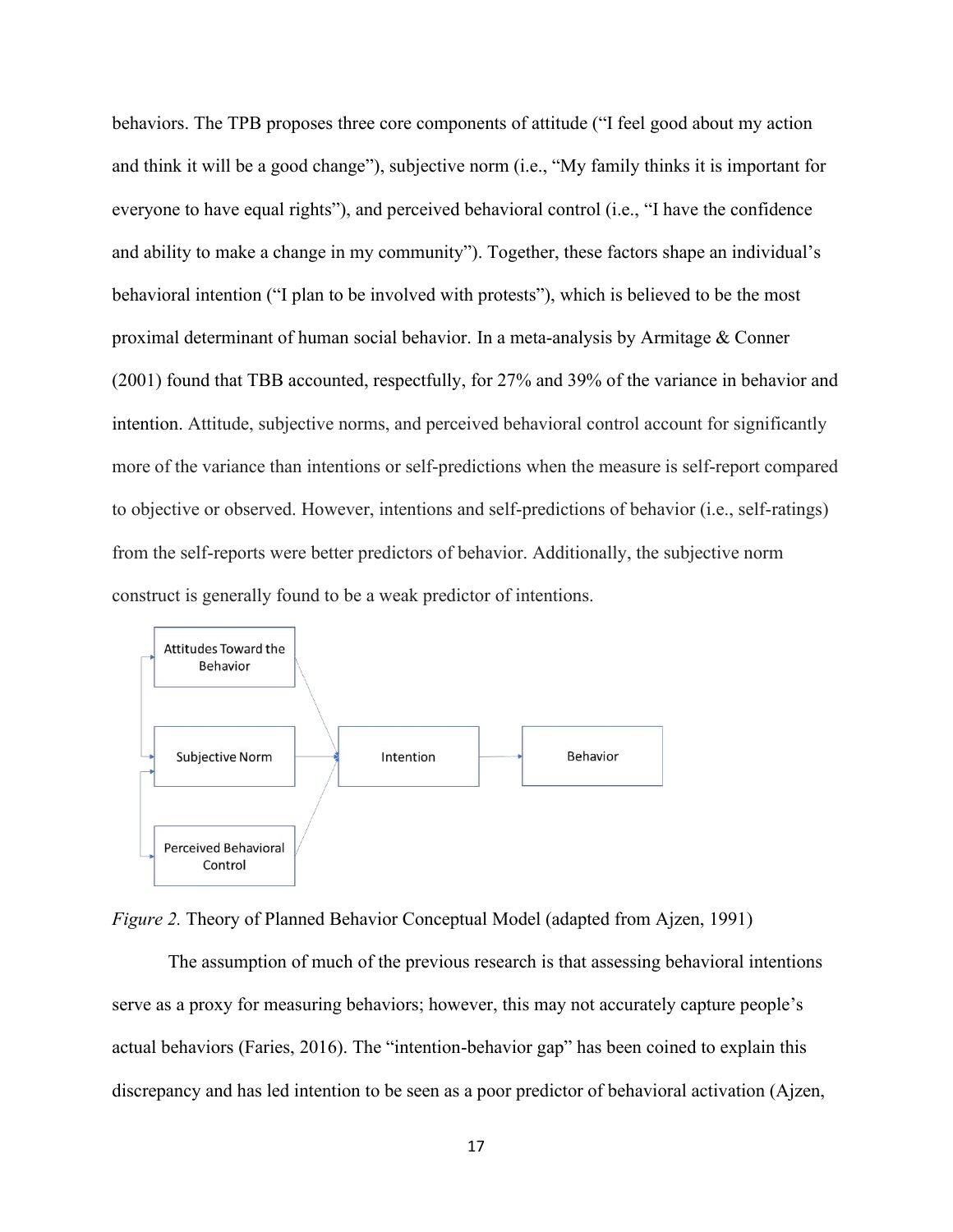behaviors. The TPB proposes three core components of attitude ("I feel good about my action and think it will be a good change"), subjective norm (i.e., "My family thinks it is important for everyone to have equal rights"), and perceived behavioral control (i.e., "I have the confidence and ability to make a change in my community"). Together, these factors shape an individual's behavioral intention ("I plan to be involved with protests"), which is believed to be the most proximal determinant of human social behavior. In a meta-analysis by Armitage & Conner (2001) found that TBB accounted, respectfully, for 27% and 39% of the variance in behavior and intention. Attitude, subjective norms, and perceived behavioral control account for significantly more of the variance than intentions or self-predictions when the measure is self-report compared to objective or observed. However, intentions and self-predictions of behavior (i.e., self-ratings) from the self-reports were better predictors of behavior. Additionally, the subjective norm construct is generally found to be a weak predictor of intentions.



*Figure 2.* Theory of Planned Behavior Conceptual Model (adapted from Ajzen, 1991)

The assumption of much of the previous research is that assessing behavioral intentions serve as a proxy for measuring behaviors; however, this may not accurately capture people's actual behaviors (Faries, 2016). The "intention-behavior gap" has been coined to explain this discrepancy and has led intention to be seen as a poor predictor of behavioral activation (Ajzen,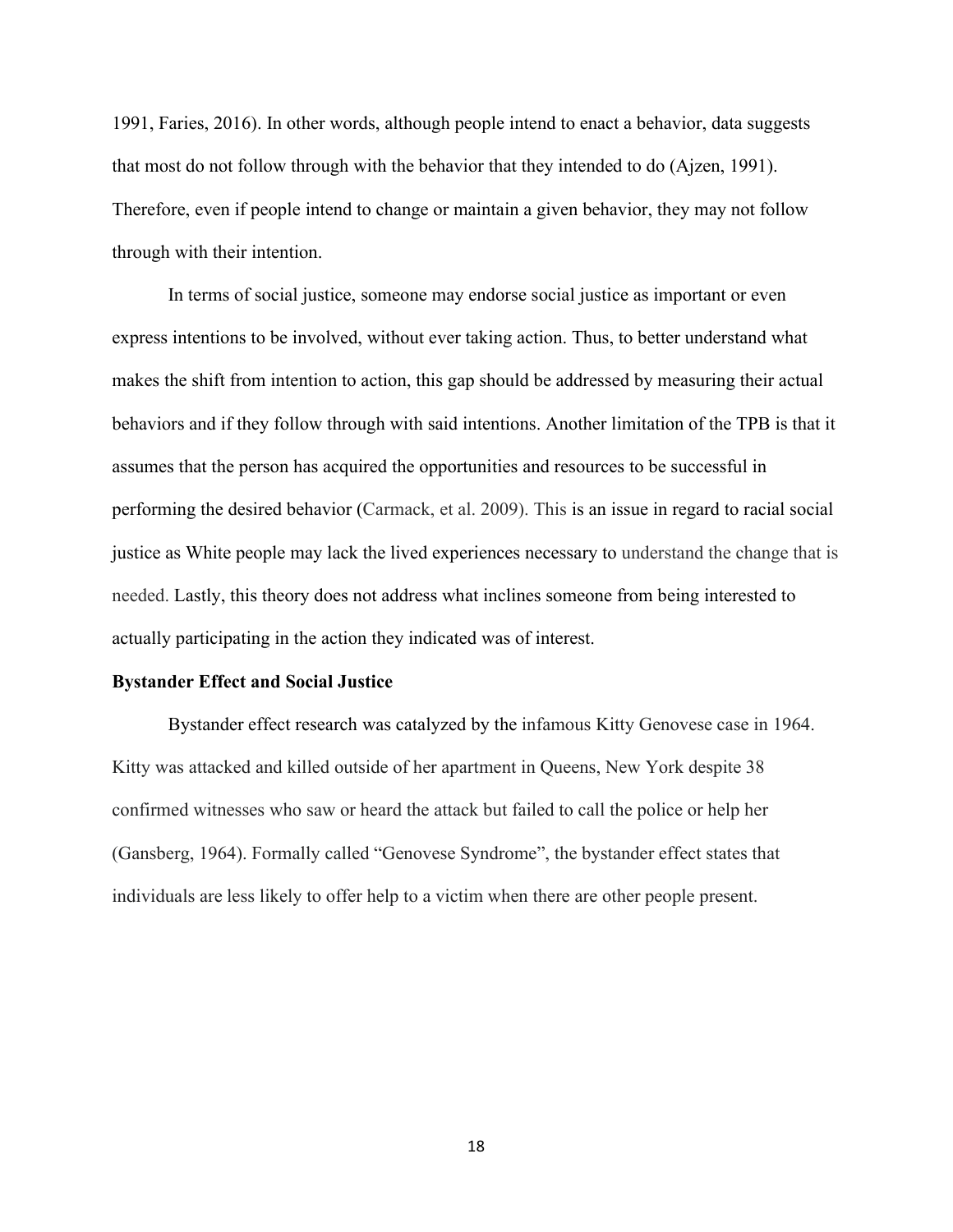1991, Faries, 2016). In other words, although people intend to enact a behavior, data suggests that most do not follow through with the behavior that they intended to do (Ajzen, 1991). Therefore, even if people intend to change or maintain a given behavior, they may not follow through with their intention.

In terms of social justice, someone may endorse social justice as important or even express intentions to be involved, without ever taking action. Thus, to better understand what makes the shift from intention to action, this gap should be addressed by measuring their actual behaviors and if they follow through with said intentions. Another limitation of the TPB is that it assumes that the person has acquired the opportunities and resources to be successful in performing the desired behavior (Carmack, et al. 2009). This is an issue in regard to racial social justice as White people may lack the lived experiences necessary to understand the change that is needed. Lastly, this theory does not address what inclines someone from being interested to actually participating in the action they indicated was of interest.

## **Bystander Effect and Social Justice**

Bystander effect research was catalyzed by the infamous Kitty Genovese case in 1964. Kitty was attacked and killed outside of her apartment in Queens, New York despite 38 confirmed witnesses who saw or heard the attack but failed to call the police or help her (Gansberg, 1964). Formally called "Genovese Syndrome", the bystander effect states that individuals are less likely to offer help to a victim when there are other people present.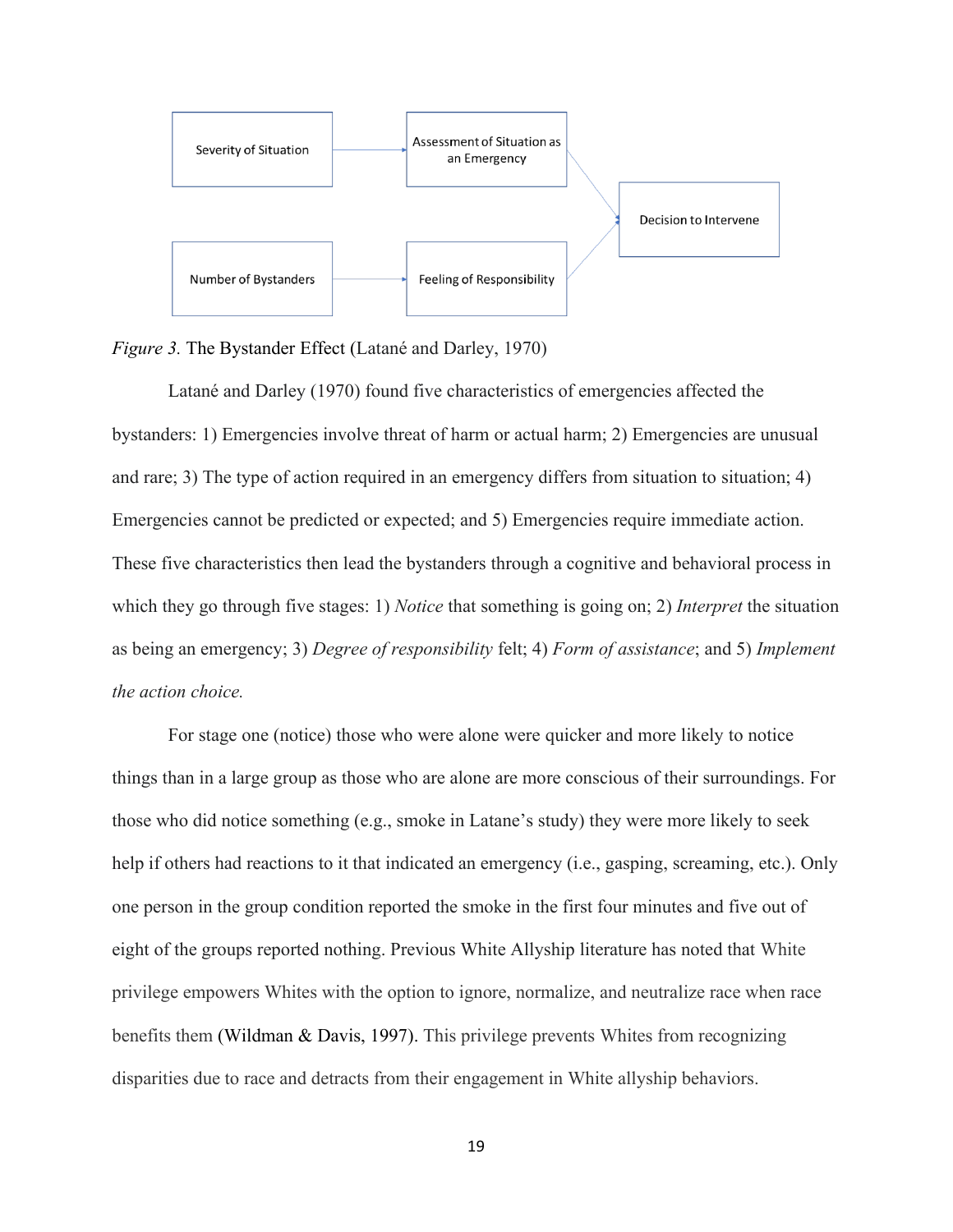

*Figure 3.* The Bystander Effect (Latané and Darley, 1970)

Latané and Darley (1970) found five characteristics of emergencies affected the bystanders: 1) Emergencies involve threat of harm or actual harm; 2) Emergencies are unusual and rare; 3) The type of action required in an emergency differs from situation to situation; 4) Emergencies cannot be predicted or expected; and 5) Emergencies require immediate action. These five characteristics then lead the bystanders through a cognitive and behavioral process in which they go through five stages: 1) *Notice* that something is going on; 2) *Interpret* the situation as being an emergency; 3) *Degree of responsibility* felt; 4) *Form of assistance*; and 5) *Implement the action choice.*

For stage one (notice) those who were alone were quicker and more likely to notice things than in a large group as those who are alone are more conscious of their surroundings. For those who did notice something (e.g., smoke in Latane's study) they were more likely to seek help if others had reactions to it that indicated an emergency (i.e., gasping, screaming, etc.). Only one person in the group condition reported the smoke in the first four minutes and five out of eight of the groups reported nothing. Previous White Allyship literature has noted that White privilege empowers Whites with the option to ignore, normalize, and neutralize race when race benefits them (Wildman & Davis, 1997). This privilege prevents Whites from recognizing disparities due to race and detracts from their engagement in White allyship behaviors.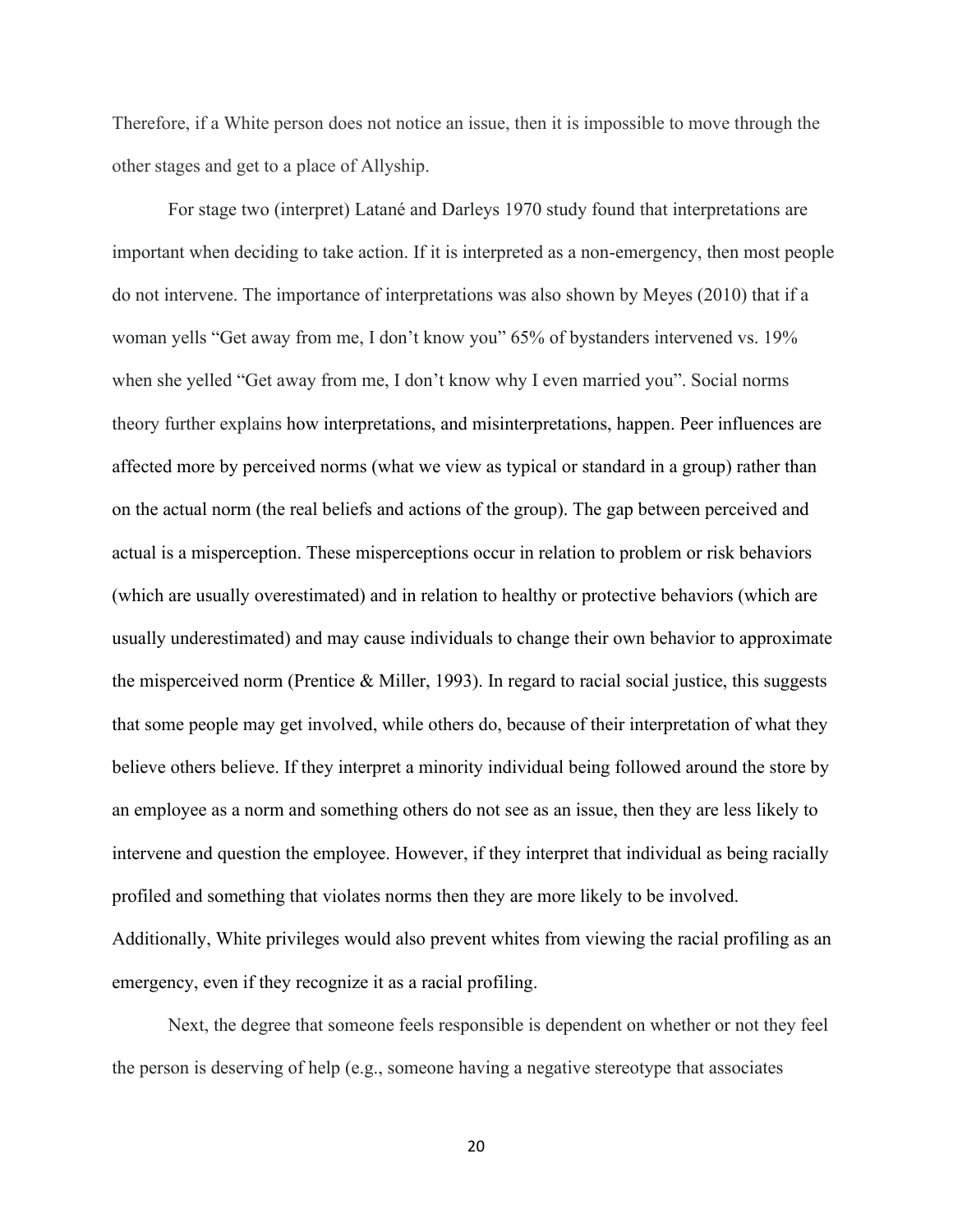Therefore, if a White person does not notice an issue, then it is impossible to move through the other stages and get to a place of Allyship.

For stage two (interpret) Latané and Darleys 1970 study found that interpretations are important when deciding to take action. If it is interpreted as a non-emergency, then most people do not intervene. The importance of interpretations was also shown by Meyes (2010) that if a woman yells "Get away from me, I don't know you" 65% of bystanders intervened vs. 19% when she yelled "Get away from me, I don't know why I even married you". Social norms theory further explains how interpretations, and misinterpretations, happen. Peer influences are affected more by perceived norms (what we view as typical or standard in a group) rather than on the actual norm (the real beliefs and actions of the group). The gap between perceived and actual is a misperception. These misperceptions occur in relation to problem or risk behaviors (which are usually overestimated) and in relation to healthy or protective behaviors (which are usually underestimated) and may cause individuals to change their own behavior to approximate the misperceived norm (Prentice  $\&$  Miller, 1993). In regard to racial social justice, this suggests that some people may get involved, while others do, because of their interpretation of what they believe others believe. If they interpret a minority individual being followed around the store by an employee as a norm and something others do not see as an issue, then they are less likely to intervene and question the employee. However, if they interpret that individual as being racially profiled and something that violates norms then they are more likely to be involved. Additionally, White privileges would also prevent whites from viewing the racial profiling as an emergency, even if they recognize it as a racial profiling.

Next, the degree that someone feels responsible is dependent on whether or not they feel the person is deserving of help (e.g., someone having a negative stereotype that associates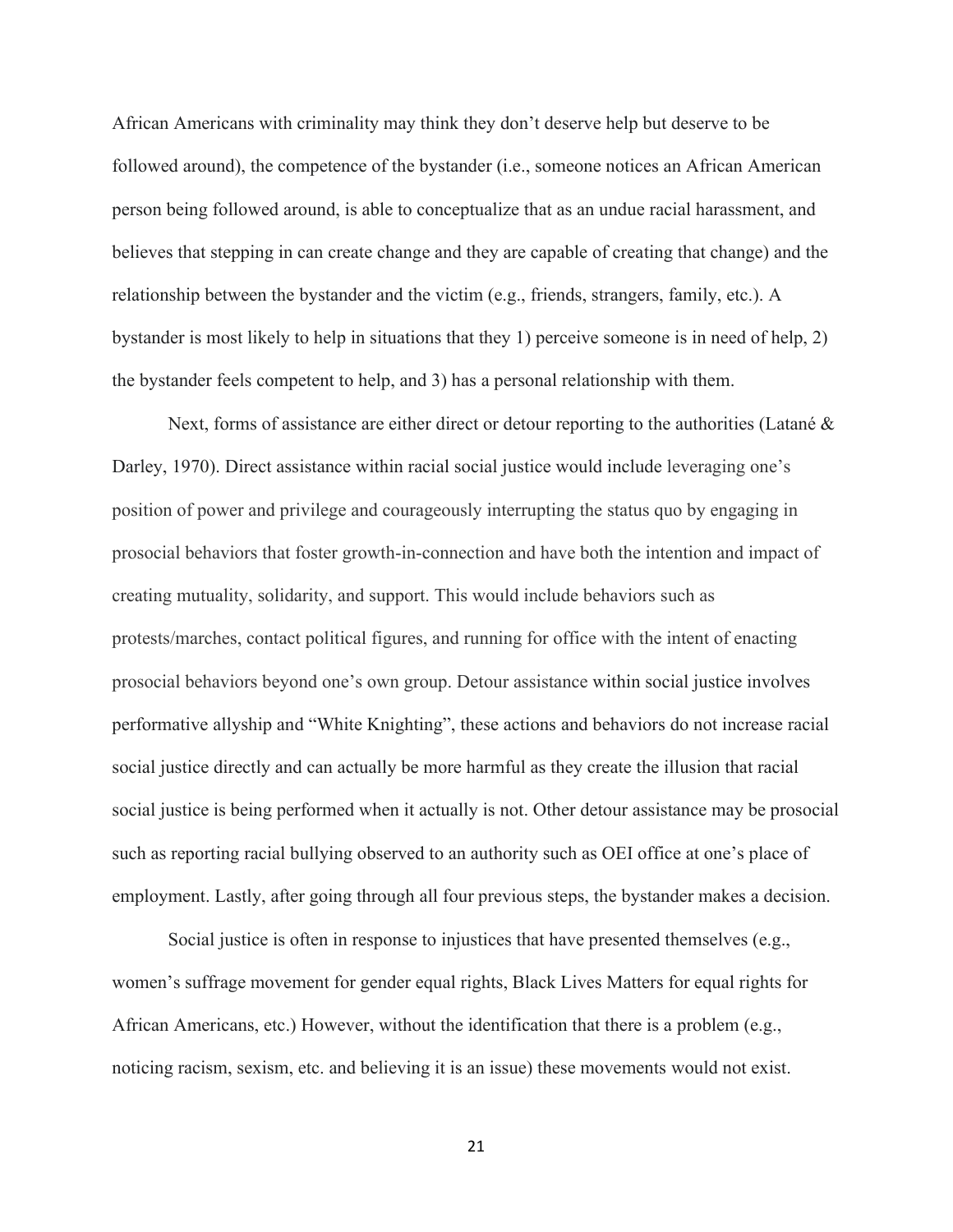African Americans with criminality may think they don't deserve help but deserve to be followed around), the competence of the bystander (i.e., someone notices an African American person being followed around, is able to conceptualize that as an undue racial harassment, and believes that stepping in can create change and they are capable of creating that change) and the relationship between the bystander and the victim (e.g., friends, strangers, family, etc.). A bystander is most likely to help in situations that they 1) perceive someone is in need of help, 2) the bystander feels competent to help, and 3) has a personal relationship with them.

Next, forms of assistance are either direct or detour reporting to the authorities (Latané & Darley, 1970). Direct assistance within racial social justice would include leveraging one's position of power and privilege and courageously interrupting the status quo by engaging in prosocial behaviors that foster growth-in-connection and have both the intention and impact of creating mutuality, solidarity, and support. This would include behaviors such as protests/marches, contact political figures, and running for office with the intent of enacting prosocial behaviors beyond one's own group. Detour assistance within social justice involves performative allyship and "White Knighting", these actions and behaviors do not increase racial social justice directly and can actually be more harmful as they create the illusion that racial social justice is being performed when it actually is not. Other detour assistance may be prosocial such as reporting racial bullying observed to an authority such as OEI office at one's place of employment. Lastly, after going through all four previous steps, the bystander makes a decision.

Social justice is often in response to injustices that have presented themselves (e.g., women's suffrage movement for gender equal rights, Black Lives Matters for equal rights for African Americans, etc.) However, without the identification that there is a problem (e.g., noticing racism, sexism, etc. and believing it is an issue) these movements would not exist.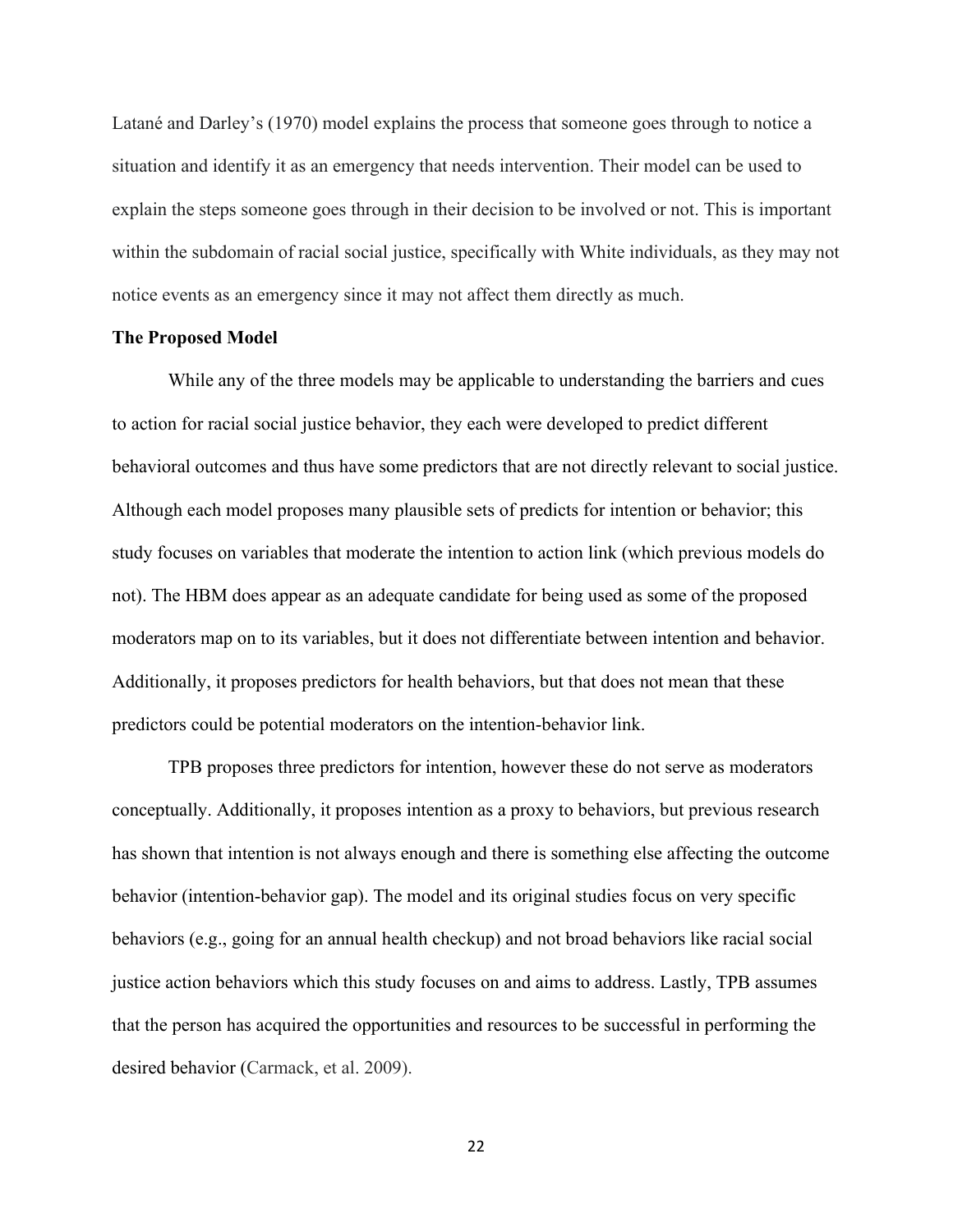Latané and Darley's (1970) model explains the process that someone goes through to notice a situation and identify it as an emergency that needs intervention. Their model can be used to explain the steps someone goes through in their decision to be involved or not. This is important within the subdomain of racial social justice, specifically with White individuals, as they may not notice events as an emergency since it may not affect them directly as much.

#### **The Proposed Model**

While any of the three models may be applicable to understanding the barriers and cues to action for racial social justice behavior, they each were developed to predict different behavioral outcomes and thus have some predictors that are not directly relevant to social justice. Although each model proposes many plausible sets of predicts for intention or behavior; this study focuses on variables that moderate the intention to action link (which previous models do not). The HBM does appear as an adequate candidate for being used as some of the proposed moderators map on to its variables, but it does not differentiate between intention and behavior. Additionally, it proposes predictors for health behaviors, but that does not mean that these predictors could be potential moderators on the intention-behavior link.

TPB proposes three predictors for intention, however these do not serve as moderators conceptually. Additionally, it proposes intention as a proxy to behaviors, but previous research has shown that intention is not always enough and there is something else affecting the outcome behavior (intention-behavior gap). The model and its original studies focus on very specific behaviors (e.g., going for an annual health checkup) and not broad behaviors like racial social justice action behaviors which this study focuses on and aims to address. Lastly, TPB assumes that the person has acquired the opportunities and resources to be successful in performing the desired behavior (Carmack, et al. 2009).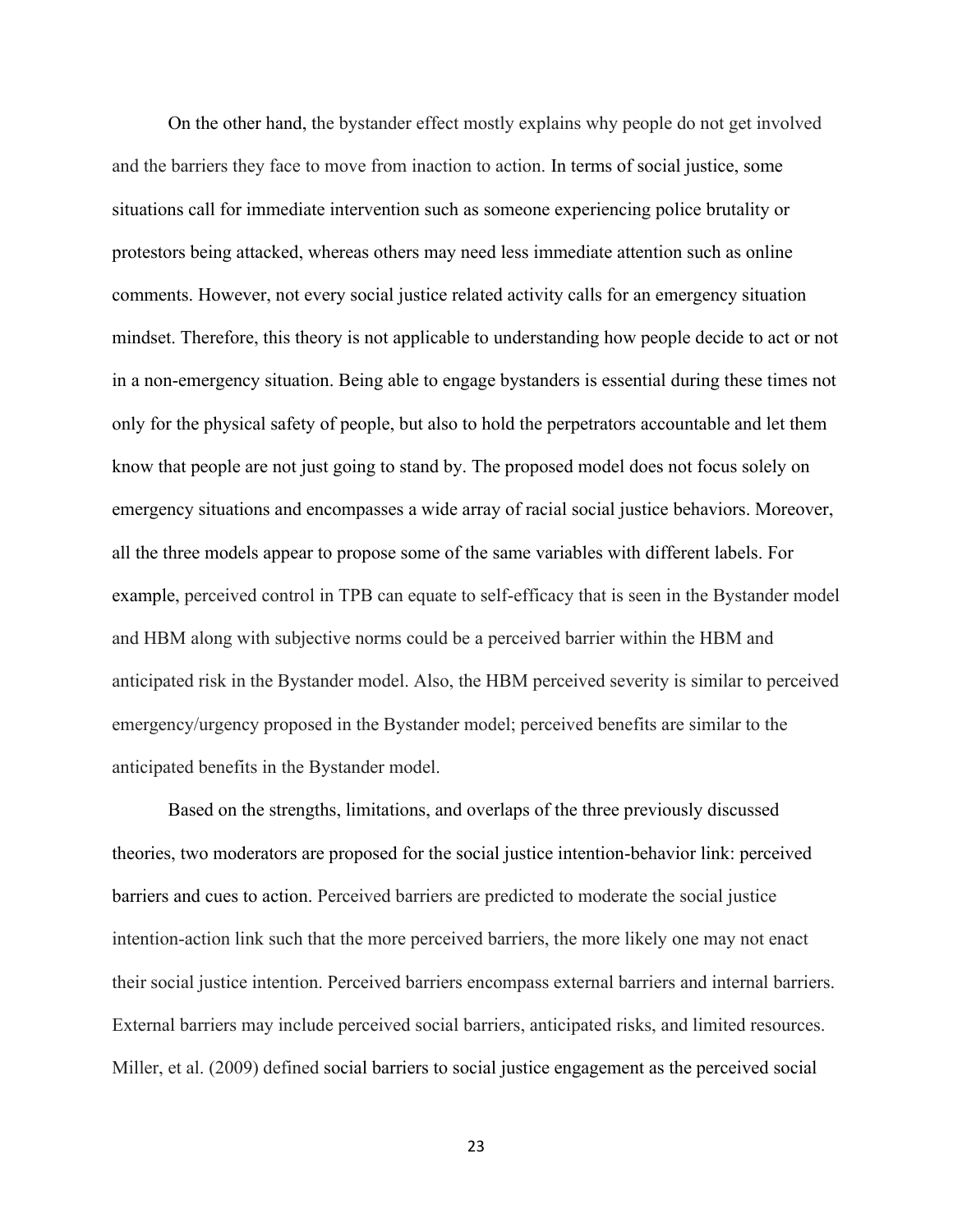On the other hand, the bystander effect mostly explains why people do not get involved and the barriers they face to move from inaction to action. In terms of social justice, some situations call for immediate intervention such as someone experiencing police brutality or protestors being attacked, whereas others may need less immediate attention such as online comments. However, not every social justice related activity calls for an emergency situation mindset. Therefore, this theory is not applicable to understanding how people decide to act or not in a non-emergency situation. Being able to engage bystanders is essential during these times not only for the physical safety of people, but also to hold the perpetrators accountable and let them know that people are not just going to stand by. The proposed model does not focus solely on emergency situations and encompasses a wide array of racial social justice behaviors. Moreover, all the three models appear to propose some of the same variables with different labels. For example, perceived control in TPB can equate to self-efficacy that is seen in the Bystander model and HBM along with subjective norms could be a perceived barrier within the HBM and anticipated risk in the Bystander model. Also, the HBM perceived severity is similar to perceived emergency/urgency proposed in the Bystander model; perceived benefits are similar to the anticipated benefits in the Bystander model.

Based on the strengths, limitations, and overlaps of the three previously discussed theories, two moderators are proposed for the social justice intention-behavior link: perceived barriers and cues to action. Perceived barriers are predicted to moderate the social justice intention-action link such that the more perceived barriers, the more likely one may not enact their social justice intention. Perceived barriers encompass external barriers and internal barriers. External barriers may include perceived social barriers, anticipated risks, and limited resources. Miller, et al. (2009) defined social barriers to social justice engagement as the perceived social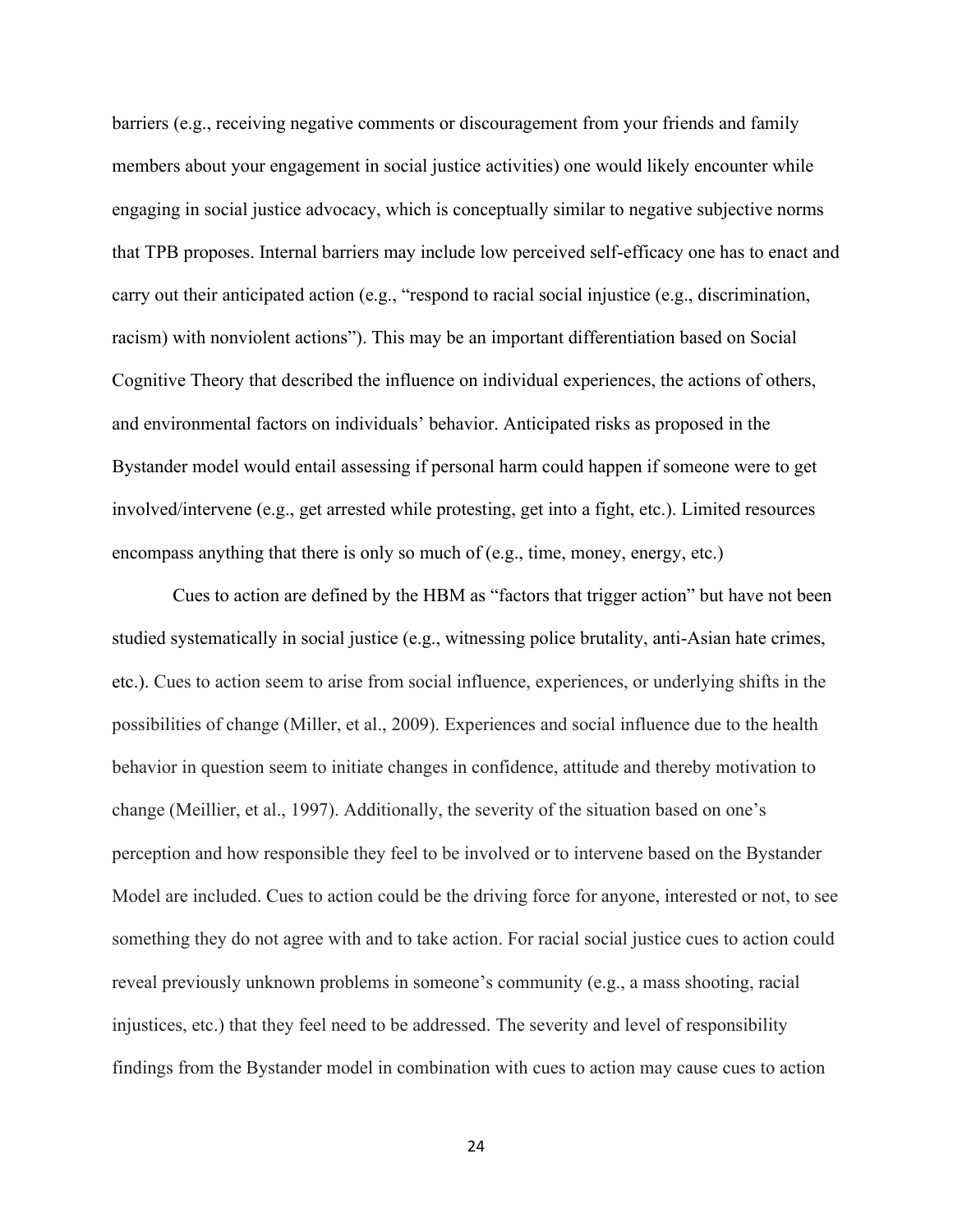barriers (e.g., receiving negative comments or discouragement from your friends and family members about your engagement in social justice activities) one would likely encounter while engaging in social justice advocacy, which is conceptually similar to negative subjective norms that TPB proposes. Internal barriers may include low perceived self-efficacy one has to enact and carry out their anticipated action (e.g., "respond to racial social injustice (e.g., discrimination, racism) with nonviolent actions"). This may be an important differentiation based on Social Cognitive Theory that described the influence on individual experiences, the actions of others, and environmental factors on individuals' behavior. Anticipated risks as proposed in the Bystander model would entail assessing if personal harm could happen if someone were to get involved/intervene (e.g., get arrested while protesting, get into a fight, etc.). Limited resources encompass anything that there is only so much of (e.g., time, money, energy, etc.)

Cues to action are defined by the HBM as "factors that trigger action" but have not been studied systematically in social justice (e.g., witnessing police brutality, anti-Asian hate crimes, etc.). Cues to action seem to arise from social influence, experiences, or underlying shifts in the possibilities of change (Miller, et al., 2009). Experiences and social influence due to the health behavior in question seem to initiate changes in confidence, attitude and thereby motivation to change (Meillier, et al., 1997). Additionally, the severity of the situation based on one's perception and how responsible they feel to be involved or to intervene based on the Bystander Model are included. Cues to action could be the driving force for anyone, interested or not, to see something they do not agree with and to take action. For racial social justice cues to action could reveal previously unknown problems in someone's community (e.g., a mass shooting, racial injustices, etc.) that they feel need to be addressed. The severity and level of responsibility findings from the Bystander model in combination with cues to action may cause cues to action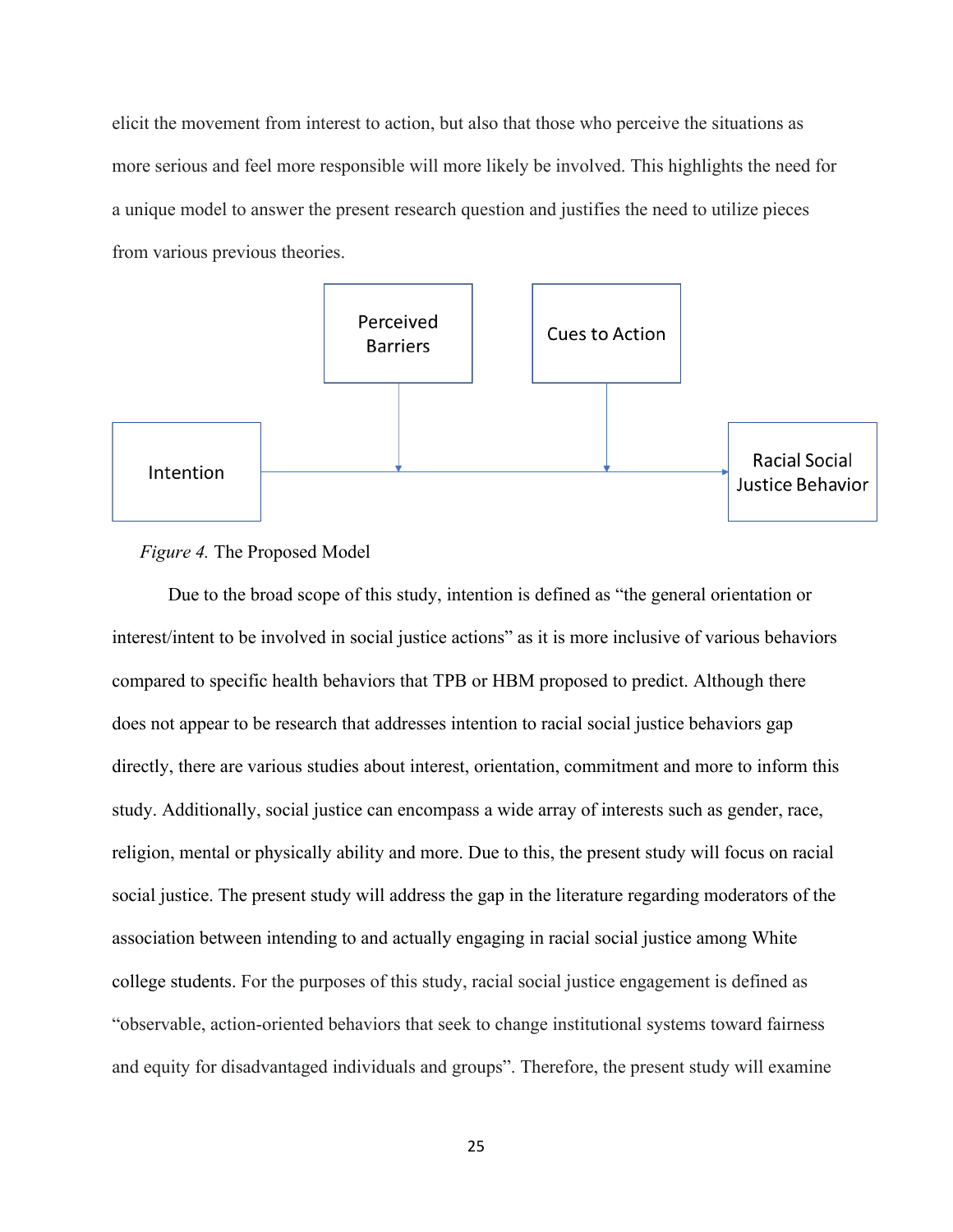elicit the movement from interest to action, but also that those who perceive the situations as more serious and feel more responsible will more likely be involved. This highlights the need for a unique model to answer the present research question and justifies the need to utilize pieces from various previous theories.



## *Figure 4.* The Proposed Model

Due to the broad scope of this study, intention is defined as "the general orientation or interest/intent to be involved in social justice actions" as it is more inclusive of various behaviors compared to specific health behaviors that TPB or HBM proposed to predict. Although there does not appear to be research that addresses intention to racial social justice behaviors gap directly, there are various studies about interest, orientation, commitment and more to inform this study. Additionally, social justice can encompass a wide array of interests such as gender, race, religion, mental or physically ability and more. Due to this, the present study will focus on racial social justice. The present study will address the gap in the literature regarding moderators of the association between intending to and actually engaging in racial social justice among White college students. For the purposes of this study, racial social justice engagement is defined as "observable, action‐oriented behaviors that seek to change institutional systems toward fairness and equity for disadvantaged individuals and groups". Therefore, the present study will examine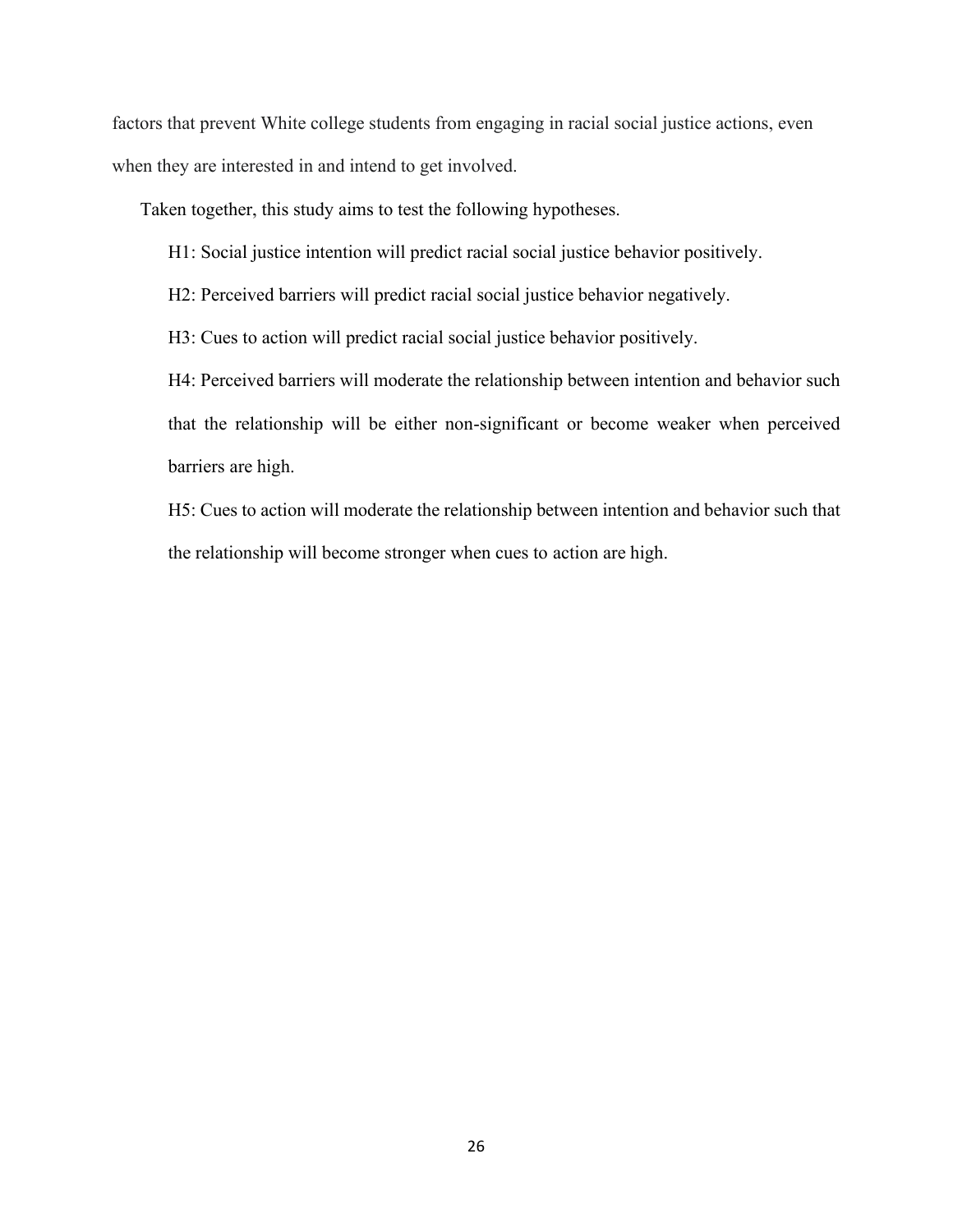factors that prevent White college students from engaging in racial social justice actions, even when they are interested in and intend to get involved.

Taken together, this study aims to test the following hypotheses.

- H1: Social justice intention will predict racial social justice behavior positively.
- H2: Perceived barriers will predict racial social justice behavior negatively.

H3: Cues to action will predict racial social justice behavior positively.

H4: Perceived barriers will moderate the relationship between intention and behavior such that the relationship will be either non-significant or become weaker when perceived barriers are high.

H5: Cues to action will moderate the relationship between intention and behavior such that the relationship will become stronger when cues to action are high.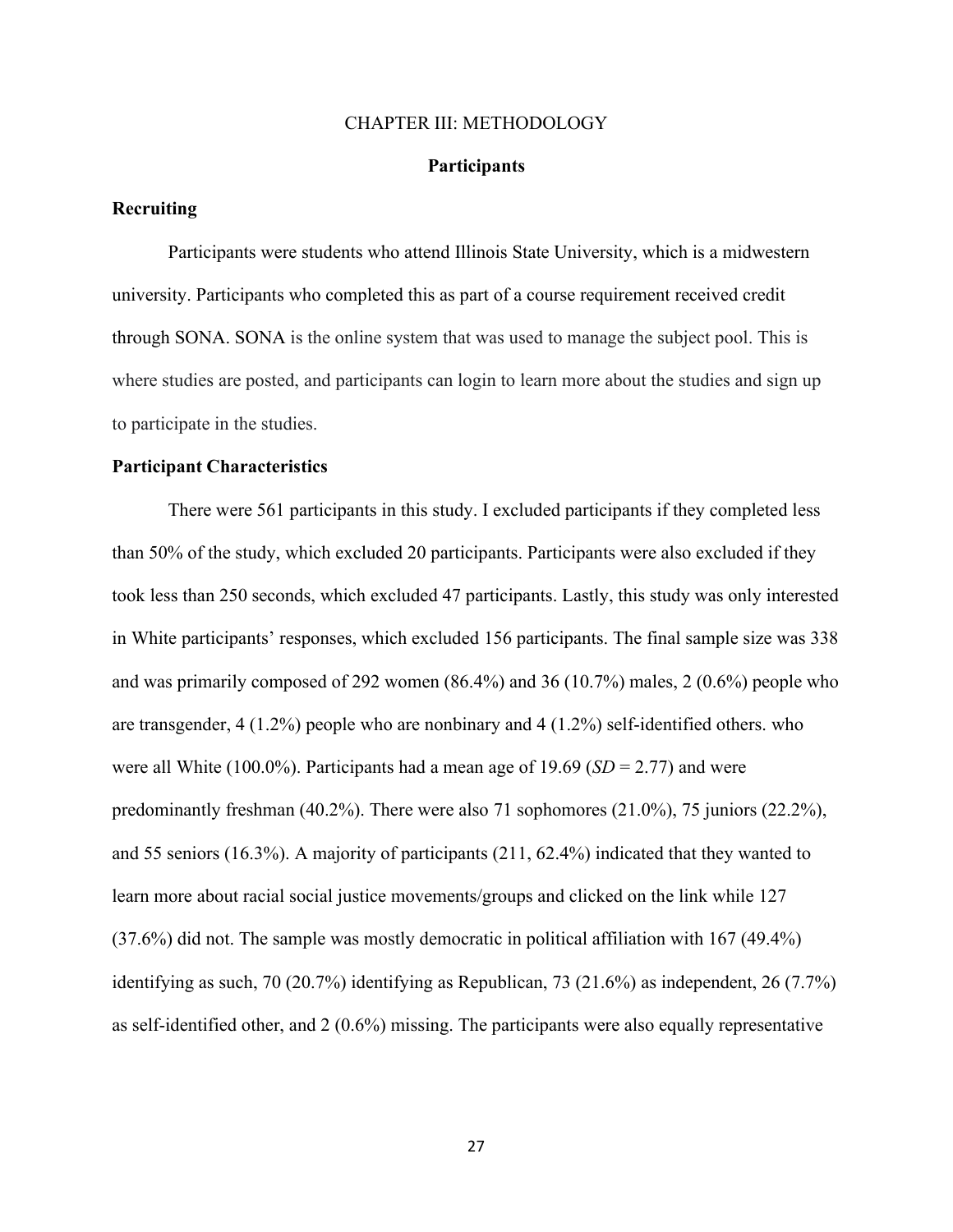#### CHAPTER III: METHODOLOGY

### **Participants**

# **Recruiting**

Participants were students who attend Illinois State University, which is a midwestern university. Participants who completed this as part of a course requirement received credit through SONA. SONA is the online system that was used to manage the subject pool. This is where studies are posted, and participants can login to learn more about the studies and sign up to participate in the studies.

### **Participant Characteristics**

There were 561 participants in this study. I excluded participants if they completed less than 50% of the study, which excluded 20 participants. Participants were also excluded if they took less than 250 seconds, which excluded 47 participants. Lastly, this study was only interested in White participants' responses, which excluded 156 participants. The final sample size was 338 and was primarily composed of 292 women (86.4%) and 36 (10.7%) males, 2 (0.6%) people who are transgender, 4 (1.2%) people who are nonbinary and 4 (1.2%) self-identified others. who were all White (100.0%). Participants had a mean age of 19.69 (*SD* = 2.77) and were predominantly freshman  $(40.2\%)$ . There were also 71 sophomores  $(21.0\%)$ , 75 juniors  $(22.2\%)$ , and 55 seniors (16.3%). A majority of participants (211, 62.4%) indicated that they wanted to learn more about racial social justice movements/groups and clicked on the link while 127 (37.6%) did not. The sample was mostly democratic in political affiliation with 167 (49.4%) identifying as such, 70 (20.7%) identifying as Republican, 73 (21.6%) as independent, 26 (7.7%) as self-identified other, and 2 (0.6%) missing. The participants were also equally representative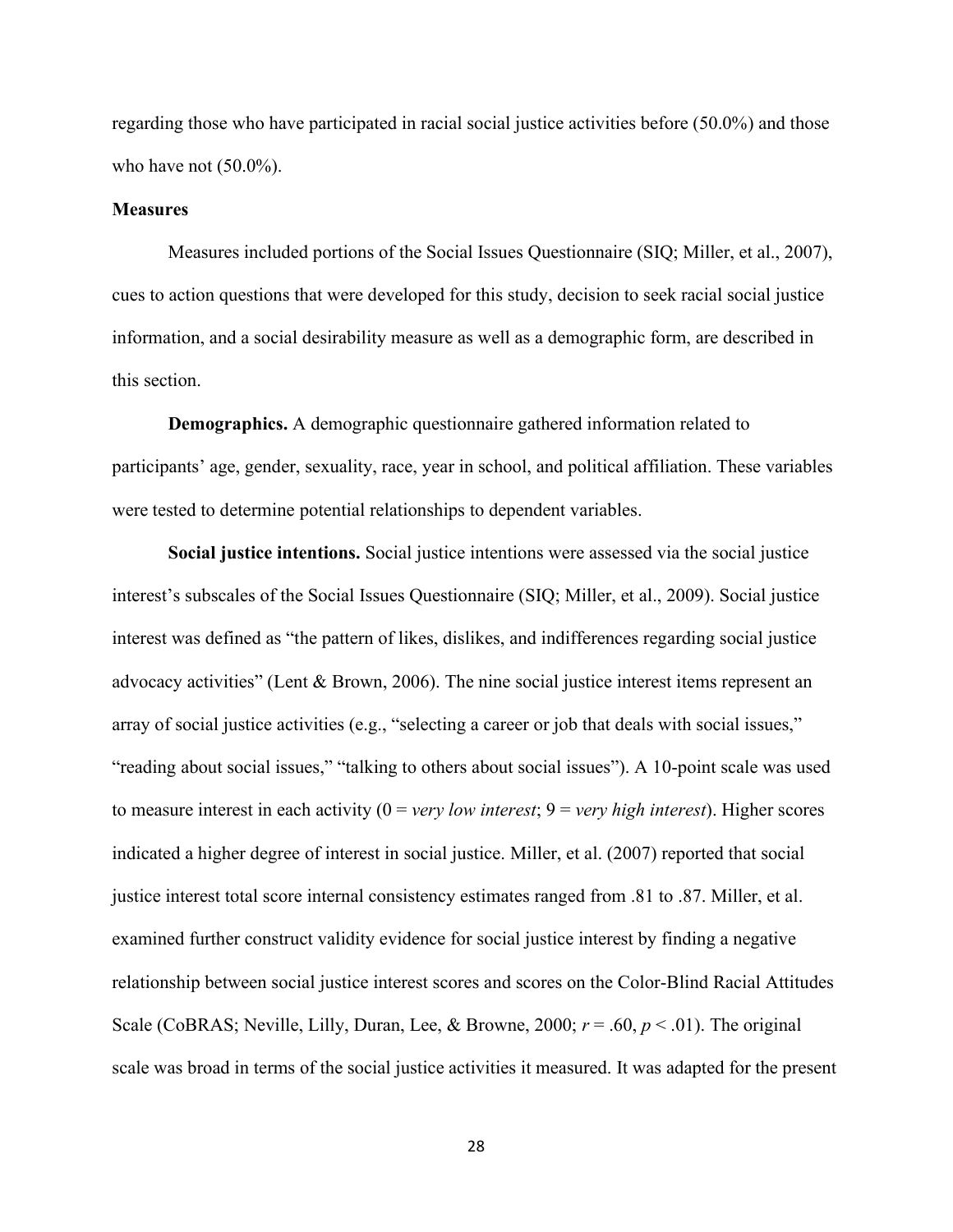regarding those who have participated in racial social justice activities before (50.0%) and those who have not  $(50.0\%)$ .

### **Measures**

Measures included portions of the Social Issues Questionnaire (SIQ; Miller, et al., 2007), cues to action questions that were developed for this study, decision to seek racial social justice information, and a social desirability measure as well as a demographic form, are described in this section.

**Demographics.** A demographic questionnaire gathered information related to participants' age, gender, sexuality, race, year in school, and political affiliation. These variables were tested to determine potential relationships to dependent variables.

**Social justice intentions.** Social justice intentions were assessed via the social justice interest's subscales of the Social Issues Questionnaire (SIQ; Miller, et al., 2009). Social justice interest was defined as "the pattern of likes, dislikes, and indifferences regarding social justice advocacy activities" (Lent & Brown, 2006). The nine social justice interest items represent an array of social justice activities (e.g., "selecting a career or job that deals with social issues," "reading about social issues," "talking to others about social issues"). A 10-point scale was used to measure interest in each activity (0 = *very low interest*; 9 = *very high interest*). Higher scores indicated a higher degree of interest in social justice. Miller, et al. (2007) reported that social justice interest total score internal consistency estimates ranged from .81 to .87. Miller, et al. examined further construct validity evidence for social justice interest by finding a negative relationship between social justice interest scores and scores on the Color-Blind Racial Attitudes Scale (CoBRAS; Neville, Lilly, Duran, Lee, & Browne, 2000;  $r = .60$ ,  $p < .01$ ). The original scale was broad in terms of the social justice activities it measured. It was adapted for the present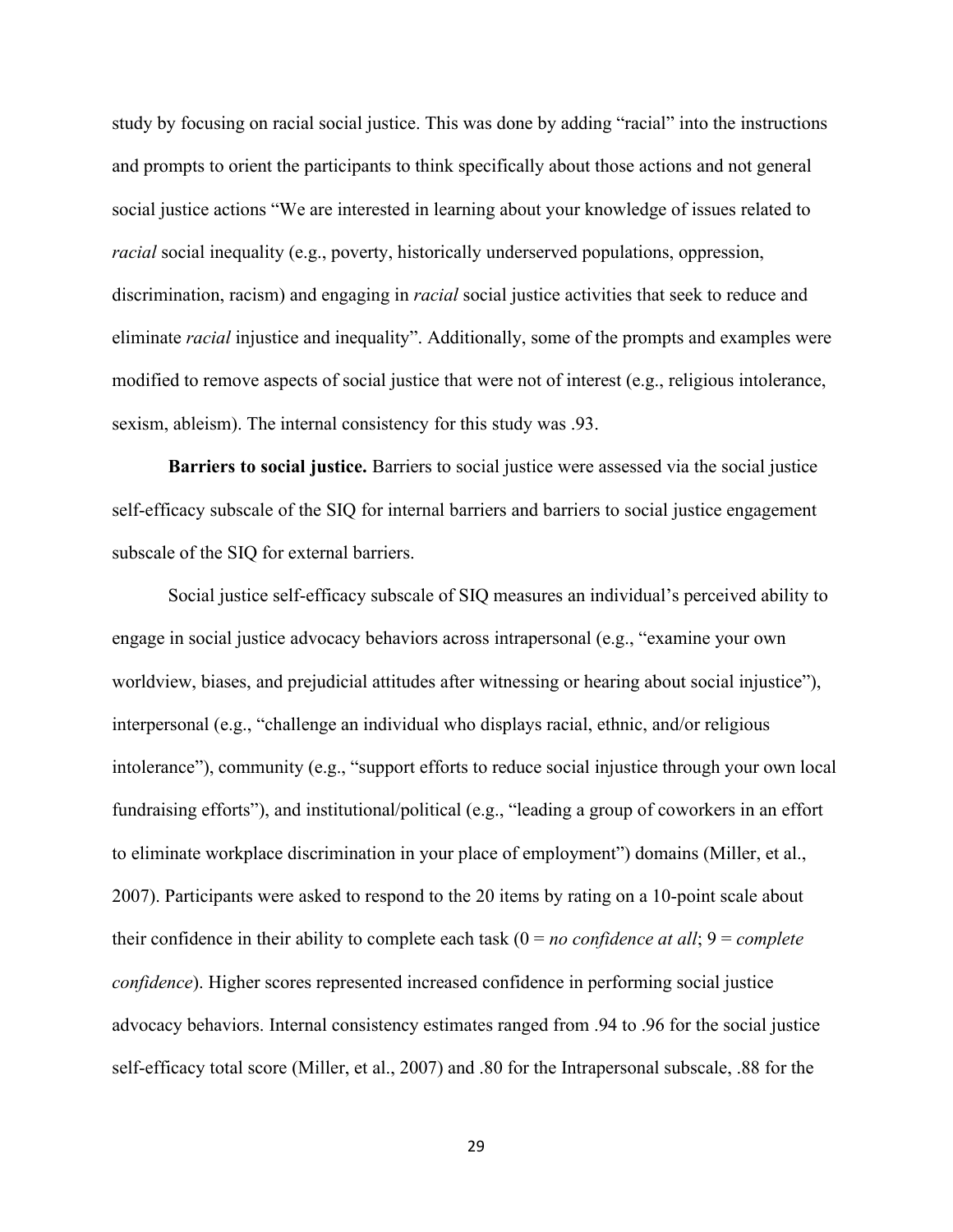study by focusing on racial social justice. This was done by adding "racial" into the instructions and prompts to orient the participants to think specifically about those actions and not general social justice actions "We are interested in learning about your knowledge of issues related to *racial* social inequality (e.g., poverty, historically underserved populations, oppression, discrimination, racism) and engaging in *racial* social justice activities that seek to reduce and eliminate *racial* injustice and inequality". Additionally, some of the prompts and examples were modified to remove aspects of social justice that were not of interest (e.g., religious intolerance, sexism, ableism). The internal consistency for this study was .93.

**Barriers to social justice.** Barriers to social justice were assessed via the social justice self-efficacy subscale of the SIQ for internal barriers and barriers to social justice engagement subscale of the SIQ for external barriers.

Social justice self-efficacy subscale of SIQ measures an individual's perceived ability to engage in social justice advocacy behaviors across intrapersonal (e.g., "examine your own worldview, biases, and prejudicial attitudes after witnessing or hearing about social injustice"), interpersonal (e.g., "challenge an individual who displays racial, ethnic, and/or religious intolerance"), community (e.g., "support efforts to reduce social injustice through your own local fundraising efforts"), and institutional/political (e.g., "leading a group of coworkers in an effort to eliminate workplace discrimination in your place of employment") domains (Miller, et al., 2007). Participants were asked to respond to the 20 items by rating on a 10-point scale about their confidence in their ability to complete each task (0 = *no confidence at all*; 9 = *complete confidence*). Higher scores represented increased confidence in performing social justice advocacy behaviors. Internal consistency estimates ranged from .94 to .96 for the social justice self-efficacy total score (Miller, et al., 2007) and .80 for the Intrapersonal subscale, .88 for the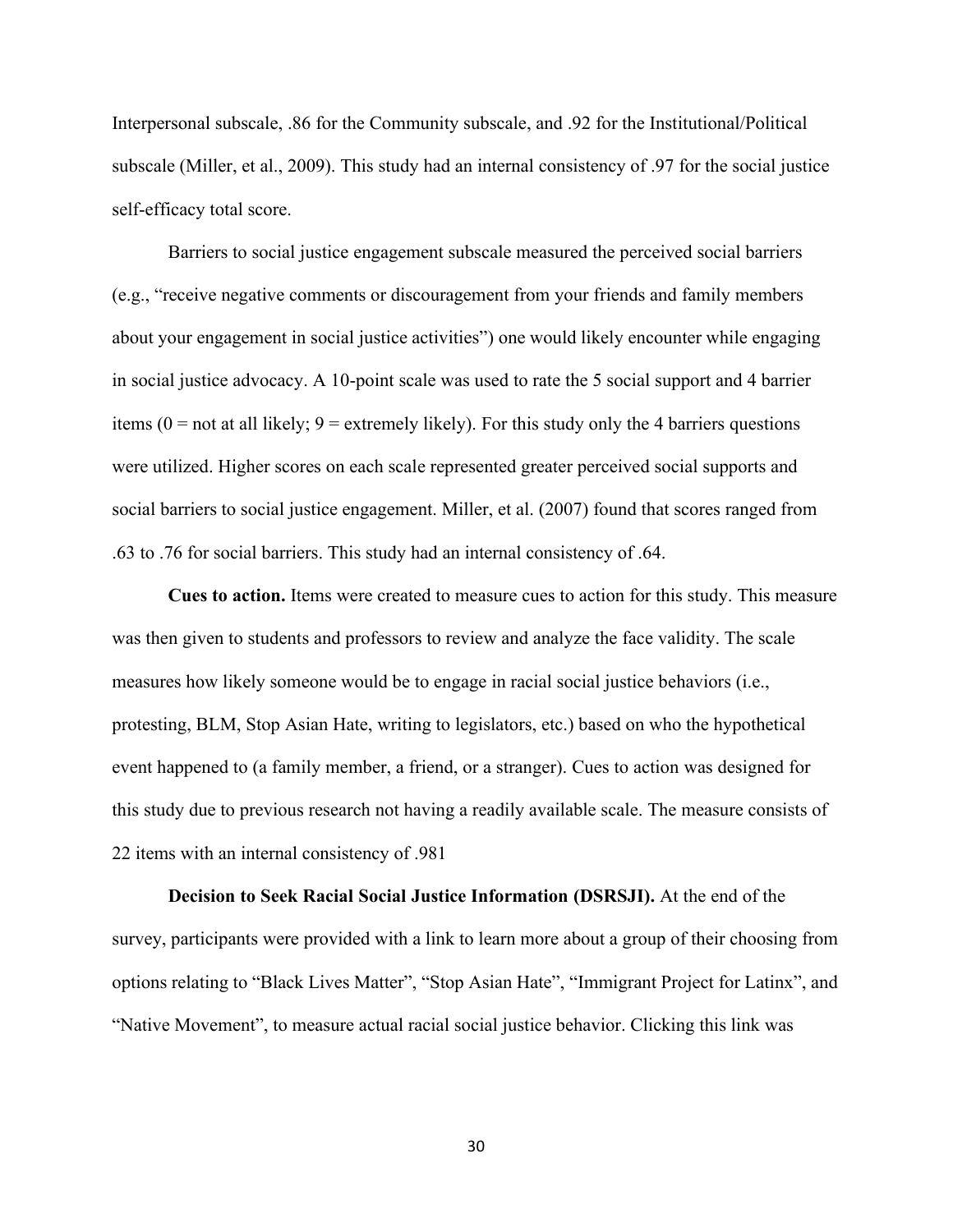Interpersonal subscale, .86 for the Community subscale, and .92 for the Institutional/Political subscale (Miller, et al., 2009). This study had an internal consistency of .97 for the social justice self-efficacy total score.

Barriers to social justice engagement subscale measured the perceived social barriers (e.g., "receive negative comments or discouragement from your friends and family members about your engagement in social justice activities") one would likely encounter while engaging in social justice advocacy. A 10-point scale was used to rate the 5 social support and 4 barrier items ( $0 =$  not at all likely;  $9 =$  extremely likely). For this study only the 4 barriers questions were utilized. Higher scores on each scale represented greater perceived social supports and social barriers to social justice engagement. Miller, et al. (2007) found that scores ranged from .63 to .76 for social barriers. This study had an internal consistency of .64.

**Cues to action.** Items were created to measure cues to action for this study. This measure was then given to students and professors to review and analyze the face validity. The scale measures how likely someone would be to engage in racial social justice behaviors (i.e., protesting, BLM, Stop Asian Hate, writing to legislators, etc.) based on who the hypothetical event happened to (a family member, a friend, or a stranger). Cues to action was designed for this study due to previous research not having a readily available scale. The measure consists of 22 items with an internal consistency of .981

**Decision to Seek Racial Social Justice Information (DSRSJI).** At the end of the survey, participants were provided with a link to learn more about a group of their choosing from options relating to "Black Lives Matter", "Stop Asian Hate", "Immigrant Project for Latinx", and "Native Movement", to measure actual racial social justice behavior. Clicking this link was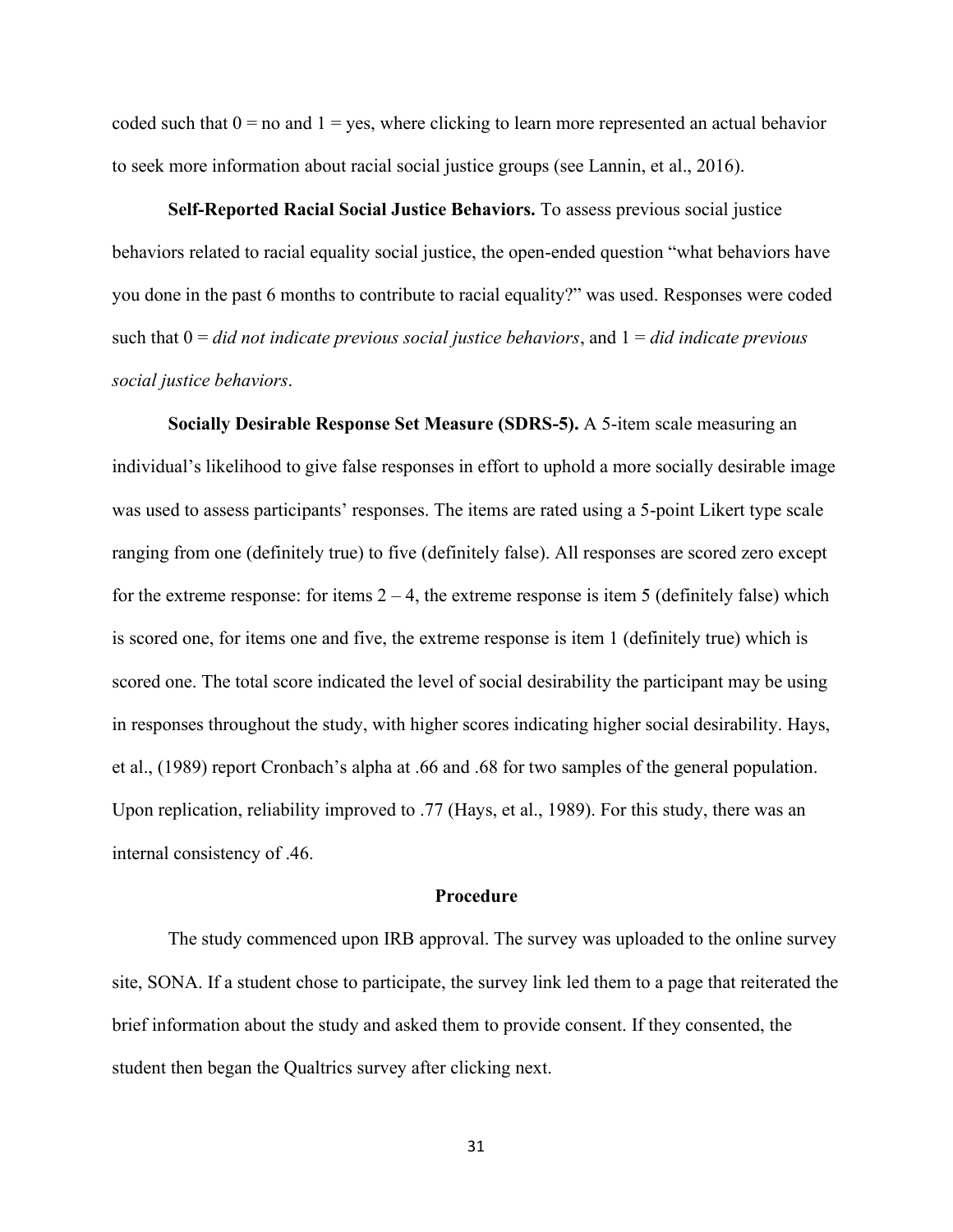coded such that  $0 =$  no and  $1 =$  yes, where clicking to learn more represented an actual behavior to seek more information about racial social justice groups (see Lannin, et al., 2016).

**Self-Reported Racial Social Justice Behaviors.** To assess previous social justice behaviors related to racial equality social justice, the open-ended question "what behaviors have you done in the past 6 months to contribute to racial equality?" was used. Responses were coded such that 0 = *did not indicate previous social justice behaviors*, and 1 = *did indicate previous social justice behaviors*.

**Socially Desirable Response Set Measure (SDRS-5).** A 5-item scale measuring an individual's likelihood to give false responses in effort to uphold a more socially desirable image was used to assess participants' responses. The items are rated using a 5-point Likert type scale ranging from one (definitely true) to five (definitely false). All responses are scored zero except for the extreme response: for items  $2 - 4$ , the extreme response is item 5 (definitely false) which is scored one, for items one and five, the extreme response is item 1 (definitely true) which is scored one. The total score indicated the level of social desirability the participant may be using in responses throughout the study, with higher scores indicating higher social desirability. Hays, et al., (1989) report Cronbach's alpha at .66 and .68 for two samples of the general population. Upon replication, reliability improved to .77 (Hays, et al., 1989). For this study, there was an internal consistency of .46.

#### **Procedure**

The study commenced upon IRB approval. The survey was uploaded to the online survey site, SONA. If a student chose to participate, the survey link led them to a page that reiterated the brief information about the study and asked them to provide consent. If they consented, the student then began the Qualtrics survey after clicking next.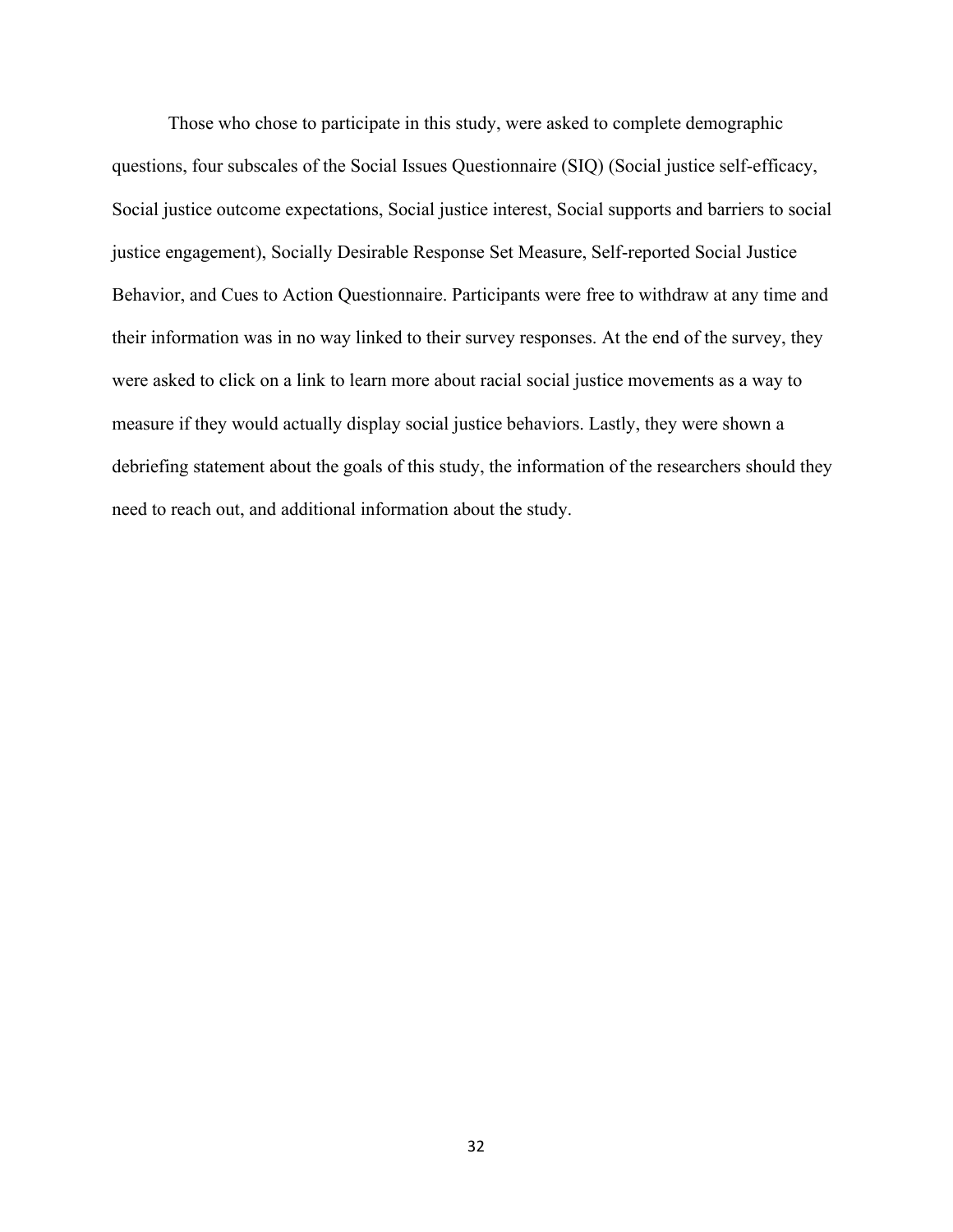Those who chose to participate in this study, were asked to complete demographic questions, four subscales of the Social Issues Questionnaire (SIQ) (Social justice self-efficacy, Social justice outcome expectations, Social justice interest, Social supports and barriers to social justice engagement), Socially Desirable Response Set Measure, Self-reported Social Justice Behavior, and Cues to Action Questionnaire. Participants were free to withdraw at any time and their information was in no way linked to their survey responses. At the end of the survey, they were asked to click on a link to learn more about racial social justice movements as a way to measure if they would actually display social justice behaviors. Lastly, they were shown a debriefing statement about the goals of this study, the information of the researchers should they need to reach out, and additional information about the study.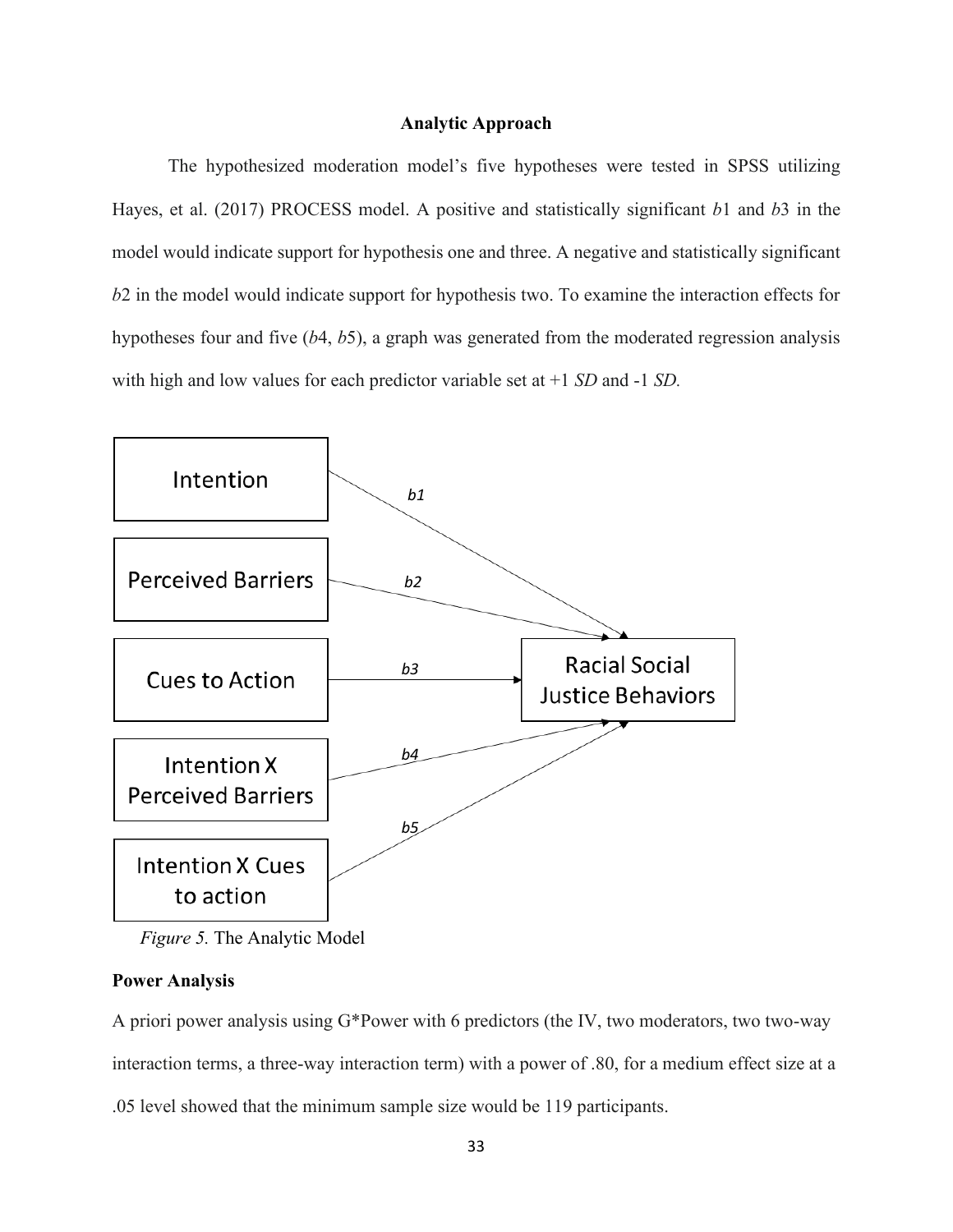## **Analytic Approach**

The hypothesized moderation model's five hypotheses were tested in SPSS utilizing Hayes, et al. (2017) PROCESS model. A positive and statistically significant *b*1 and *b*3 in the model would indicate support for hypothesis one and three. A negative and statistically significant *b*2 in the model would indicate support for hypothesis two. To examine the interaction effects for hypotheses four and five (*b*4, *b*5), a graph was generated from the moderated regression analysis with high and low values for each predictor variable set at +1 *SD* and -1 *SD.*



*Figure 5.* The Analytic Model

# **Power Analysis**

A priori power analysis using G\*Power with 6 predictors (the IV, two moderators, two two-way interaction terms, a three-way interaction term) with a power of .80, for a medium effect size at a .05 level showed that the minimum sample size would be 119 participants.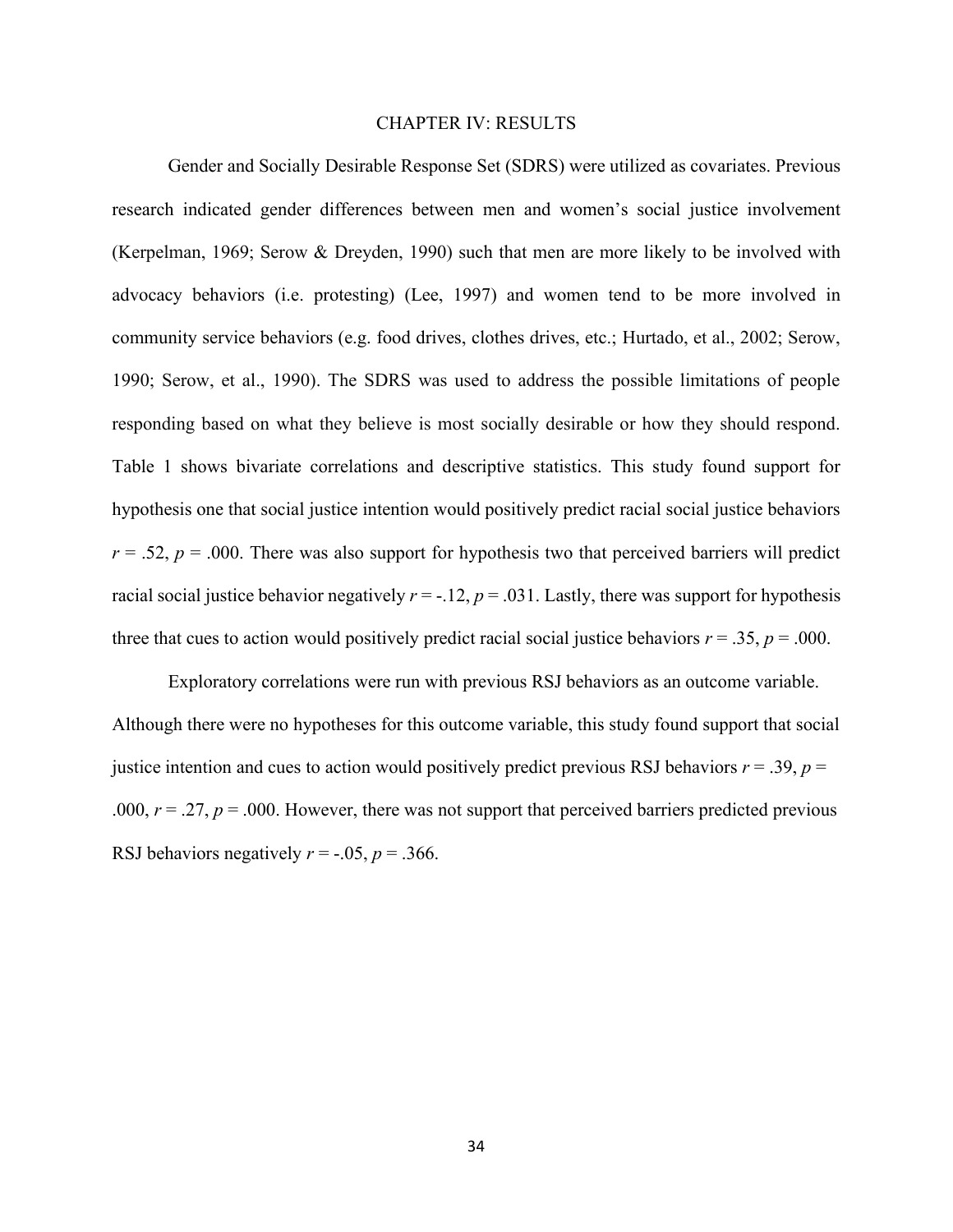### CHAPTER IV: RESULTS

Gender and Socially Desirable Response Set (SDRS) were utilized as covariates. Previous research indicated gender differences between men and women's social justice involvement (Kerpelman, 1969; Serow & Dreyden, 1990) such that men are more likely to be involved with advocacy behaviors (i.e. protesting) (Lee, 1997) and women tend to be more involved in community service behaviors (e.g. food drives, clothes drives, etc.; Hurtado, et al., 2002; Serow, 1990; Serow, et al., 1990). The SDRS was used to address the possible limitations of people responding based on what they believe is most socially desirable or how they should respond. Table 1 shows bivariate correlations and descriptive statistics. This study found support for hypothesis one that social justice intention would positively predict racial social justice behaviors  $r = 0.52$ ,  $p = 0.000$ . There was also support for hypothesis two that perceived barriers will predict racial social justice behavior negatively  $r = -.12$ ,  $p = .031$ . Lastly, there was support for hypothesis three that cues to action would positively predict racial social justice behaviors  $r = .35$ ,  $p = .000$ .

Exploratory correlations were run with previous RSJ behaviors as an outcome variable. Although there were no hypotheses for this outcome variable, this study found support that social justice intention and cues to action would positively predict previous RSJ behaviors  $r = .39$ ,  $p =$ .000,  $r = .27$ ,  $p = .000$ . However, there was not support that perceived barriers predicted previous RSJ behaviors negatively  $r = -0.05$ ,  $p = 0.366$ .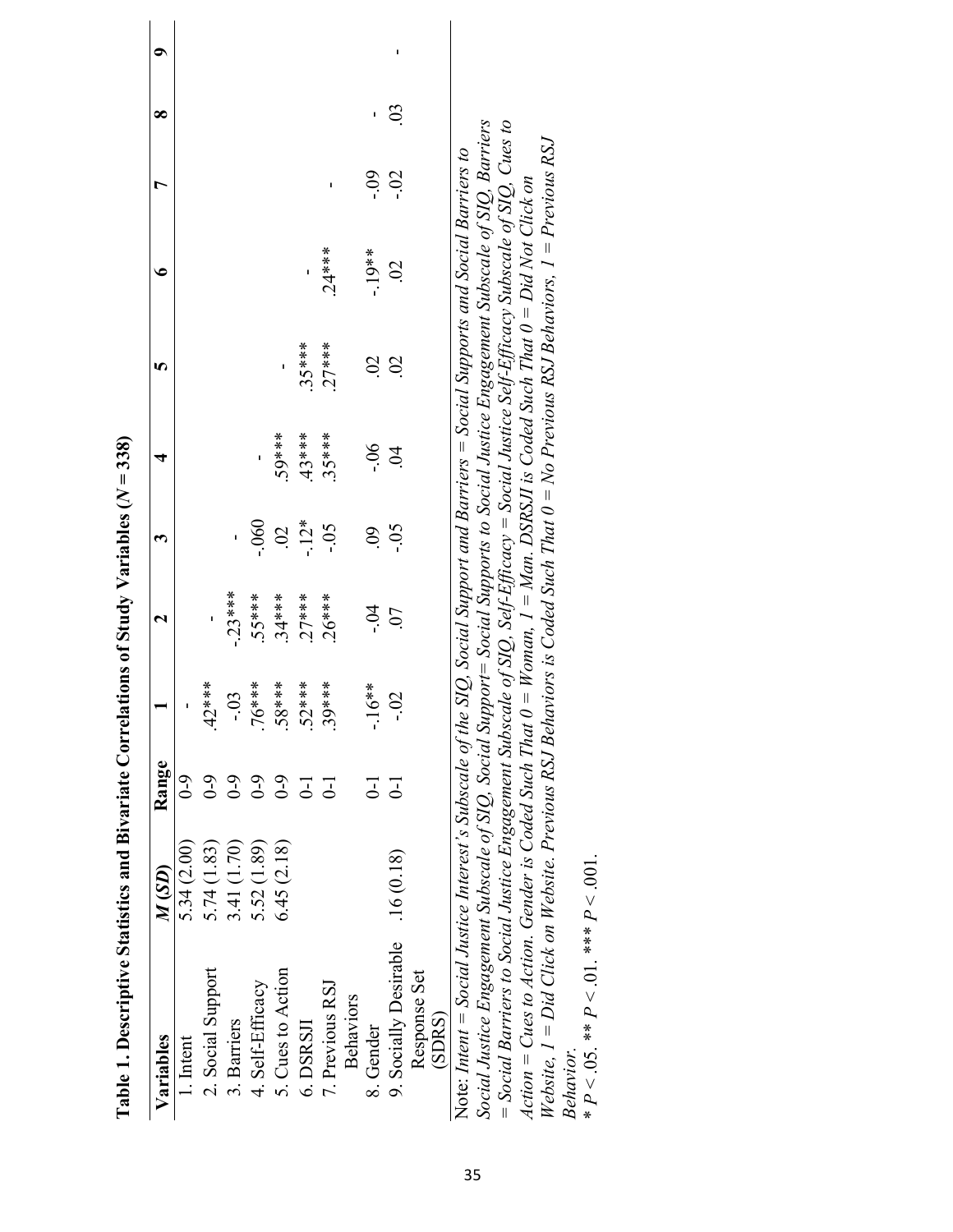| Table 1. Descriptive Statistics and Bivariate Correlations of Study Variables ( $N = 338$ )                                           |             |                |                           |                |                |                |                |               |           |                |   |
|---------------------------------------------------------------------------------------------------------------------------------------|-------------|----------------|---------------------------|----------------|----------------|----------------|----------------|---------------|-----------|----------------|---|
| Variables                                                                                                                             | M(SD)       | Range          |                           | 2              | ო              | 4              | 5              | €             | r         | ∞              | ົ |
| 1. Intent                                                                                                                             | 5.34(2.00)  | $6-0$          |                           |                |                |                |                |               |           |                |   |
| 2. Social Support                                                                                                                     | 5.74(1.83)  | $6-0$          | $42***$                   | ı              |                |                |                |               |           |                |   |
| 3. Barriers                                                                                                                           | 3.41 (1.70) | $6-0$          | $\mathfrak{L}$<br>ب<br>∶  | $-23***$       |                |                |                |               |           |                |   |
| 4. Self-Efficacy                                                                                                                      | 5.52 (1.89) | $6-9$          | $***$                     | 55****         | 0.060          |                |                |               |           |                |   |
| 5. Cues to Action                                                                                                                     | 6.45(2.18)  | $6 - 0$        | ****8                     | $.34***$       | $\overline{0}$ | .59***         | ı              |               |           |                |   |
| 6. DSRSJI                                                                                                                             |             | $\overline{c}$ | $.52***$                  | $27***$        | $-12*$         | 43****         | $35***$        |               |           |                |   |
| 7. Previous RSJ                                                                                                                       |             | $\overline{5}$ | 39****                    | $26***$        | $-0.5$         | $.35***$       | $27***$        | $.24***$      | ı         |                |   |
| <b>Behaviors</b>                                                                                                                      |             |                |                           |                |                |                |                |               |           |                |   |
| 8. Gender                                                                                                                             |             | こ              | $-16**$                   | $-0.4$         | $\overline{6}$ | $-0.5$         | $\overline{c}$ | $-19**$       | $-0.9$    |                |   |
| 9. Socially Desirable                                                                                                                 | .16(0.18)   | $\Xi$          | $\overline{2}$<br>ے۔<br>آ | $\overline{0}$ | $-0.5$         | $\mathfrak{A}$ | $\mathcal{S}$  | $\mathcal{S}$ | <u>Si</u> | $\mathfrak{S}$ | ı |
| Response Set                                                                                                                          |             |                |                           |                |                |                |                |               |           |                |   |
| (SDRS)                                                                                                                                |             |                |                           |                |                |                |                |               |           |                |   |
| Note: Intent = Social Justice Interest's Subscale of the SIQ, Social Support and Barriers = Social Supports and Social Barriers to    |             |                |                           |                |                |                |                |               |           |                |   |
| Social Justice Engagement Subscale of SIQ, Social Support= Social Supports to Social Justice Engagement Subscale of SIQ, Barriers     |             |                |                           |                |                |                |                |               |           |                |   |
| = Social Barriers to Social Justice Engagement Subscale of SIQ, Self-Efficacy = Social Justice Self-Efficacy Subscale of SIQ, Cues to |             |                |                           |                |                |                |                |               |           |                |   |
| Action = Cues to Action. Gender is Coded Such That $0 = W$ oman, $I = Man$ . DSRSJI is Coded Such That $0 = Did$ Not Click on         |             |                |                           |                |                |                |                |               |           |                |   |
| Website, $I = Did$ Click on Website. Previous RSJ Behaviors is Coded Such That $0 = No$ Previous RSJ Behaviors, $I = Previous$ RSJ    |             |                |                           |                |                |                |                |               |           |                |   |
| Behavior.                                                                                                                             |             |                |                           |                |                |                |                |               |           |                |   |

|                   | r,           |  |
|-------------------|--------------|--|
|                   |              |  |
|                   |              |  |
|                   | ſ,           |  |
|                   | ***          |  |
|                   |              |  |
|                   | ć            |  |
|                   |              |  |
|                   | $\mathbf{a}$ |  |
|                   | $*$          |  |
|                   | č            |  |
|                   |              |  |
| <u>וטעינעינטו</u> | д            |  |
|                   | $\ddot{x}$   |  |
|                   |              |  |

| ļ<br>ļ               |
|----------------------|
|                      |
|                      |
|                      |
|                      |
| i<br>ĺ               |
|                      |
| י<br>ו               |
|                      |
|                      |
| $\frac{1}{2}$        |
| ļ<br>ţ               |
|                      |
| くくろくり                |
|                      |
|                      |
|                      |
|                      |
|                      |
| $\vdots$             |
| Ì                    |
|                      |
|                      |
| $\ddot{\phantom{a}}$ |
|                      |
|                      |
| $\vdots$<br>i        |
| <br> <br>            |
|                      |
|                      |
|                      |
|                      |
|                      |
|                      |
|                      |
|                      |
|                      |
|                      |
| l                    |
|                      |
|                      |
| ļ                    |
|                      |
| į                    |
| d                    |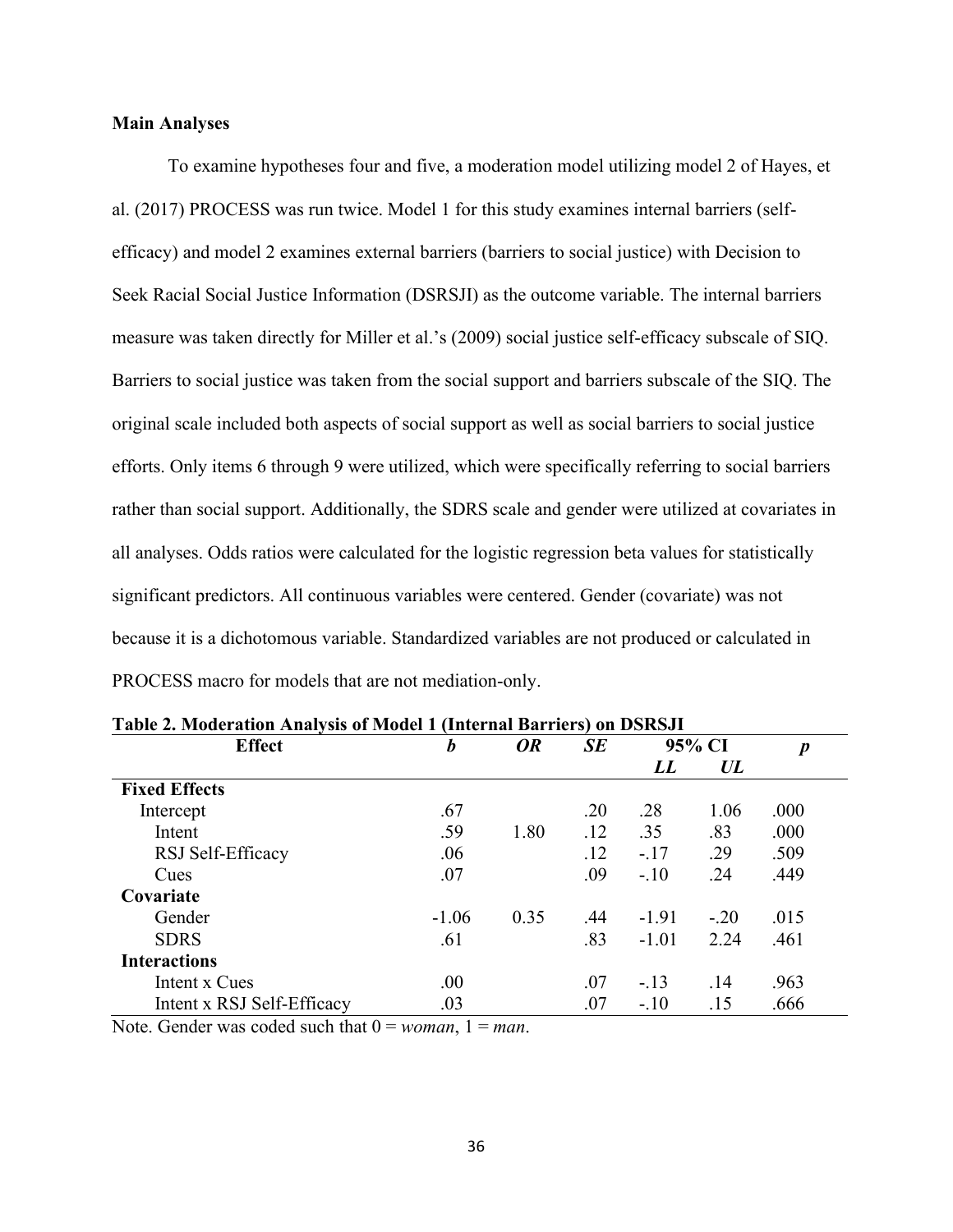# **Main Analyses**

To examine hypotheses four and five, a moderation model utilizing model 2 of Hayes, et al. (2017) PROCESS was run twice. Model 1 for this study examines internal barriers (selfefficacy) and model 2 examines external barriers (barriers to social justice) with Decision to Seek Racial Social Justice Information (DSRSJI) as the outcome variable. The internal barriers measure was taken directly for Miller et al.'s (2009) social justice self-efficacy subscale of SIQ. Barriers to social justice was taken from the social support and barriers subscale of the SIQ. The original scale included both aspects of social support as well as social barriers to social justice efforts. Only items 6 through 9 were utilized, which were specifically referring to social barriers rather than social support. Additionally, the SDRS scale and gender were utilized at covariates in all analyses. Odds ratios were calculated for the logistic regression beta values for statistically significant predictors. All continuous variables were centered. Gender (covariate) was not because it is a dichotomous variable. Standardized variables are not produced or calculated in PROCESS macro for models that are not mediation-only.

| <b>Effect</b>              | b       | <b>OR</b> | SE  | 95% CI  |        | $\boldsymbol{p}$ |
|----------------------------|---------|-----------|-----|---------|--------|------------------|
|                            |         |           |     | LL      | UL     |                  |
| <b>Fixed Effects</b>       |         |           |     |         |        |                  |
| Intercept                  | .67     |           | .20 | .28     | 1.06   | .000             |
| Intent                     | .59     | 1.80      | .12 | .35     | .83    | .000             |
| RSJ Self-Efficacy          | .06     |           | .12 | $-.17$  | .29    | .509             |
| Cues                       | .07     |           | .09 | $-.10$  | .24    | .449             |
| Covariate                  |         |           |     |         |        |                  |
| Gender                     | $-1.06$ | 0.35      | .44 | $-1.91$ | $-.20$ | .015             |
| <b>SDRS</b>                | .61     |           | .83 | $-1.01$ | 2.24   | .461             |
| <b>Interactions</b>        |         |           |     |         |        |                  |
| Intent x Cues              | .00.    |           | .07 | $-.13$  | .14    | .963             |
| Intent x RSJ Self-Efficacy | .03     |           | .07 | $-.10$  | .15    | .666             |

**Table 2. Moderation Analysis of Model 1 (Internal Barriers) on DSRSJI** 

Note. Gender was coded such that  $0 = woman$ ,  $1 = man$ .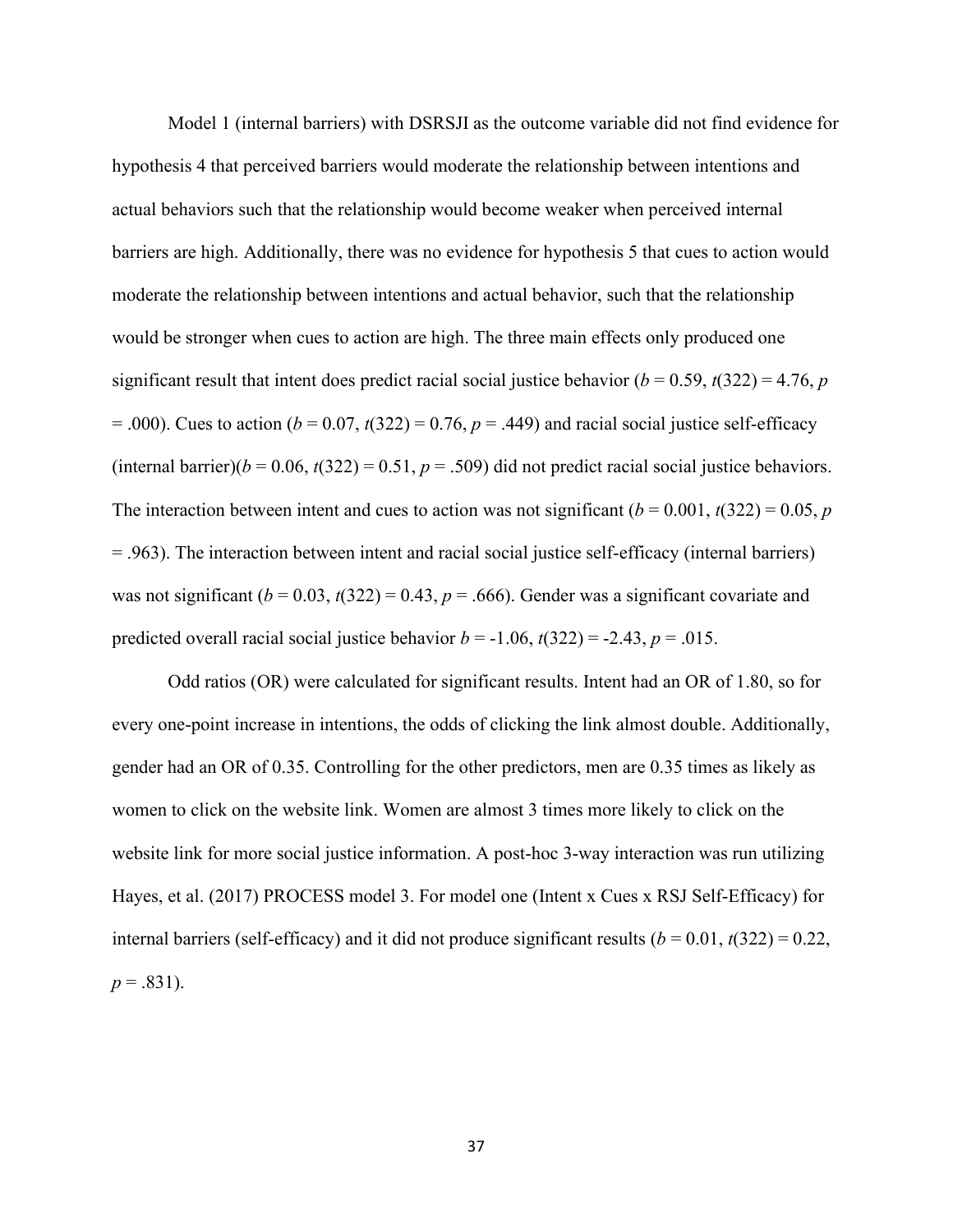Model 1 (internal barriers) with DSRSJI as the outcome variable did not find evidence for hypothesis 4 that perceived barriers would moderate the relationship between intentions and actual behaviors such that the relationship would become weaker when perceived internal barriers are high. Additionally, there was no evidence for hypothesis 5 that cues to action would moderate the relationship between intentions and actual behavior, such that the relationship would be stronger when cues to action are high. The three main effects only produced one significant result that intent does predict racial social justice behavior ( $b = 0.59$ ,  $t(322) = 4.76$ , *p*  $= .000$ ). Cues to action ( $b = 0.07$ ,  $t(322) = 0.76$ ,  $p = .449$ ) and racial social justice self-efficacy (internal barrier)( $b = 0.06$ ,  $t(322) = 0.51$ ,  $p = .509$ ) did not predict racial social justice behaviors. The interaction between intent and cues to action was not significant  $(b = 0.001, t(322) = 0.05, p$ = .963). The interaction between intent and racial social justice self-efficacy (internal barriers) was not significant  $(b = 0.03, t(322) = 0.43, p = .666)$ . Gender was a significant covariate and predicted overall racial social justice behavior  $b = -1.06$ ,  $t(322) = -2.43$ ,  $p = .015$ .

Odd ratios (OR) were calculated for significant results. Intent had an OR of 1.80, so for every one-point increase in intentions, the odds of clicking the link almost double. Additionally, gender had an OR of 0.35. Controlling for the other predictors, men are 0.35 times as likely as women to click on the website link. Women are almost 3 times more likely to click on the website link for more social justice information. A post-hoc 3-way interaction was run utilizing Hayes, et al. (2017) PROCESS model 3. For model one (Intent x Cues x RSJ Self-Efficacy) for internal barriers (self-efficacy) and it did not produce significant results  $(b = 0.01, t(322) = 0.22,$  $p = .831$ ).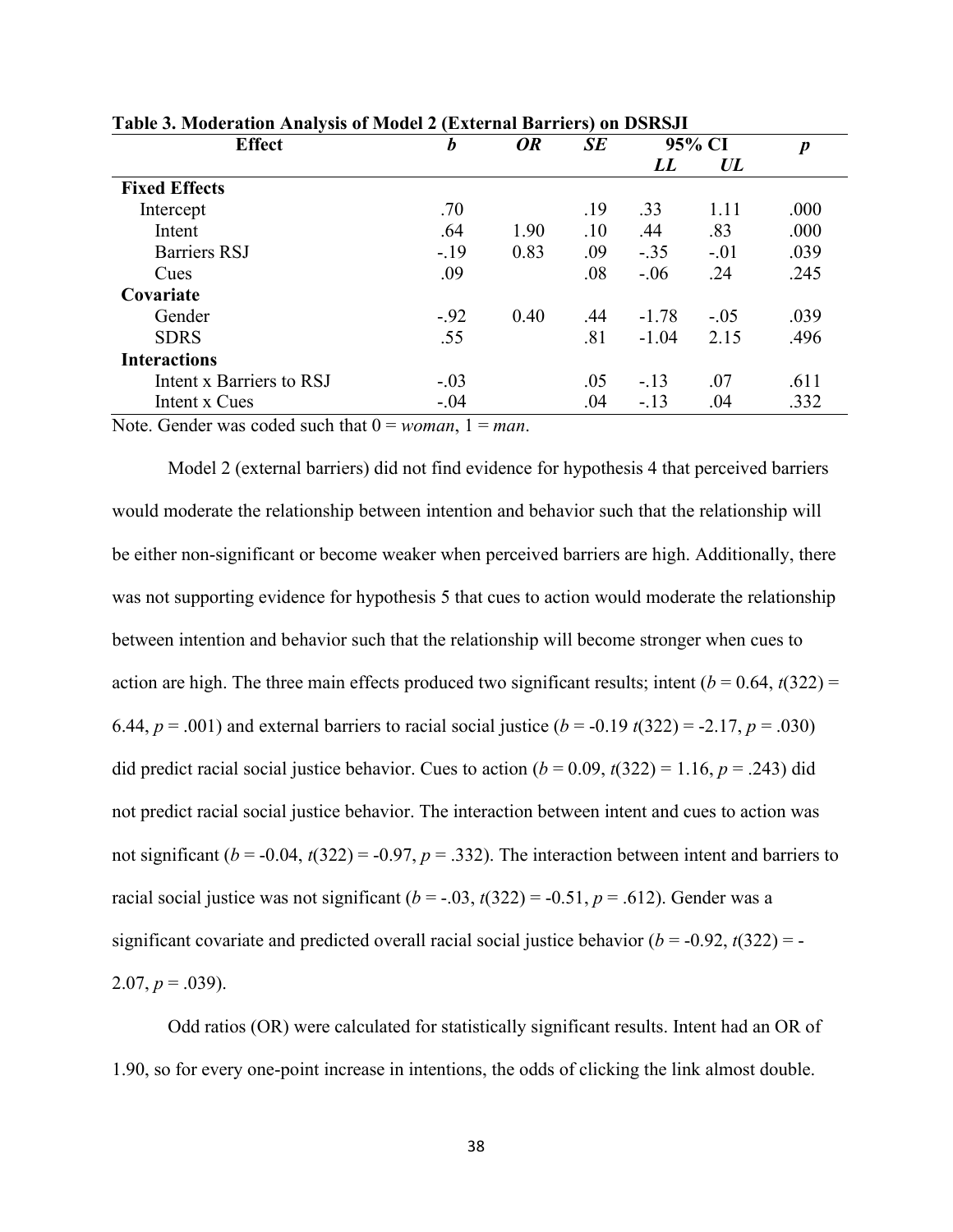| <b>Effect</b>            | $\boldsymbol{b}$ | <b>OR</b> |     | 95% CI  |        | $\boldsymbol{p}$ |
|--------------------------|------------------|-----------|-----|---------|--------|------------------|
|                          |                  |           |     | LL      | UL     |                  |
| <b>Fixed Effects</b>     |                  |           |     |         |        |                  |
| Intercept                | .70              |           | .19 | .33     | 1.11   | .000             |
| Intent                   | .64              | 1.90      | .10 | .44     | .83    | .000             |
| <b>Barriers RSJ</b>      | $-.19$           | 0.83      | .09 | $-.35$  | $-.01$ | .039             |
| Cues                     | .09              |           | .08 | $-.06$  | .24    | .245             |
| Covariate                |                  |           |     |         |        |                  |
| Gender                   | $-.92$           | 0.40      | .44 | $-1.78$ | $-.05$ | .039             |
| <b>SDRS</b>              | .55              |           | .81 | $-1.04$ | 2.15   | .496             |
| <b>Interactions</b>      |                  |           |     |         |        |                  |
| Intent x Barriers to RSJ | $-.03$           |           | .05 | $-.13$  | .07    | .611             |
| Intent x Cues            | $-.04$           |           | .04 | $-13$   | .04    | .332             |

**Table 3. Moderation Analysis of Model 2 (External Barriers) on DSRSJI** 

Note. Gender was coded such that  $0 = woman$ ,  $1 = man$ .

Model 2 (external barriers) did not find evidence for hypothesis 4 that perceived barriers would moderate the relationship between intention and behavior such that the relationship will be either non-significant or become weaker when perceived barriers are high. Additionally, there was not supporting evidence for hypothesis 5 that cues to action would moderate the relationship between intention and behavior such that the relationship will become stronger when cues to action are high. The three main effects produced two significant results; intent  $(b = 0.64, t(322) =$ 6.44,  $p = .001$ ) and external barriers to racial social justice  $(b = -0.19 t(322) = -2.17, p = .030)$ did predict racial social justice behavior. Cues to action  $(b = 0.09, t(322) = 1.16, p = .243)$  did not predict racial social justice behavior. The interaction between intent and cues to action was not significant ( $b = -0.04$ ,  $t(322) = -0.97$ ,  $p = .332$ ). The interaction between intent and barriers to racial social justice was not significant  $(b = -.03, t(322) = -0.51, p = .612)$ . Gender was a significant covariate and predicted overall racial social justice behavior  $(b = -0.92, t(322) = -1.5$  $2.07, p = .039$ ).

Odd ratios (OR) were calculated for statistically significant results. Intent had an OR of 1.90, so for every one-point increase in intentions, the odds of clicking the link almost double.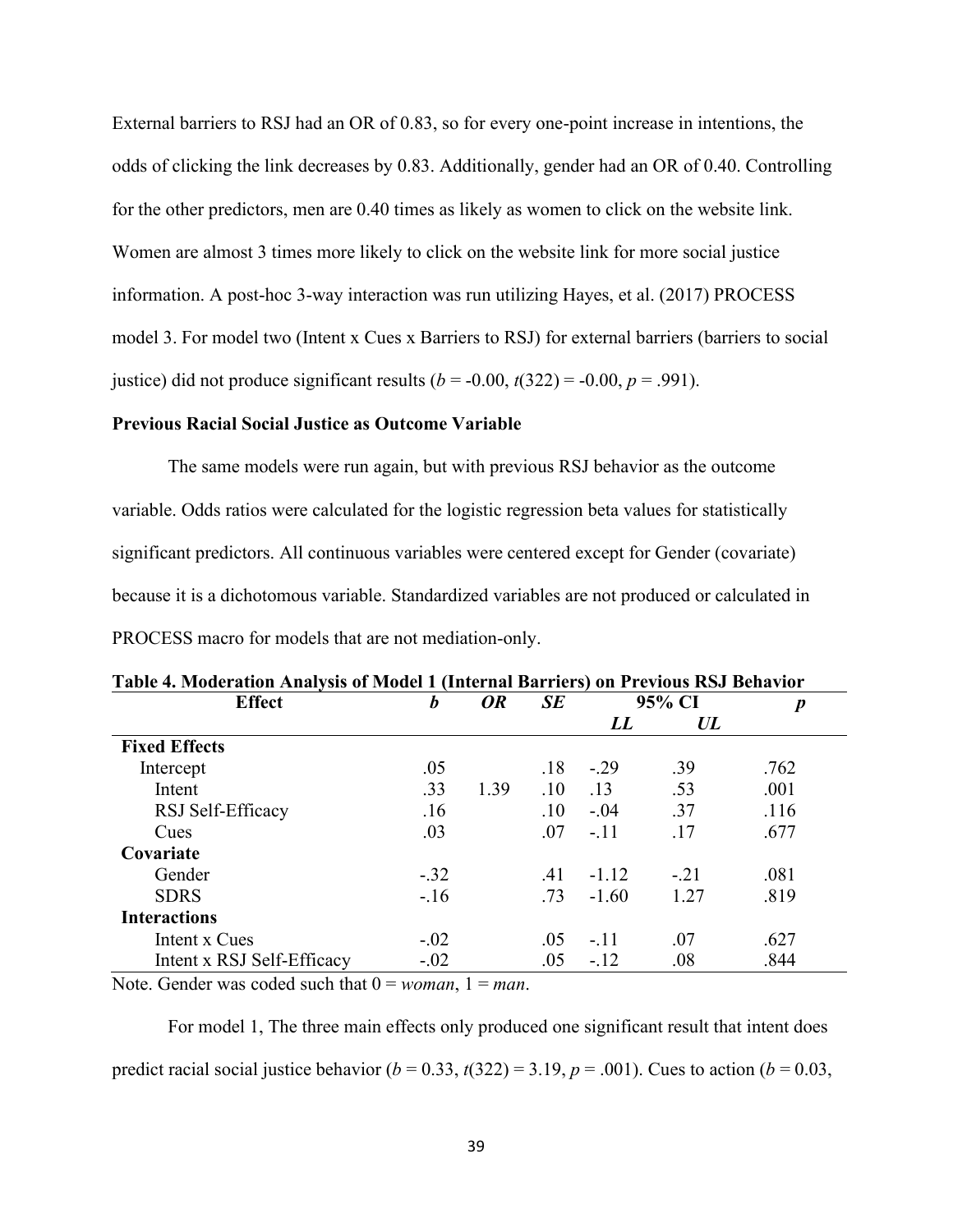External barriers to RSJ had an OR of 0.83, so for every one-point increase in intentions, the odds of clicking the link decreases by 0.83. Additionally, gender had an OR of 0.40. Controlling for the other predictors, men are 0.40 times as likely as women to click on the website link. Women are almost 3 times more likely to click on the website link for more social justice information. A post-hoc 3-way interaction was run utilizing Hayes, et al. (2017) PROCESS model 3. For model two (Intent x Cues x Barriers to RSJ) for external barriers (barriers to social justice) did not produce significant results  $(b = -0.00, t(322) = -0.00, p = .991)$ .

### **Previous Racial Social Justice as Outcome Variable**

The same models were run again, but with previous RSJ behavior as the outcome variable. Odds ratios were calculated for the logistic regression beta values for statistically significant predictors. All continuous variables were centered except for Gender (covariate) because it is a dichotomous variable. Standardized variables are not produced or calculated in

| Table 4. Moderation Analysis of Model 1 (Internal Barriers) on Previous RSJ Behavior |                  |           |           |         |                  |      |
|--------------------------------------------------------------------------------------|------------------|-----------|-----------|---------|------------------|------|
| <b>Effect</b>                                                                        | $\boldsymbol{b}$ | <b>OR</b> | <b>SE</b> | 95% CI  | $\boldsymbol{p}$ |      |
|                                                                                      |                  |           |           | LL      | UL               |      |
| <b>Fixed Effects</b>                                                                 |                  |           |           |         |                  |      |
| Intercept                                                                            | .05              |           | .18       | $-.29$  | .39              | .762 |
| Intent                                                                               | .33              | 1.39      | .10       | .13     | .53              | .001 |
| RSJ Self-Efficacy                                                                    | .16              |           | .10       | $-.04$  | .37              | .116 |
| Cues                                                                                 | .03              |           | .07       | $-.11$  | .17              | .677 |
| Covariate                                                                            |                  |           |           |         |                  |      |
| Gender                                                                               | $-.32$           |           | .41       | $-1.12$ | $-.21$           | .081 |
| <b>SDRS</b>                                                                          | $-.16$           |           | .73       | $-1.60$ | 1.27             | .819 |
| <b>Interactions</b>                                                                  |                  |           |           |         |                  |      |
| Intent x Cues                                                                        | $-.02$           |           | .05       | $-.11$  | .07              | .627 |
| Intent x RSJ Self-Efficacy                                                           | $-.02$           |           | .05       | $-.12$  | .08              | .844 |

|  |  |  | PROCESS macro for models that are not mediation-only. |  |
|--|--|--|-------------------------------------------------------|--|
|  |  |  |                                                       |  |

Note. Gender was coded such that  $0 = woman$ ,  $1 = man$ .

For model 1, The three main effects only produced one significant result that intent does predict racial social justice behavior  $(b = 0.33, t(322) = 3.19, p = .001)$ . Cues to action  $(b = 0.03, t(322) = 3.19, p = .001)$ .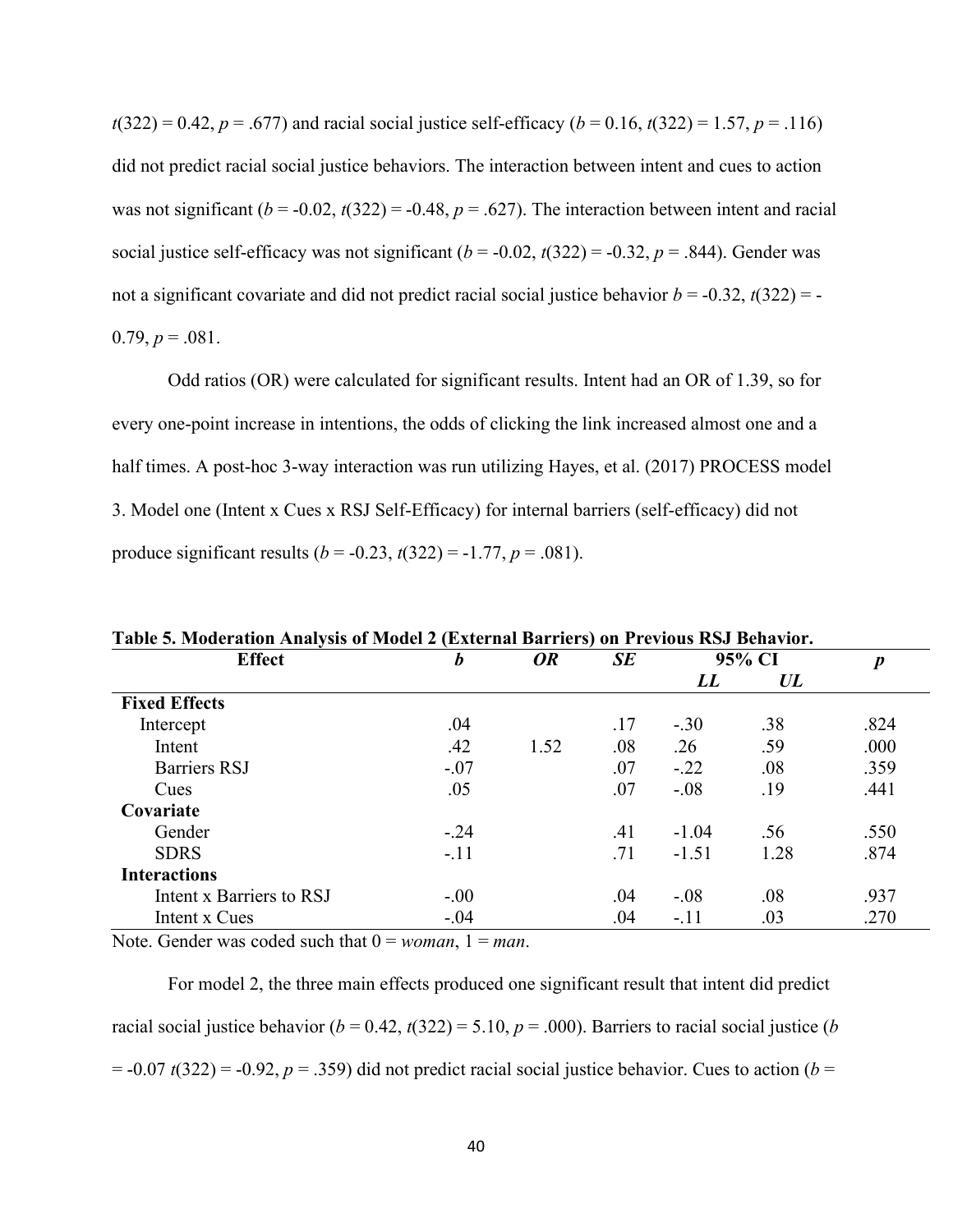$t(322) = 0.42$ ,  $p = .677$ ) and racial social justice self-efficacy ( $b = 0.16$ ,  $t(322) = 1.57$ ,  $p = .116$ ) did not predict racial social justice behaviors. The interaction between intent and cues to action was not significant  $(b = -0.02, t(322) = -0.48, p = .627)$ . The interaction between intent and racial social justice self-efficacy was not significant  $(b = -0.02, t(322) = -0.32, p = .844)$ . Gender was not a significant covariate and did not predict racial social justice behavior  $b = -0.32$ ,  $t(322) = -1$  $0.79, p = .081.$ 

Odd ratios (OR) were calculated for significant results. Intent had an OR of 1.39, so for every one-point increase in intentions, the odds of clicking the link increased almost one and a half times. A post-hoc 3-way interaction was run utilizing Hayes, et al. (2017) PROCESS model 3. Model one (Intent x Cues x RSJ Self-Efficacy) for internal barriers (self-efficacy) did not produce significant results  $(b = -0.23, t(322) = -1.77, p = .081)$ .

| <b>Effect</b>            | b       | <b>OR</b> | SE  |         | 95% CI | $\boldsymbol{p}$ |
|--------------------------|---------|-----------|-----|---------|--------|------------------|
|                          |         |           |     | LL      | UL     |                  |
| <b>Fixed Effects</b>     |         |           |     |         |        |                  |
| Intercept                | .04     |           | .17 | $-.30$  | .38    | .824             |
| Intent                   | .42     | 1.52      | .08 | .26     | .59    | .000             |
| Barriers RSJ             | $-.07$  |           | .07 | $-.22$  | .08    | .359             |
| Cues                     | .05     |           | .07 | $-.08$  | .19    | .441             |
| Covariate                |         |           |     |         |        |                  |
| Gender                   | $-.24$  |           | .41 | $-1.04$ | .56    | .550             |
| <b>SDRS</b>              | $-.11$  |           | .71 | $-1.51$ | 1.28   | .874             |
| <b>Interactions</b>      |         |           |     |         |        |                  |
| Intent x Barriers to RSJ | $-.00$  |           | .04 | $-.08$  | .08    | .937             |
| Intent x Cues            | $-0.04$ |           | .04 | $-.11$  | .03    | .270             |

**Table 5. Moderation Analysis of Model 2 (External Barriers) on Previous RSJ Behavior.** 

Note. Gender was coded such that  $0 = woman$ ,  $1 = man$ .

For model 2, the three main effects produced one significant result that intent did predict racial social justice behavior ( $b = 0.42$ ,  $t(322) = 5.10$ ,  $p = .000$ ). Barriers to racial social justice (*b*  $= -0.07 t(322) = -0.92$ ,  $p = .359$ ) did not predict racial social justice behavior. Cues to action (*b* =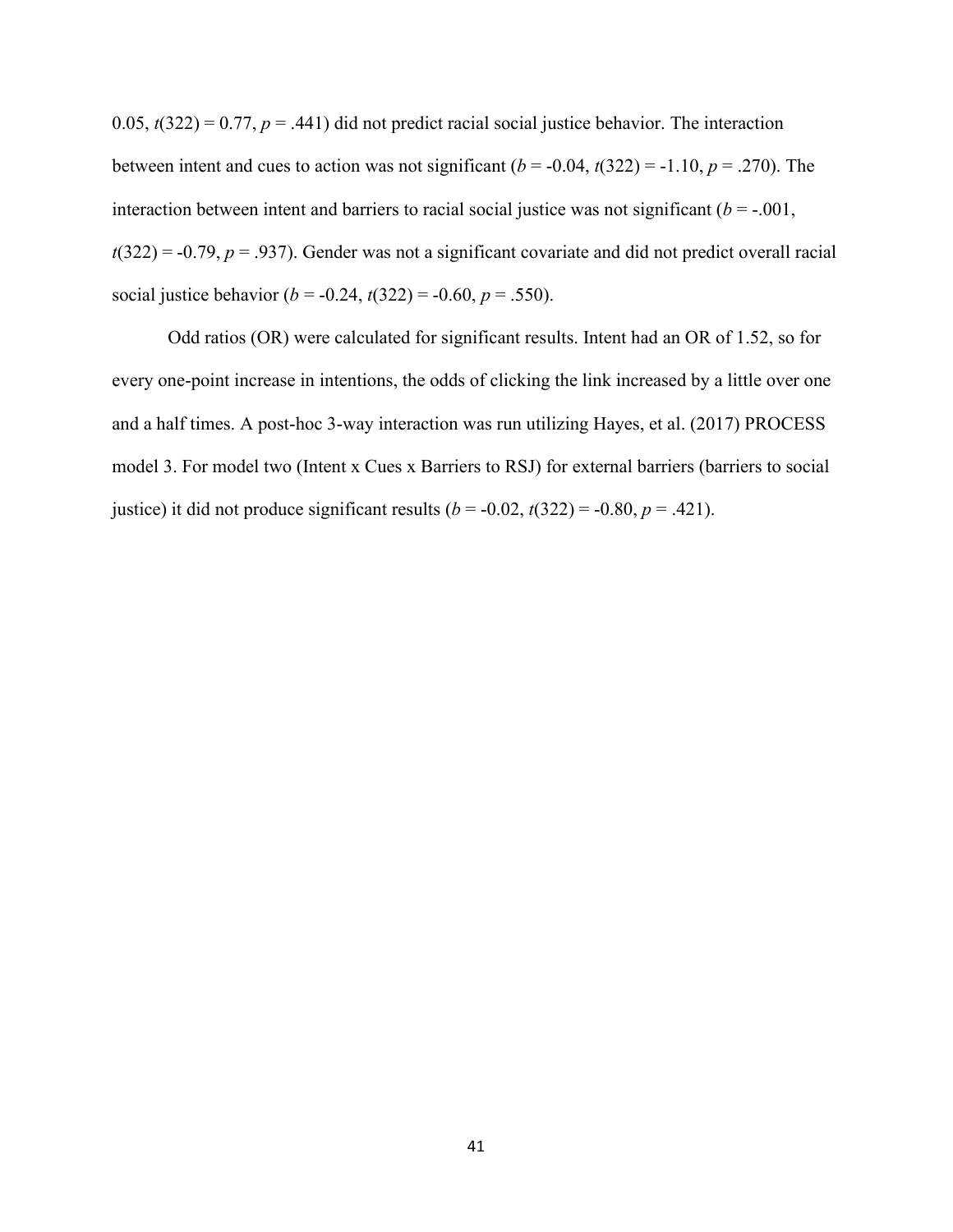0.05,  $t(322) = 0.77$ ,  $p = .441$ ) did not predict racial social justice behavior. The interaction between intent and cues to action was not significant  $(b = -0.04, t(322) = -1.10, p = .270)$ . The interaction between intent and barriers to racial social justice was not significant  $(b = -0.001)$ ,  $t(322) = -0.79$ ,  $p = .937$ ). Gender was not a significant covariate and did not predict overall racial social justice behavior ( $b = -0.24$ ,  $t(322) = -0.60$ ,  $p = .550$ ).

Odd ratios (OR) were calculated for significant results. Intent had an OR of 1.52, so for every one-point increase in intentions, the odds of clicking the link increased by a little over one and a half times. A post-hoc 3-way interaction was run utilizing Hayes, et al. (2017) PROCESS model 3. For model two (Intent x Cues x Barriers to RSJ) for external barriers (barriers to social justice) it did not produce significant results  $(b = -0.02, t(322) = -0.80, p = .421)$ .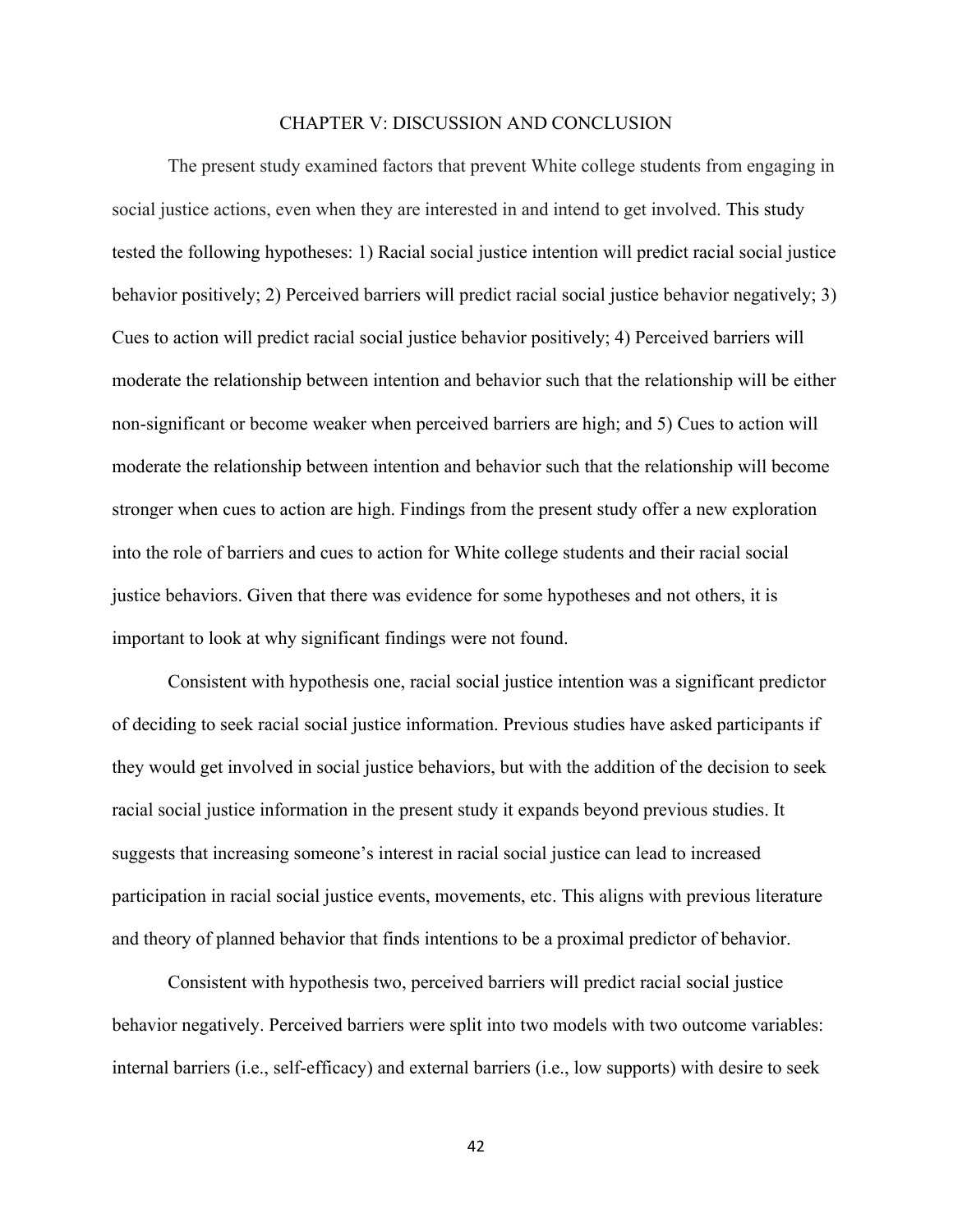### CHAPTER V: DISCUSSION AND CONCLUSION

The present study examined factors that prevent White college students from engaging in social justice actions, even when they are interested in and intend to get involved. This study tested the following hypotheses: 1) Racial social justice intention will predict racial social justice behavior positively; 2) Perceived barriers will predict racial social justice behavior negatively; 3) Cues to action will predict racial social justice behavior positively; 4) Perceived barriers will moderate the relationship between intention and behavior such that the relationship will be either non-significant or become weaker when perceived barriers are high; and 5) Cues to action will moderate the relationship between intention and behavior such that the relationship will become stronger when cues to action are high. Findings from the present study offer a new exploration into the role of barriers and cues to action for White college students and their racial social justice behaviors. Given that there was evidence for some hypotheses and not others, it is important to look at why significant findings were not found.

Consistent with hypothesis one, racial social justice intention was a significant predictor of deciding to seek racial social justice information. Previous studies have asked participants if they would get involved in social justice behaviors, but with the addition of the decision to seek racial social justice information in the present study it expands beyond previous studies. It suggests that increasing someone's interest in racial social justice can lead to increased participation in racial social justice events, movements, etc. This aligns with previous literature and theory of planned behavior that finds intentions to be a proximal predictor of behavior.

Consistent with hypothesis two, perceived barriers will predict racial social justice behavior negatively. Perceived barriers were split into two models with two outcome variables: internal barriers (i.e., self-efficacy) and external barriers (i.e., low supports) with desire to seek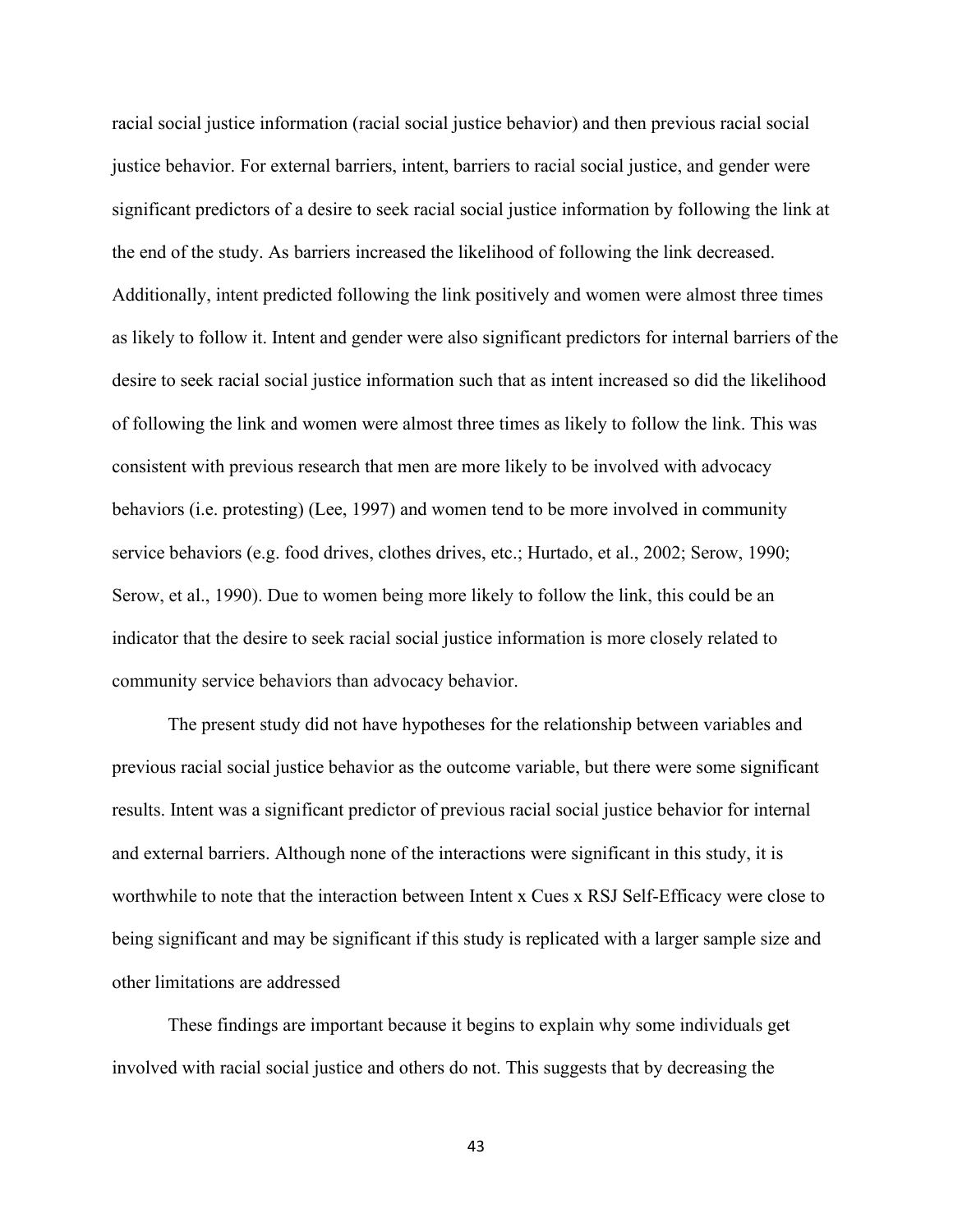racial social justice information (racial social justice behavior) and then previous racial social justice behavior. For external barriers, intent, barriers to racial social justice, and gender were significant predictors of a desire to seek racial social justice information by following the link at the end of the study. As barriers increased the likelihood of following the link decreased. Additionally, intent predicted following the link positively and women were almost three times as likely to follow it. Intent and gender were also significant predictors for internal barriers of the desire to seek racial social justice information such that as intent increased so did the likelihood of following the link and women were almost three times as likely to follow the link. This was consistent with previous research that men are more likely to be involved with advocacy behaviors (i.e. protesting) (Lee, 1997) and women tend to be more involved in community service behaviors (e.g. food drives, clothes drives, etc.; Hurtado, et al., 2002; Serow, 1990; Serow, et al., 1990). Due to women being more likely to follow the link, this could be an indicator that the desire to seek racial social justice information is more closely related to community service behaviors than advocacy behavior.

The present study did not have hypotheses for the relationship between variables and previous racial social justice behavior as the outcome variable, but there were some significant results. Intent was a significant predictor of previous racial social justice behavior for internal and external barriers. Although none of the interactions were significant in this study, it is worthwhile to note that the interaction between Intent x Cues x RSJ Self-Efficacy were close to being significant and may be significant if this study is replicated with a larger sample size and other limitations are addressed

These findings are important because it begins to explain why some individuals get involved with racial social justice and others do not. This suggests that by decreasing the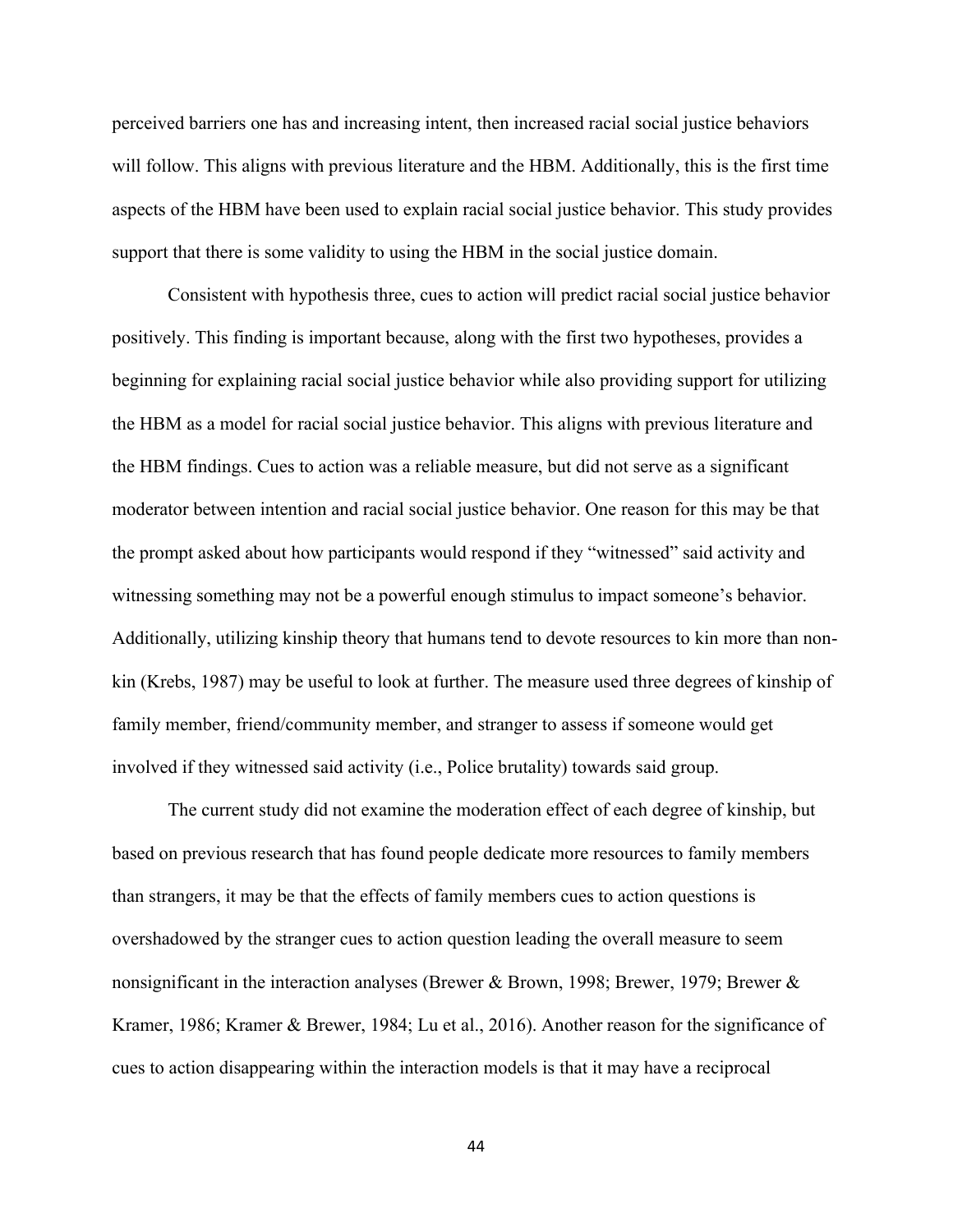perceived barriers one has and increasing intent, then increased racial social justice behaviors will follow. This aligns with previous literature and the HBM. Additionally, this is the first time aspects of the HBM have been used to explain racial social justice behavior. This study provides support that there is some validity to using the HBM in the social justice domain.

Consistent with hypothesis three, cues to action will predict racial social justice behavior positively. This finding is important because, along with the first two hypotheses, provides a beginning for explaining racial social justice behavior while also providing support for utilizing the HBM as a model for racial social justice behavior. This aligns with previous literature and the HBM findings. Cues to action was a reliable measure, but did not serve as a significant moderator between intention and racial social justice behavior. One reason for this may be that the prompt asked about how participants would respond if they "witnessed" said activity and witnessing something may not be a powerful enough stimulus to impact someone's behavior. Additionally, utilizing kinship theory that humans tend to devote resources to kin more than nonkin (Krebs, 1987) may be useful to look at further. The measure used three degrees of kinship of family member, friend/community member, and stranger to assess if someone would get involved if they witnessed said activity (i.e., Police brutality) towards said group.

The current study did not examine the moderation effect of each degree of kinship, but based on previous research that has found people dedicate more resources to family members than strangers, it may be that the effects of family members cues to action questions is overshadowed by the stranger cues to action question leading the overall measure to seem nonsignificant in the interaction analyses (Brewer & Brown, 1998; Brewer, 1979; Brewer & Kramer, 1986; Kramer & Brewer, 1984; Lu et al., 2016). Another reason for the significance of cues to action disappearing within the interaction models is that it may have a reciprocal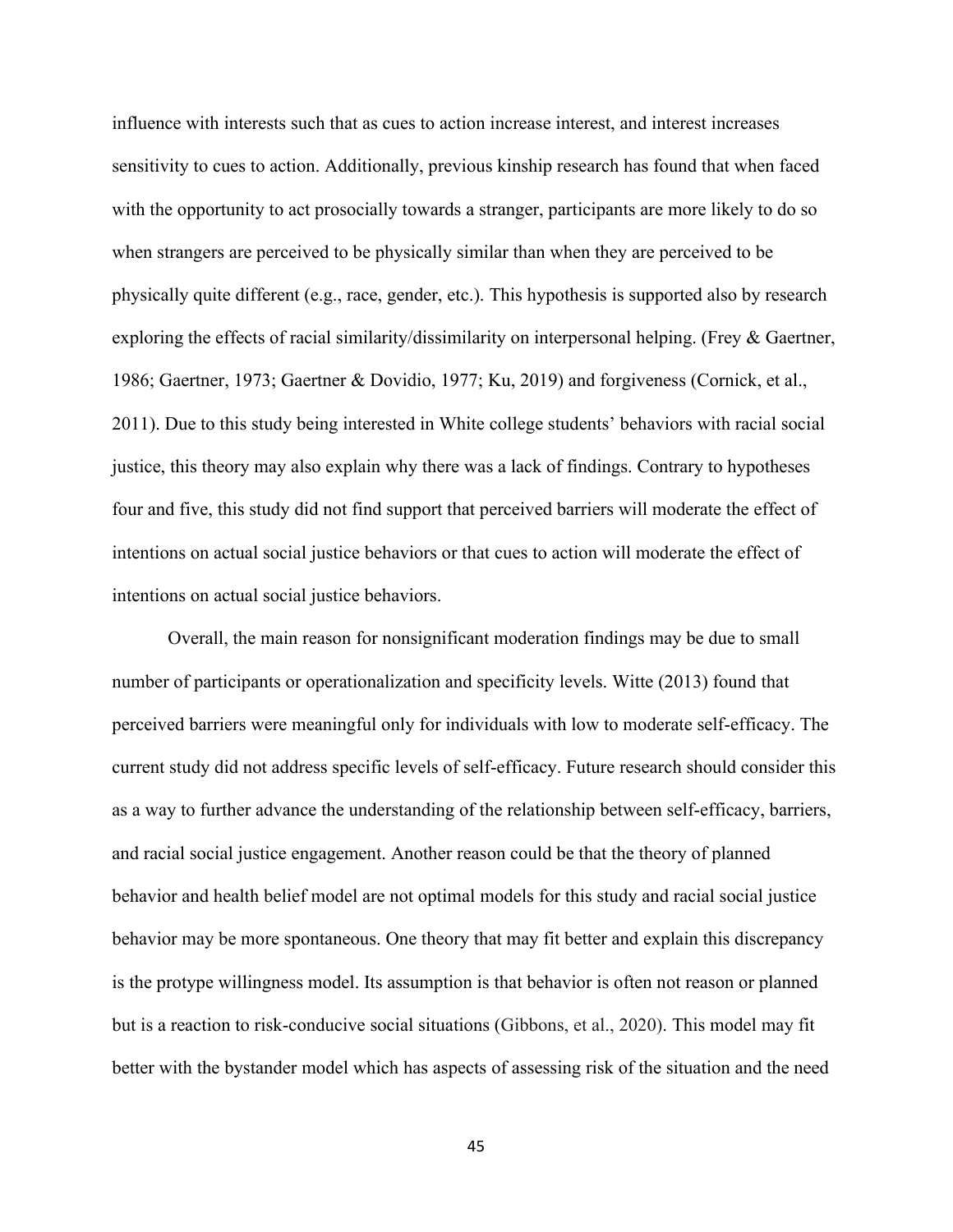influence with interests such that as cues to action increase interest, and interest increases sensitivity to cues to action. Additionally, previous kinship research has found that when faced with the opportunity to act prosocially towards a stranger, participants are more likely to do so when strangers are perceived to be physically similar than when they are perceived to be physically quite different (e.g., race, gender, etc.). This hypothesis is supported also by research exploring the effects of racial similarity/dissimilarity on interpersonal helping. (Frey & Gaertner, 1986; Gaertner, 1973; Gaertner & Dovidio, 1977; Ku, 2019) and forgiveness (Cornick, et al., 2011). Due to this study being interested in White college students' behaviors with racial social justice, this theory may also explain why there was a lack of findings. Contrary to hypotheses four and five, this study did not find support that perceived barriers will moderate the effect of intentions on actual social justice behaviors or that cues to action will moderate the effect of intentions on actual social justice behaviors.

Overall, the main reason for nonsignificant moderation findings may be due to small number of participants or operationalization and specificity levels. Witte (2013) found that perceived barriers were meaningful only for individuals with low to moderate self-efficacy. The current study did not address specific levels of self-efficacy. Future research should consider this as a way to further advance the understanding of the relationship between self-efficacy, barriers, and racial social justice engagement. Another reason could be that the theory of planned behavior and health belief model are not optimal models for this study and racial social justice behavior may be more spontaneous. One theory that may fit better and explain this discrepancy is the protype willingness model. Its assumption is that behavior is often not reason or planned but is a reaction to risk-conducive social situations (Gibbons, et al., 2020). This model may fit better with the bystander model which has aspects of assessing risk of the situation and the need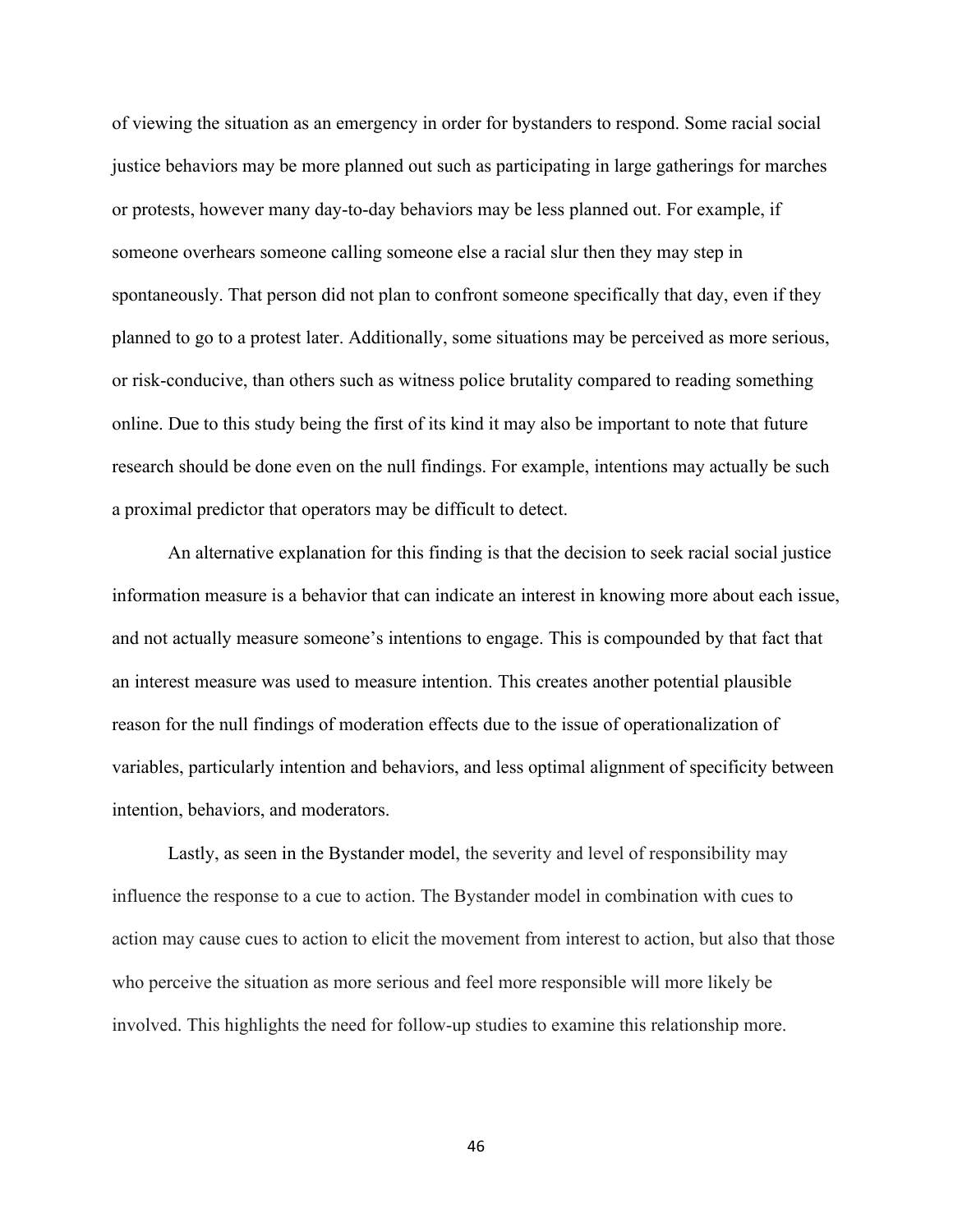of viewing the situation as an emergency in order for bystanders to respond. Some racial social justice behaviors may be more planned out such as participating in large gatherings for marches or protests, however many day-to-day behaviors may be less planned out. For example, if someone overhears someone calling someone else a racial slur then they may step in spontaneously. That person did not plan to confront someone specifically that day, even if they planned to go to a protest later. Additionally, some situations may be perceived as more serious, or risk-conducive, than others such as witness police brutality compared to reading something online. Due to this study being the first of its kind it may also be important to note that future research should be done even on the null findings. For example, intentions may actually be such a proximal predictor that operators may be difficult to detect.

An alternative explanation for this finding is that the decision to seek racial social justice information measure is a behavior that can indicate an interest in knowing more about each issue, and not actually measure someone's intentions to engage. This is compounded by that fact that an interest measure was used to measure intention. This creates another potential plausible reason for the null findings of moderation effects due to the issue of operationalization of variables, particularly intention and behaviors, and less optimal alignment of specificity between intention, behaviors, and moderators.

Lastly, as seen in the Bystander model, the severity and level of responsibility may influence the response to a cue to action. The Bystander model in combination with cues to action may cause cues to action to elicit the movement from interest to action, but also that those who perceive the situation as more serious and feel more responsible will more likely be involved. This highlights the need for follow-up studies to examine this relationship more.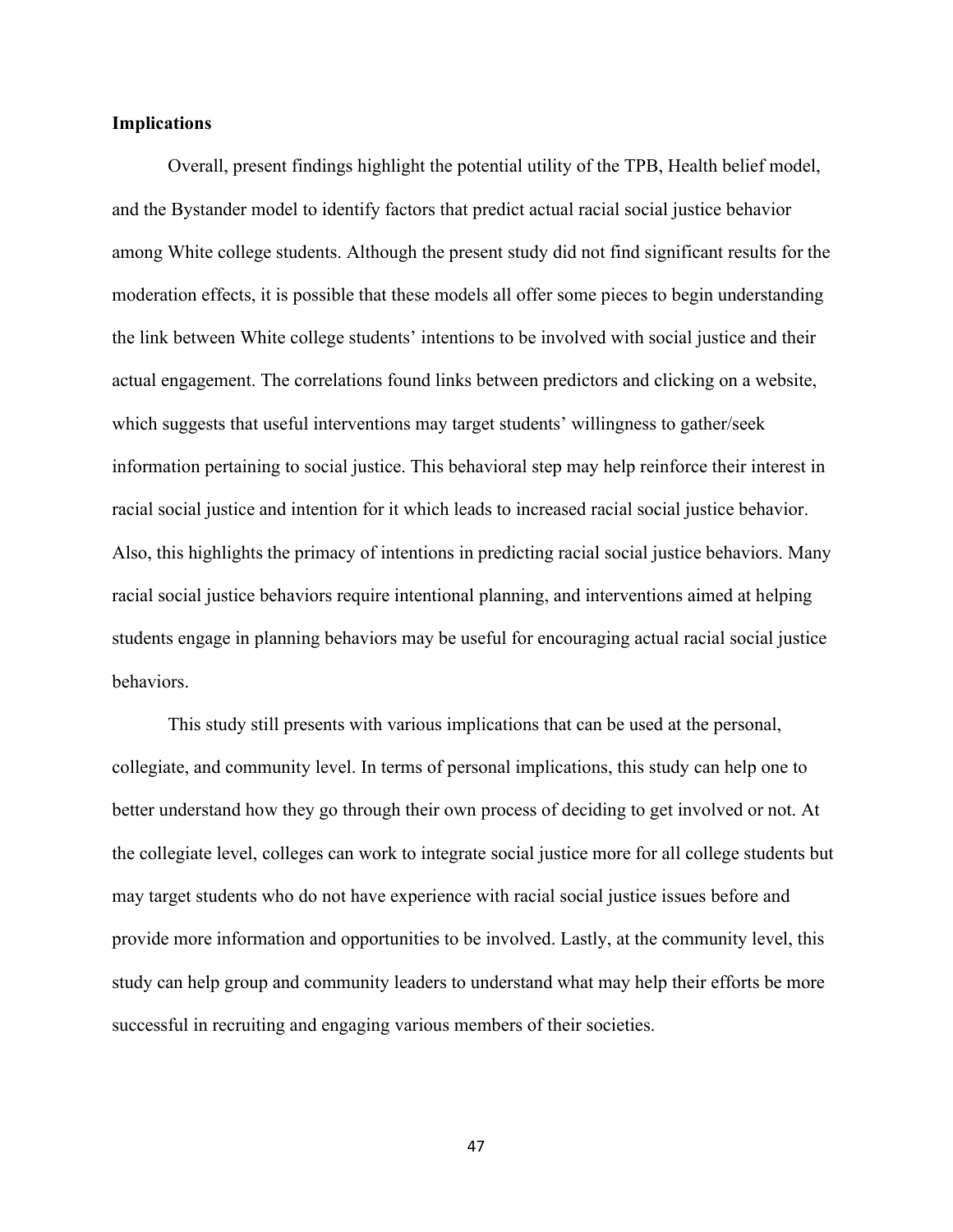# **Implications**

Overall, present findings highlight the potential utility of the TPB, Health belief model, and the Bystander model to identify factors that predict actual racial social justice behavior among White college students. Although the present study did not find significant results for the moderation effects, it is possible that these models all offer some pieces to begin understanding the link between White college students' intentions to be involved with social justice and their actual engagement. The correlations found links between predictors and clicking on a website, which suggests that useful interventions may target students' willingness to gather/seek information pertaining to social justice. This behavioral step may help reinforce their interest in racial social justice and intention for it which leads to increased racial social justice behavior. Also, this highlights the primacy of intentions in predicting racial social justice behaviors. Many racial social justice behaviors require intentional planning, and interventions aimed at helping students engage in planning behaviors may be useful for encouraging actual racial social justice behaviors.

This study still presents with various implications that can be used at the personal, collegiate, and community level. In terms of personal implications, this study can help one to better understand how they go through their own process of deciding to get involved or not. At the collegiate level, colleges can work to integrate social justice more for all college students but may target students who do not have experience with racial social justice issues before and provide more information and opportunities to be involved. Lastly, at the community level, this study can help group and community leaders to understand what may help their efforts be more successful in recruiting and engaging various members of their societies.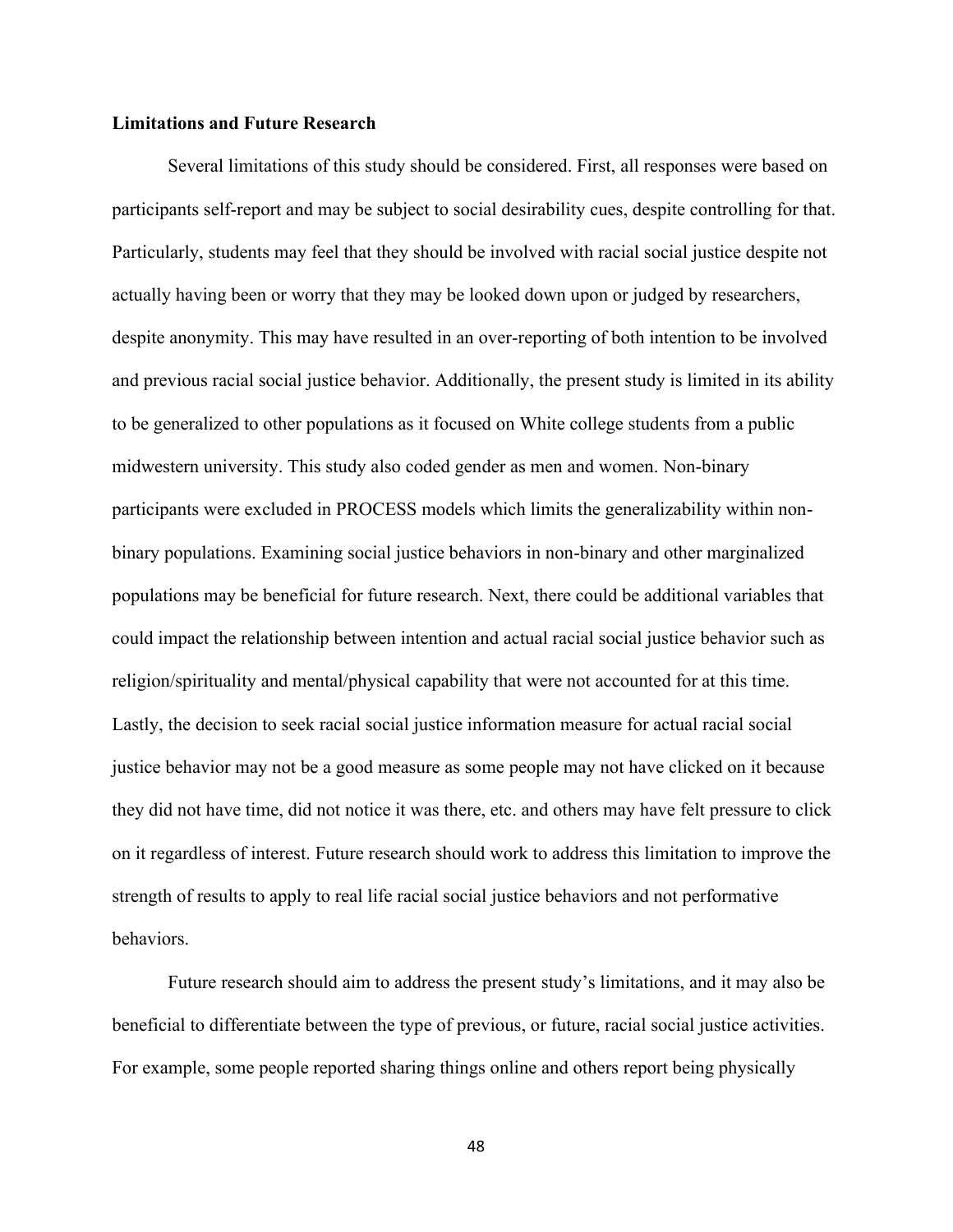# **Limitations and Future Research**

Several limitations of this study should be considered. First, all responses were based on participants self-report and may be subject to social desirability cues, despite controlling for that. Particularly, students may feel that they should be involved with racial social justice despite not actually having been or worry that they may be looked down upon or judged by researchers, despite anonymity. This may have resulted in an over-reporting of both intention to be involved and previous racial social justice behavior. Additionally, the present study is limited in its ability to be generalized to other populations as it focused on White college students from a public midwestern university. This study also coded gender as men and women. Non-binary participants were excluded in PROCESS models which limits the generalizability within nonbinary populations. Examining social justice behaviors in non-binary and other marginalized populations may be beneficial for future research. Next, there could be additional variables that could impact the relationship between intention and actual racial social justice behavior such as religion/spirituality and mental/physical capability that were not accounted for at this time. Lastly, the decision to seek racial social justice information measure for actual racial social justice behavior may not be a good measure as some people may not have clicked on it because they did not have time, did not notice it was there, etc. and others may have felt pressure to click on it regardless of interest. Future research should work to address this limitation to improve the strength of results to apply to real life racial social justice behaviors and not performative behaviors.

Future research should aim to address the present study's limitations, and it may also be beneficial to differentiate between the type of previous, or future, racial social justice activities. For example, some people reported sharing things online and others report being physically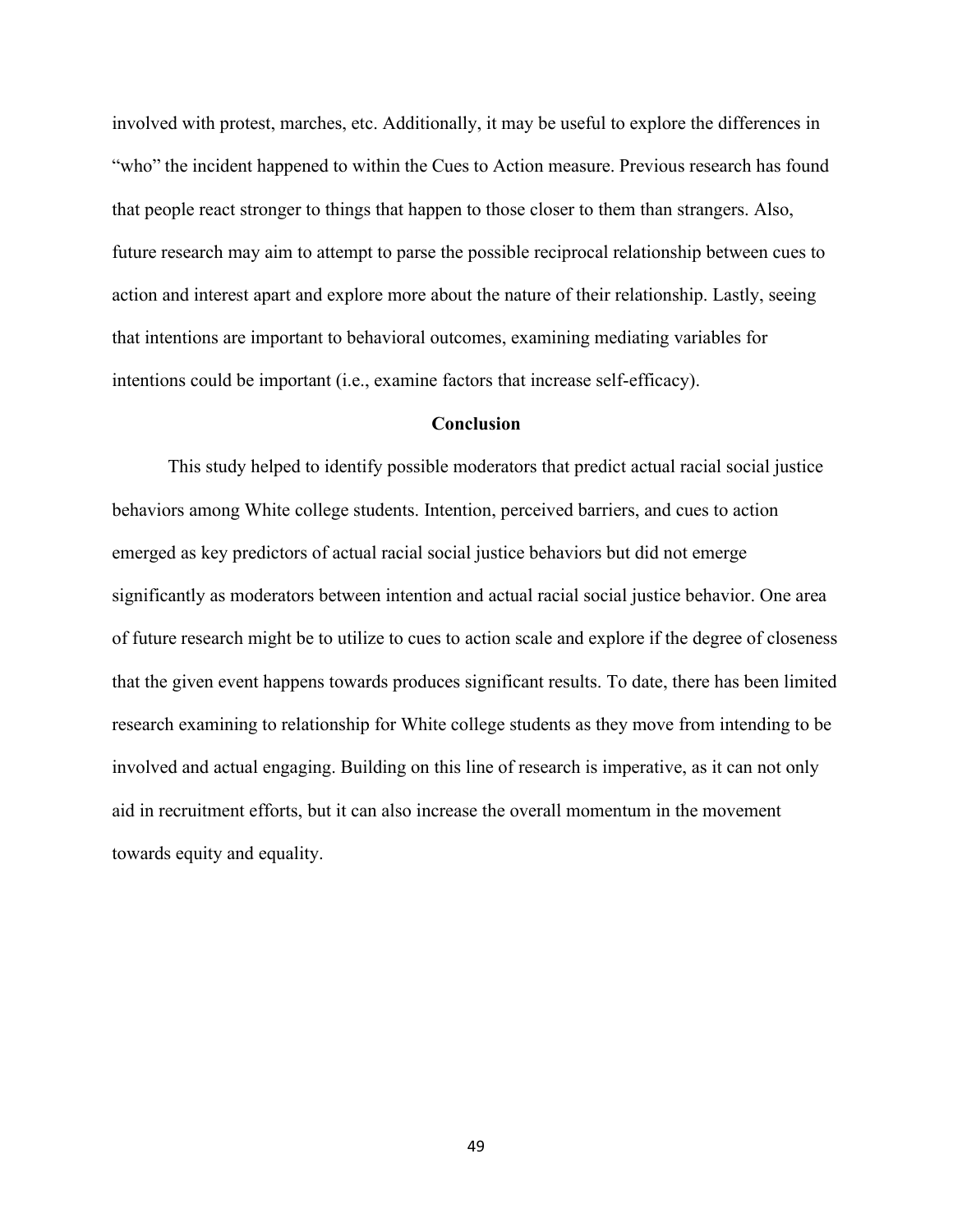involved with protest, marches, etc. Additionally, it may be useful to explore the differences in "who" the incident happened to within the Cues to Action measure. Previous research has found that people react stronger to things that happen to those closer to them than strangers. Also, future research may aim to attempt to parse the possible reciprocal relationship between cues to action and interest apart and explore more about the nature of their relationship. Lastly, seeing that intentions are important to behavioral outcomes, examining mediating variables for intentions could be important (i.e., examine factors that increase self-efficacy).

### **Conclusion**

This study helped to identify possible moderators that predict actual racial social justice behaviors among White college students. Intention, perceived barriers, and cues to action emerged as key predictors of actual racial social justice behaviors but did not emerge significantly as moderators between intention and actual racial social justice behavior. One area of future research might be to utilize to cues to action scale and explore if the degree of closeness that the given event happens towards produces significant results. To date, there has been limited research examining to relationship for White college students as they move from intending to be involved and actual engaging. Building on this line of research is imperative, as it can not only aid in recruitment efforts, but it can also increase the overall momentum in the movement towards equity and equality.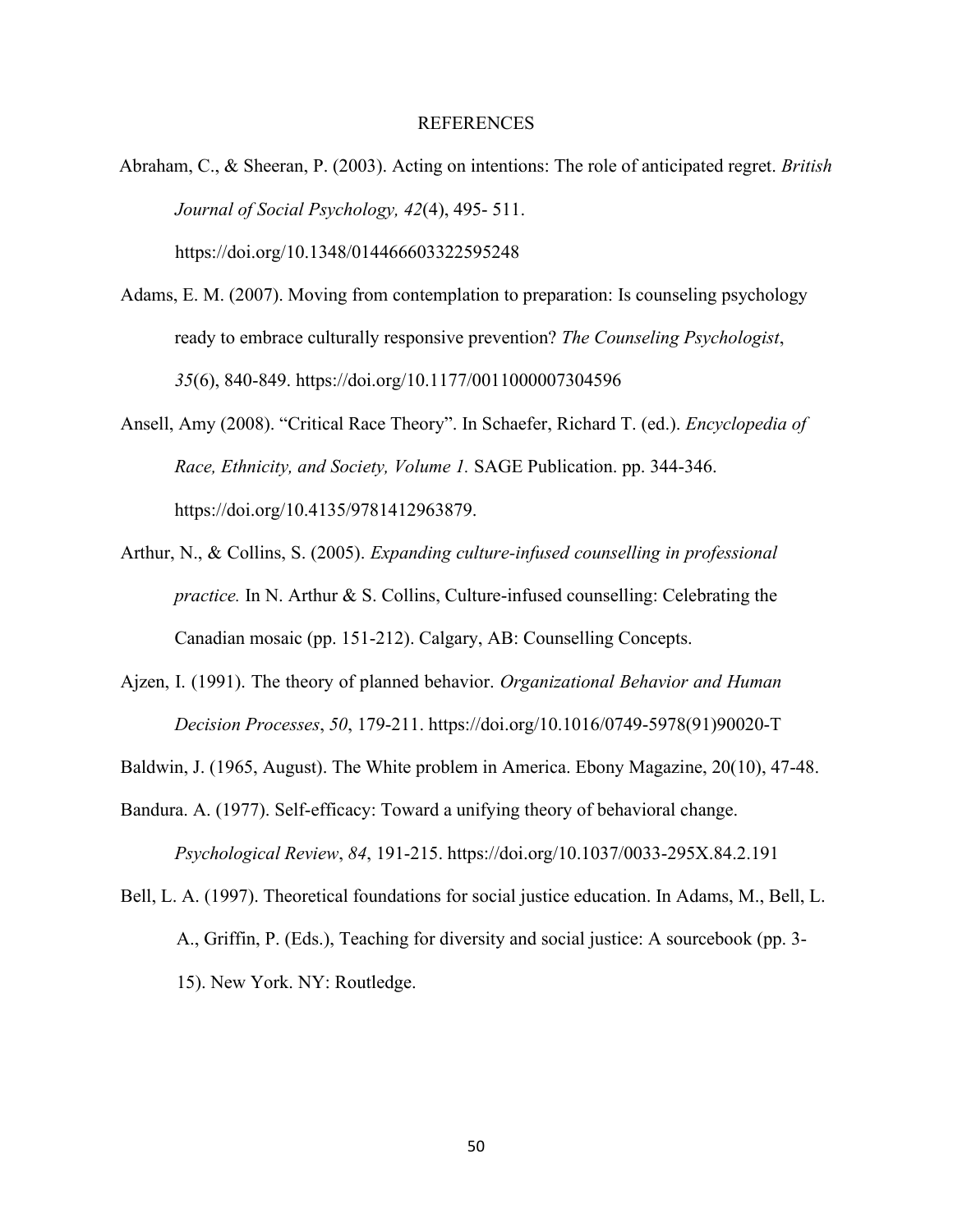#### REFERENCES

- Abraham, C., & Sheeran, P. (2003). Acting on intentions: The role of anticipated regret. *British Journal of Social Psychology, 42*(4), 495- 511. https://doi.org/10.1348/014466603322595248
- Adams, E. M. (2007). Moving from contemplation to preparation: Is counseling psychology ready to embrace culturally responsive prevention? *The Counseling Psychologist*, *35*(6), 840-849. https://doi.org/10.1177/0011000007304596
- Ansell, Amy (2008). "Critical Race Theory". In Schaefer, Richard T. (ed.). *Encyclopedia of Race, Ethnicity, and Society, Volume 1.* SAGE Publication. pp. 344-346. https://doi.org/10.4135/9781412963879.
- Arthur, N., & Collins, S. (2005). *Expanding culture-infused counselling in professional practice.* In N. Arthur & S. Collins, Culture-infused counselling: Celebrating the Canadian mosaic (pp. 151-212). Calgary, AB: Counselling Concepts.
- Ajzen, I. (1991). The theory of planned behavior. *Organizational Behavior and Human Decision Processes*, *50*, 179-211. https://doi.org/10.1016/0749-5978(91)90020-T
- Baldwin, J. (1965, August). The White problem in America. Ebony Magazine, 20(10), 47-48.
- Bandura. A. (1977). Self-efficacy: Toward a unifying theory of behavioral change. *Psychological Review*, *84*, 191-215. https://doi.org/10.1037/0033-295X.84.2.191
- Bell, L. A. (1997). Theoretical foundations for social justice education. In Adams, M., Bell, L. A., Griffin, P. (Eds.), Teaching for diversity and social justice: A sourcebook (pp. 3- 15). New York. NY: Routledge.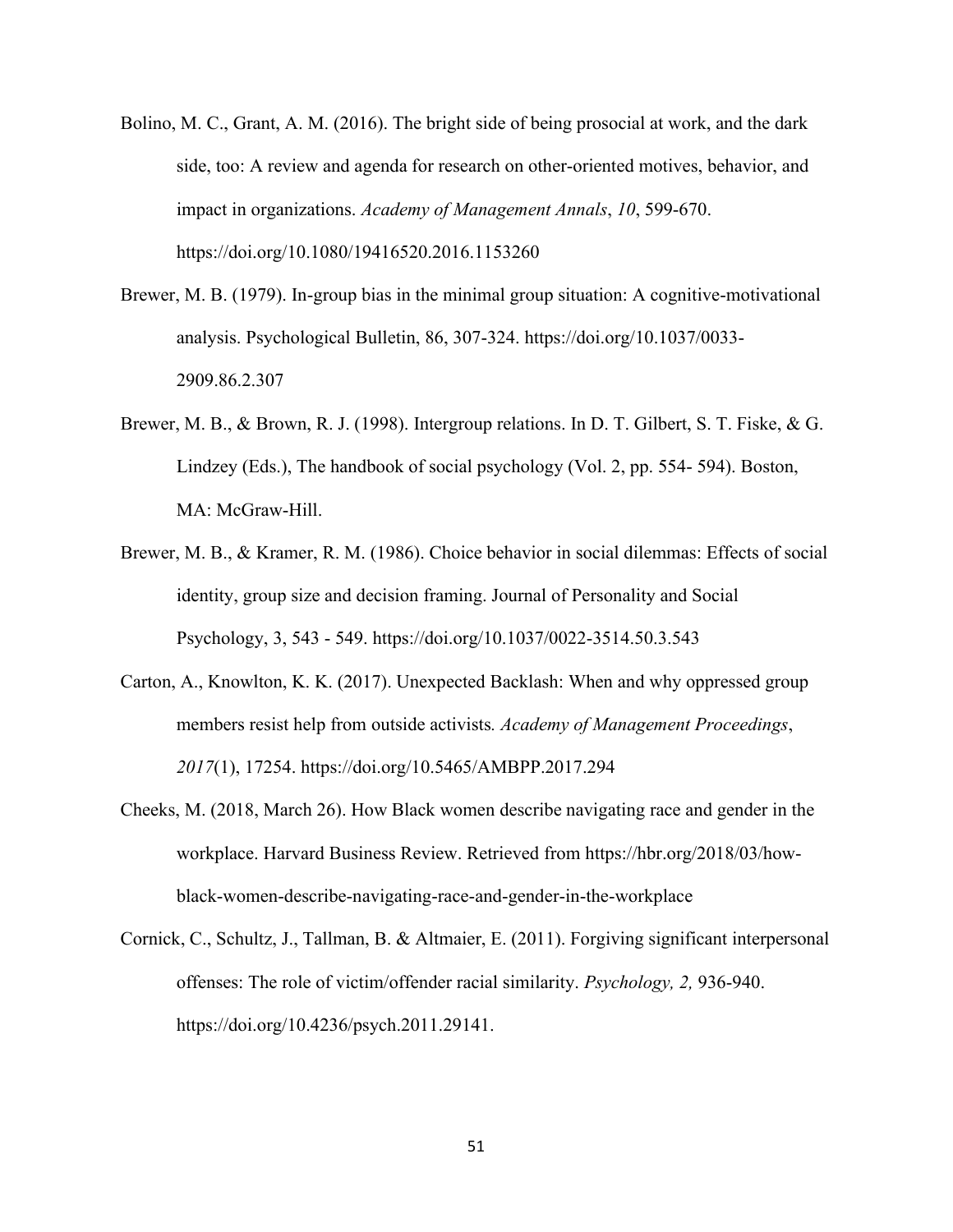- Bolino, M. C., Grant, A. M. (2016). The bright side of being prosocial at work, and the dark side, too: A review and agenda for research on other-oriented motives, behavior, and impact in organizations. *Academy of Management Annals*, *10*, 599-670. https://doi.org/10.1080/19416520.2016.1153260
- Brewer, M. B. (1979). In-group bias in the minimal group situation: A cognitive-motivational analysis. Psychological Bulletin, 86, 307-324. https://doi.org/10.1037/0033- 2909.86.2.307
- Brewer, M. B., & Brown, R. J. (1998). Intergroup relations. In D. T. Gilbert, S. T. Fiske, & G. Lindzey (Eds.), The handbook of social psychology (Vol. 2, pp. 554- 594). Boston, MA: McGraw-Hill.
- Brewer, M. B., & Kramer, R. M. (1986). Choice behavior in social dilemmas: Effects of social identity, group size and decision framing. Journal of Personality and Social Psychology, 3, 543 - 549. https://doi.org/10.1037/0022-3514.50.3.543
- Carton, A., Knowlton, K. K. (2017). Unexpected Backlash: When and why oppressed group members resist help from outside activists*. Academy of Management Proceedings*, *2017*(1), 17254. https://doi.org/10.5465/AMBPP.2017.294
- Cheeks, M. (2018, March 26). How Black women describe navigating race and gender in the workplace. Harvard Business Review. Retrieved from https://hbr.org/2018/03/howblack-women-describe-navigating-race-and-gender-in-the-workplace
- Cornick, C., Schultz, J., Tallman, B. & Altmaier, E. (2011). Forgiving significant interpersonal offenses: The role of victim/offender racial similarity. *Psychology, 2,* 936-940. https://doi.org/10.4236/psych.2011.29141.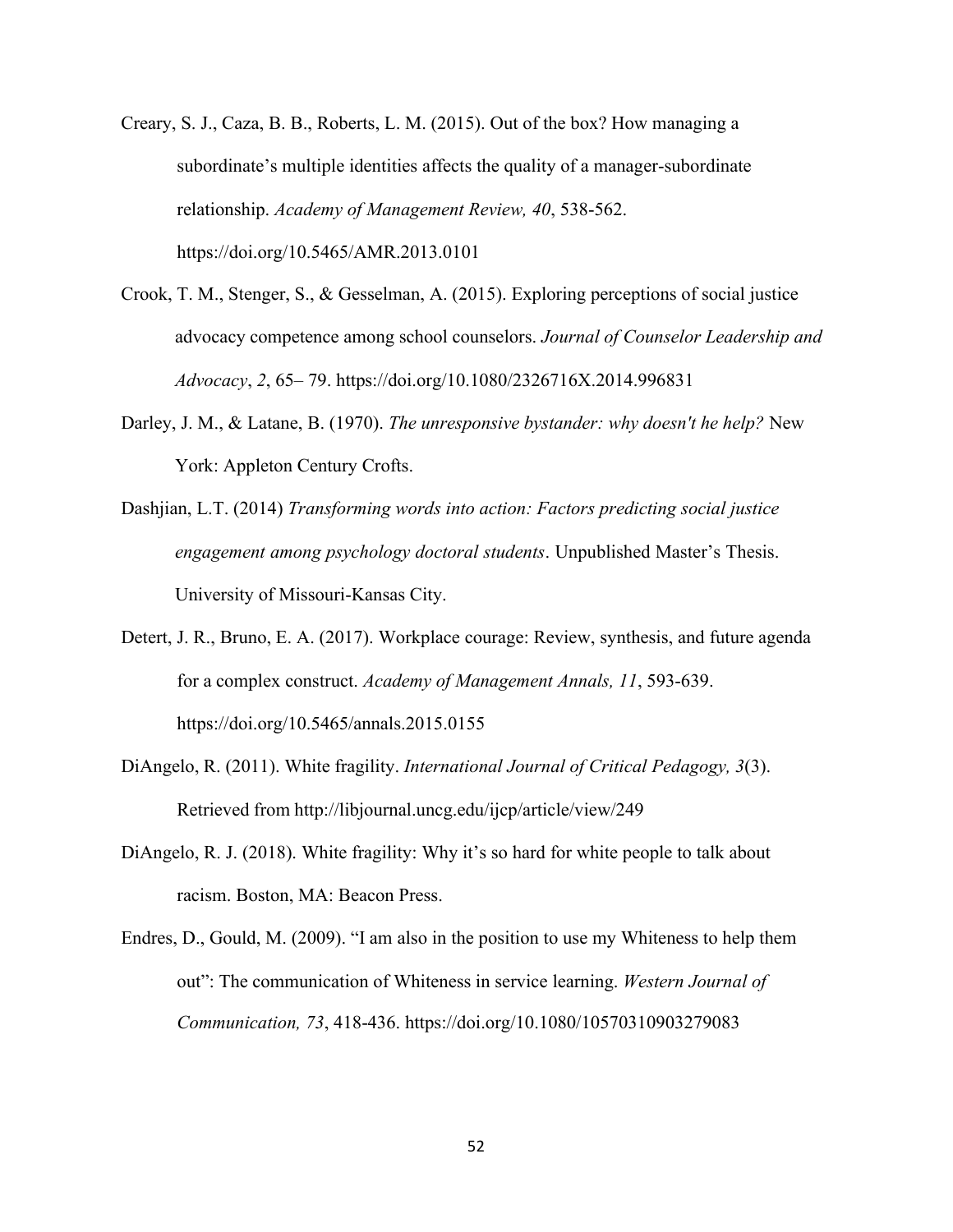- Creary, S. J., Caza, B. B., Roberts, L. M. (2015). Out of the box? How managing a subordinate's multiple identities affects the quality of a manager-subordinate relationship. *Academy of Management Review, 40*, 538-562. https://doi.org/10.5465/AMR.2013.0101
- Crook, T. M., Stenger, S., & Gesselman, A. (2015). Exploring perceptions of social justice advocacy competence among school counselors. *Journal of Counselor Leadership and Advocacy*, *2*, 65– 79. https://doi.org/10.1080/2326716X.2014.996831
- Darley, J. M., & Latane, B. (1970). *The unresponsive bystander: why doesn't he help?* New York: Appleton Century Crofts.
- Dashjian, L.T. (2014) *Transforming words into action: Factors predicting social justice engagement among psychology doctoral students*. Unpublished Master's Thesis. University of Missouri-Kansas City.
- Detert, J. R., Bruno, E. A. (2017). Workplace courage: Review, synthesis, and future agenda for a complex construct. *Academy of Management Annals, 11*, 593-639. https://doi.org/10.5465/annals.2015.0155
- DiAngelo, R. (2011). White fragility. *International Journal of Critical Pedagogy, 3*(3). Retrieved from http://libjournal.uncg.edu/ijcp/article/view/249
- DiAngelo, R. J. (2018). White fragility: Why it's so hard for white people to talk about racism. Boston, MA: Beacon Press.
- Endres, D., Gould, M. (2009). "I am also in the position to use my Whiteness to help them out": The communication of Whiteness in service learning. *Western Journal of Communication, 73*, 418-436. https://doi.org/10.1080/10570310903279083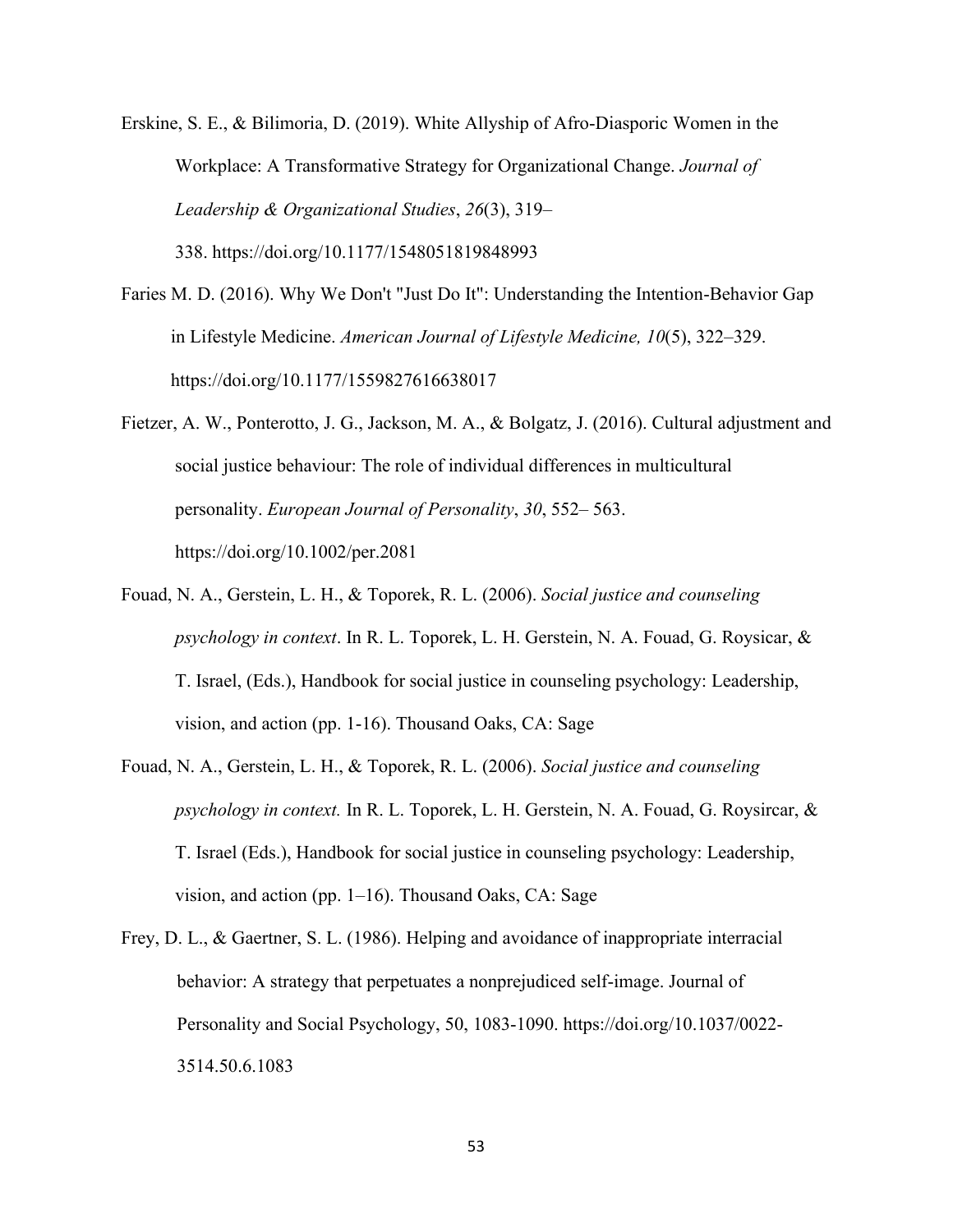Erskine, S. E., & Bilimoria, D. (2019). White Allyship of Afro-Diasporic Women in the Workplace: A Transformative Strategy for Organizational Change. *Journal of Leadership & Organizational Studies*, *26*(3), 319– 338. https://doi.org/10.1177/1548051819848993

- Faries M. D. (2016). Why We Don't "Just Do It": Understanding the Intention-Behavior Gap in Lifestyle Medicine. *American Journal of Lifestyle Medicine, 10*(5), 322–329. https://doi.org/10.1177/1559827616638017
- Fietzer, A. W., Ponterotto, J. G., Jackson, M. A., & Bolgatz, J. (2016). Cultural adjustment and social justice behaviour: The role of individual differences in multicultural personality. *European Journal of Personality*, *30*, 552– 563. https://doi.org/10.1002/per.2081
- Fouad, N. A., Gerstein, L. H., & Toporek, R. L. (2006). *Social justice and counseling psychology in context*. In R. L. Toporek, L. H. Gerstein, N. A. Fouad, G. Roysicar, & T. Israel, (Eds.), Handbook for social justice in counseling psychology: Leadership, vision, and action (pp. 1-16). Thousand Oaks, CA: Sage
- Fouad, N. A., Gerstein, L. H., & Toporek, R. L. (2006). *Social justice and counseling psychology in context.* In R. L. Toporek, L. H. Gerstein, N. A. Fouad, G. Roysircar, & T. Israel (Eds.), Handbook for social justice in counseling psychology: Leadership, vision, and action (pp. 1–16). Thousand Oaks, CA: Sage
- Frey, D. L., & Gaertner, S. L. (1986). Helping and avoidance of inappropriate interracial behavior: A strategy that perpetuates a nonprejudiced self-image. Journal of Personality and Social Psychology, 50, 1083-1090. https://doi.org/10.1037/0022- 3514.50.6.1083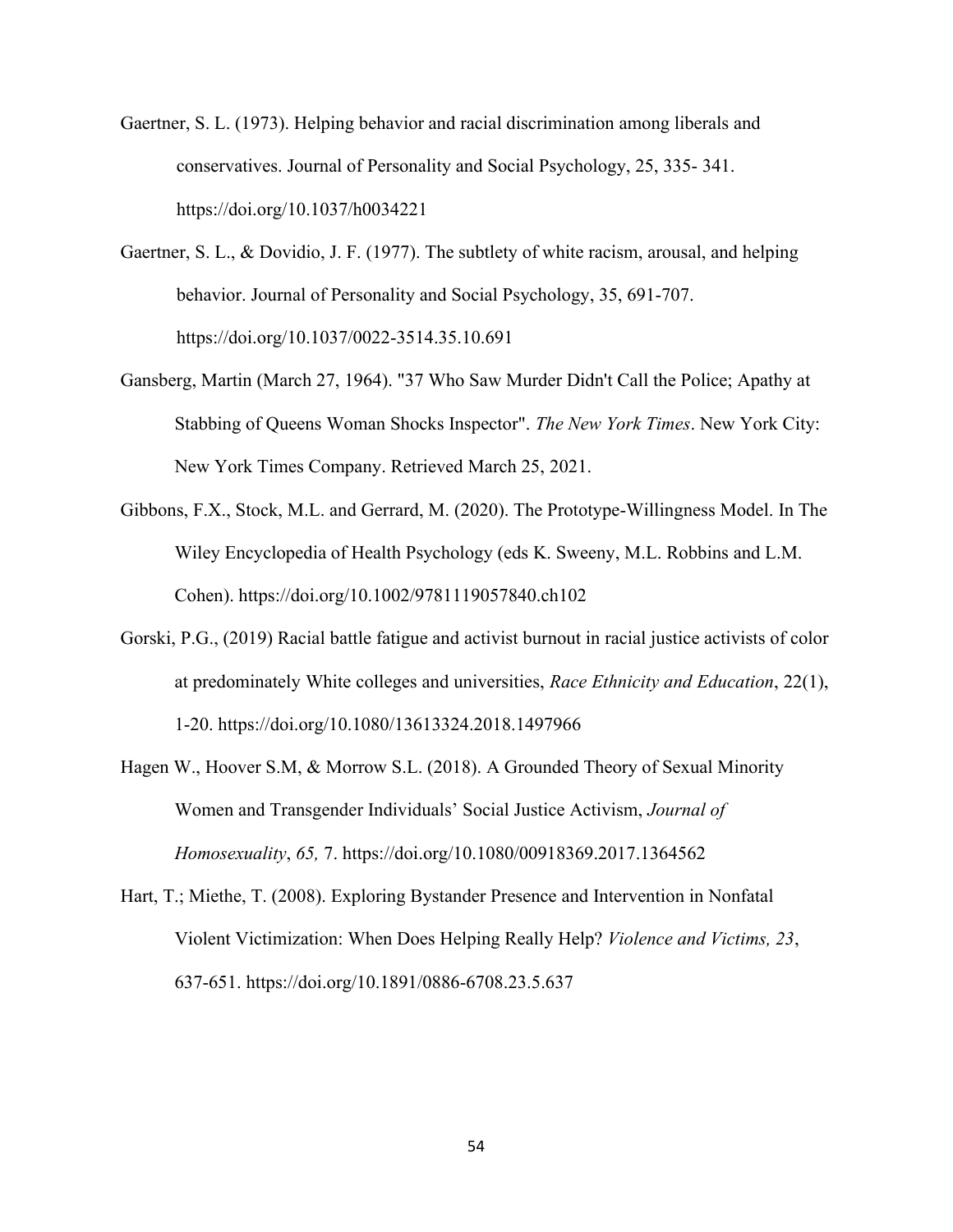Gaertner, S. L. (1973). Helping behavior and racial discrimination among liberals and conservatives. Journal of Personality and Social Psychology, 25, 335- 341. https://doi.org/10.1037/h0034221

- Gaertner, S. L., & Dovidio, J. F. (1977). The subtlety of white racism, arousal, and helping behavior. Journal of Personality and Social Psychology, 35, 691-707. https://doi.org/10.1037/0022-3514.35.10.691
- Gansberg, Martin (March 27, 1964). "37 Who Saw Murder Didn't Call the Police; Apathy at Stabbing of Queens Woman Shocks Inspector". *The New York Times*. New York City: New York Times Company. Retrieved March 25, 2021.
- Gibbons, F.X., Stock, M.L. and Gerrard, M. (2020). The Prototype-Willingness Model. In The Wiley Encyclopedia of Health Psychology (eds K. Sweeny, M.L. Robbins and L.M. Cohen). https://doi.org/10.1002/9781119057840.ch102
- Gorski, P.G., (2019) Racial battle fatigue and activist burnout in racial justice activists of color at predominately White colleges and universities, *Race Ethnicity and Education*, 22(1), 1-20. https://doi.org/10.1080/13613324.2018.1497966
- Hagen W., Hoover S.M, & Morrow S.L. (2018). A Grounded Theory of Sexual Minority Women and Transgender Individuals' Social Justice Activism, *Journal of Homosexuality*, *65,* 7. https://doi.org/10.1080/00918369.2017.1364562
- Hart, T.; Miethe, T. (2008). Exploring Bystander Presence and Intervention in Nonfatal Violent Victimization: When Does Helping Really Help? *Violence and Victims, 23*, 637-651. https://doi.org/10.1891/0886-6708.23.5.637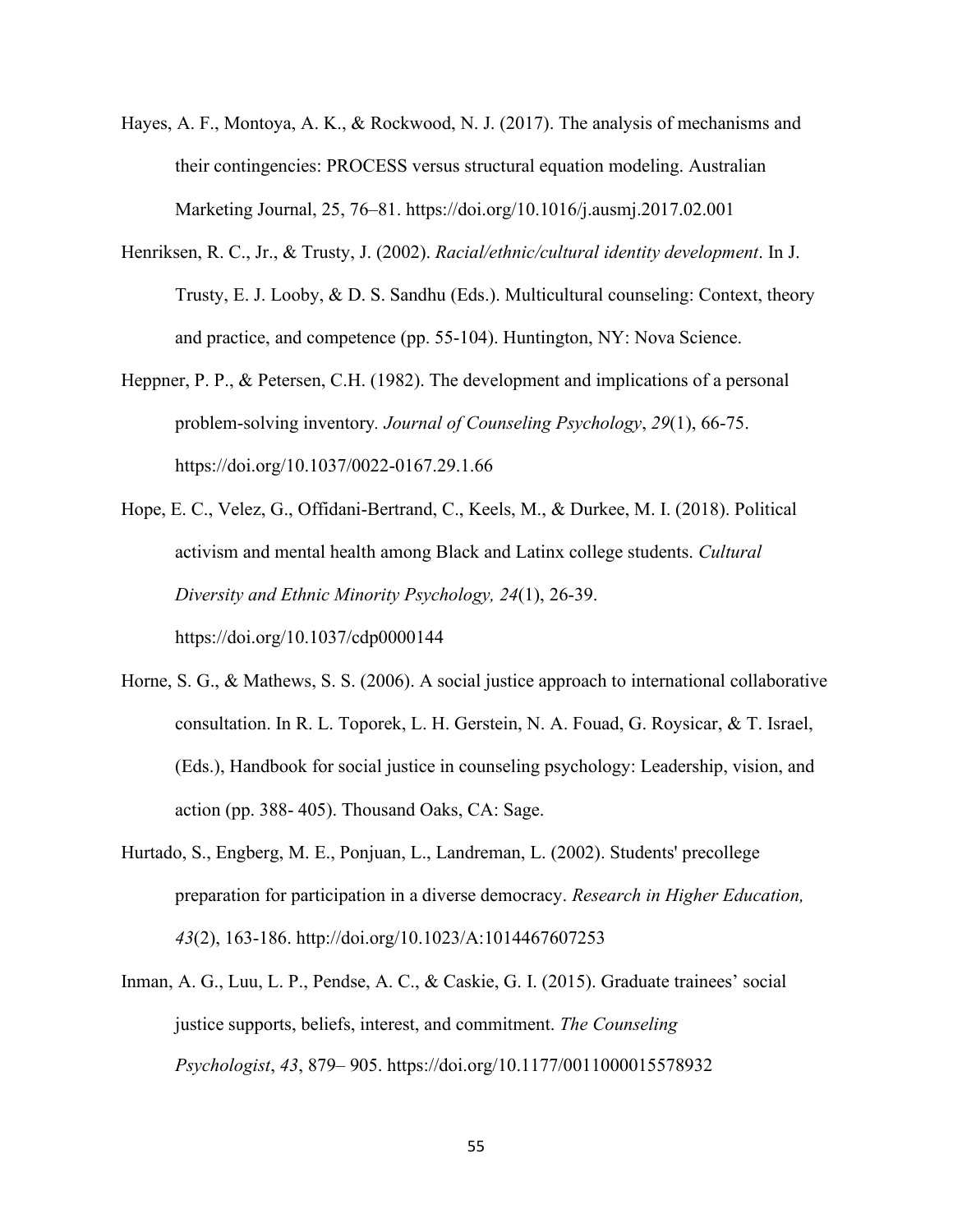- Hayes, A. F., Montoya, A. K., & Rockwood, N. J. (2017). The analysis of mechanisms and their contingencies: PROCESS versus structural equation modeling. Australian Marketing Journal, 25, 76–81. https://doi.org/10.1016/j.ausmj.2017.02.001
- Henriksen, R. C., Jr., & Trusty, J. (2002). *Racial/ethnic/cultural identity development*. In J. Trusty, E. J. Looby, & D. S. Sandhu (Eds.). Multicultural counseling: Context, theory and practice, and competence (pp. 55-104). Huntington, NY: Nova Science.
- Heppner, P. P., & Petersen, C.H. (1982). The development and implications of a personal problem-solving inventory*. Journal of Counseling Psychology*, *29*(1), 66-75. https://doi.org/10.1037/0022-0167.29.1.66
- Hope, E. C., Velez, G., Offidani-Bertrand, C., Keels, M., & Durkee, M. I. (2018). Political activism and mental health among Black and Latinx college students. *Cultural Diversity and Ethnic Minority Psychology, 24*(1), 26-39. https://doi.org/10.1037/cdp0000144
- Horne, S. G., & Mathews, S. S. (2006). A social justice approach to international collaborative consultation. In R. L. Toporek, L. H. Gerstein, N. A. Fouad, G. Roysicar, & T. Israel, (Eds.), Handbook for social justice in counseling psychology: Leadership, vision, and action (pp. 388- 405). Thousand Oaks, CA: Sage.
- Hurtado, S., Engberg, M. E., Ponjuan, L., Landreman, L. (2002). Students' precollege preparation for participation in a diverse democracy. *Research in Higher Education, 43*(2), 163-186. http://doi.org/10.1023/A:1014467607253
- Inman, A. G., Luu, L. P., Pendse, A. C., & Caskie, G. I. (2015). Graduate trainees' social justice supports, beliefs, interest, and commitment. *The Counseling Psychologist*, *43*, 879– 905. https://doi.org/10.1177/0011000015578932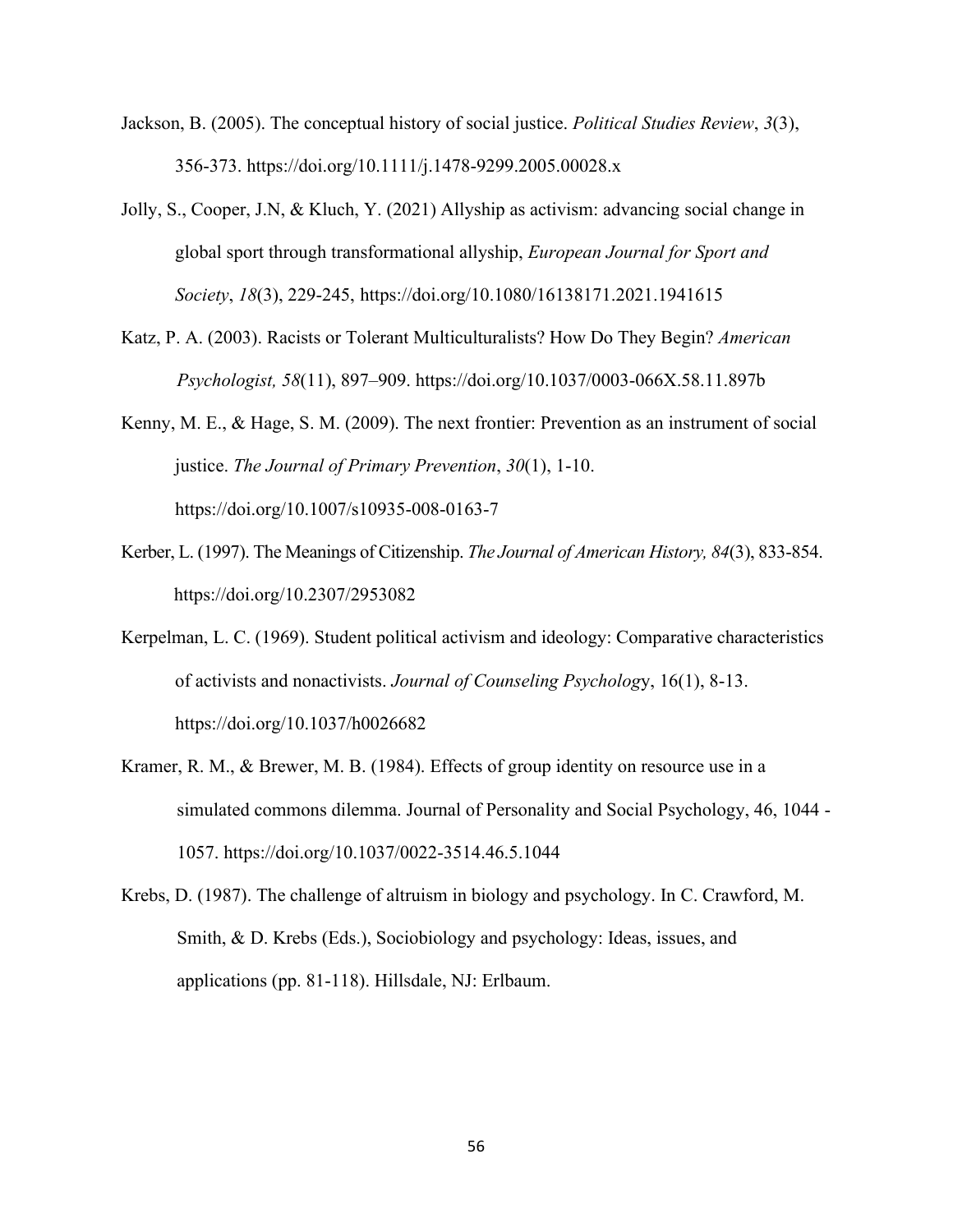- Jackson, B. (2005). The conceptual history of social justice. *Political Studies Review*, *3*(3), 356-373. https://doi.org/10.1111/j.1478-9299.2005.00028.x
- Jolly, S., Cooper, J.N, & Kluch, Y. (2021) Allyship as activism: advancing social change in global sport through transformational allyship, *European Journal for Sport and Society*, *18*(3), 229-245, https://doi.org/10.1080/16138171.2021.1941615
- Katz, P. A. (2003). Racists or Tolerant Multiculturalists? How Do They Begin? *American Psychologist, 58*(11), 897–909. https://doi.org/10.1037/0003-066X.58.11.897b

Kenny, M. E., & Hage, S. M. (2009). The next frontier: Prevention as an instrument of social justice. *The Journal of Primary Prevention*, *30*(1), 1-10. https://doi.org/10.1007/s10935-008-0163-7

- Kerber, L. (1997). The Meanings of Citizenship. *The Journal of American History, 84*(3), 833-854. https://doi.org/10.2307/2953082
- Kerpelman, L. C. (1969). Student political activism and ideology: Comparative characteristics of activists and nonactivists. *Journal of Counseling Psycholog*y, 16(1), 8-13. https://doi.org/10.1037/h0026682
- Kramer, R. M., & Brewer, M. B. (1984). Effects of group identity on resource use in a simulated commons dilemma. Journal of Personality and Social Psychology, 46, 1044 - 1057. https://doi.org/10.1037/0022-3514.46.5.1044
- Krebs, D. (1987). The challenge of altruism in biology and psychology. In C. Crawford, M. Smith, & D. Krebs (Eds.), Sociobiology and psychology: Ideas, issues, and applications (pp. 81-118). Hillsdale, NJ: Erlbaum.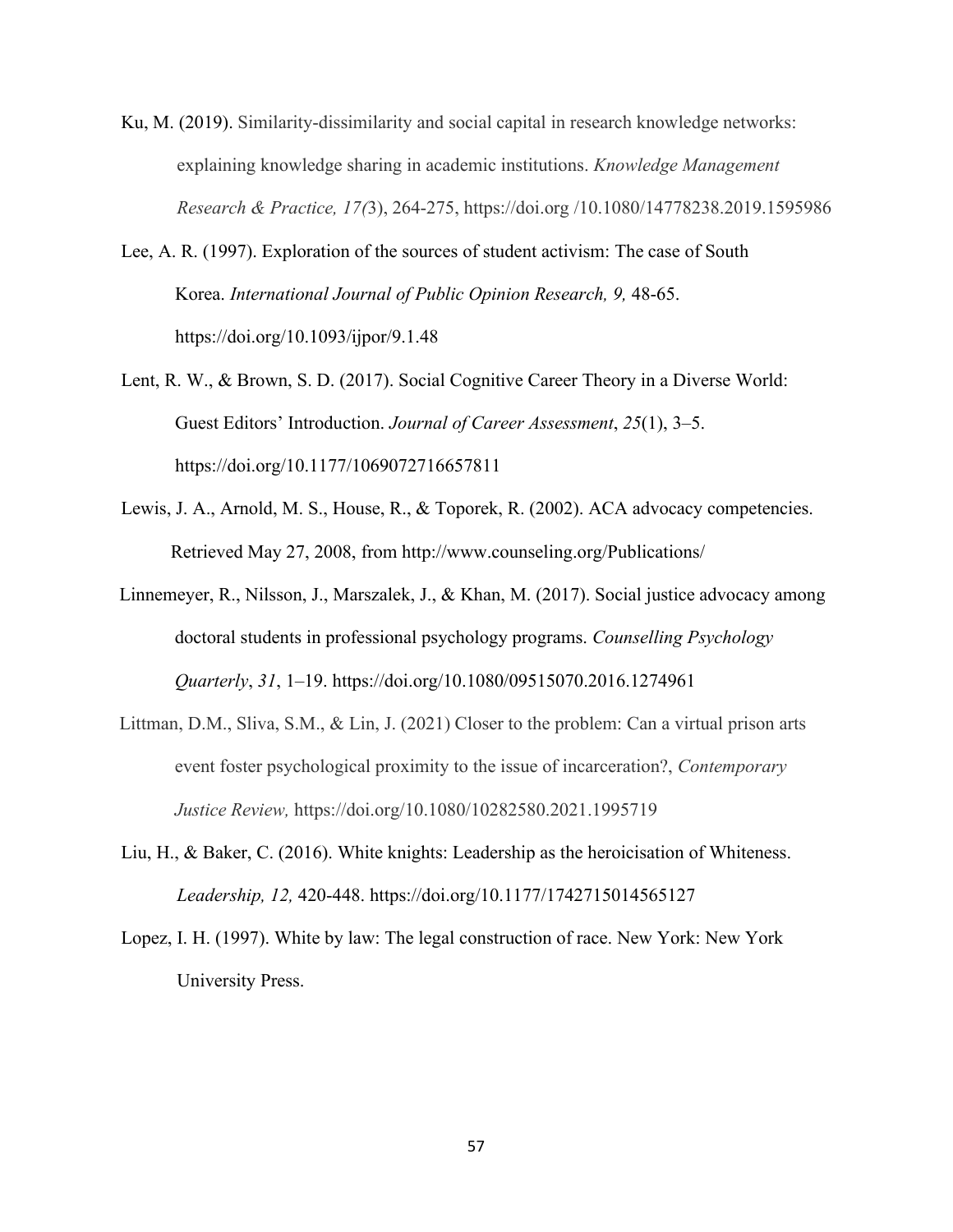- Ku, M. (2019). Similarity-dissimilarity and social capital in research knowledge networks: explaining knowledge sharing in academic institutions. *Knowledge Management Research & Practice, 17(*3), 264-275, https://doi.org /10.1080/14778238.2019.1595986
- Lee, A. R. (1997). Exploration of the sources of student activism: The case of South Korea. *International Journal of Public Opinion Research, 9,* 48-65. https://doi.org/10.1093/ijpor/9.1.48
- Lent, R. W., & Brown, S. D. (2017). Social Cognitive Career Theory in a Diverse World: Guest Editors' Introduction. *Journal of Career Assessment*, *25*(1), 3–5. https://doi.org/10.1177/1069072716657811
- Lewis, J. A., Arnold, M. S., House, R., & Toporek, R. (2002). ACA advocacy competencies. Retrieved May 27, 2008, from http://www.counseling.org/Publications/
- Linnemeyer, R., Nilsson, J., Marszalek, J., & Khan, M. (2017). Social justice advocacy among doctoral students in professional psychology programs. *Counselling Psychology Quarterly*, *31*, 1–19. https://doi.org/10.1080/09515070.2016.1274961
- Littman, D.M., Sliva, S.M., & Lin, J. (2021) Closer to the problem: Can a virtual prison arts event foster psychological proximity to the issue of incarceration?, *Contemporary Justice Review,* https://doi.org/10.1080/10282580.2021.1995719
- Liu, H., & Baker, C. (2016). White knights: Leadership as the heroicisation of Whiteness. *Leadership, 12,* 420-448. https://doi.org/10.1177/1742715014565127
- Lopez, I. H. (1997). White by law: The legal construction of race. New York: New York University Press.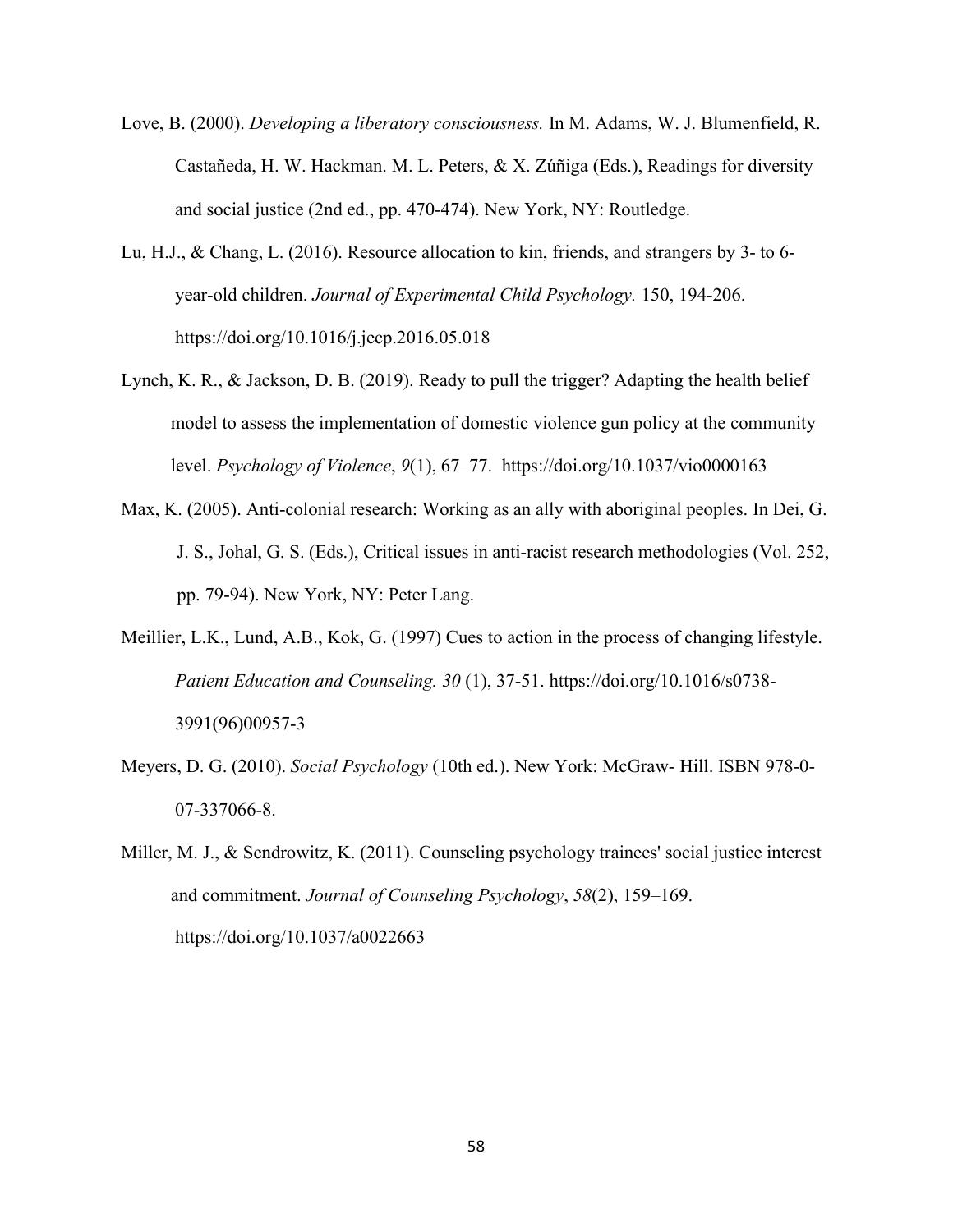- Love, B. (2000). *Developing a liberatory consciousness.* In M. Adams, W. J. Blumenfield, R. Castañeda, H. W. Hackman. M. L. Peters, & X. Zúñiga (Eds.), Readings for diversity and social justice (2nd ed., pp. 470-474). New York, NY: Routledge.
- Lu, H.J., & Chang, L. (2016). Resource allocation to kin, friends, and strangers by 3- to 6 year-old children. *Journal of Experimental Child Psychology.* 150, 194-206. https://doi.org/10.1016/j.jecp.2016.05.018
- Lynch, K. R., & Jackson, D. B. (2019). Ready to pull the trigger? Adapting the health belief model to assess the implementation of domestic violence gun policy at the community level. *Psychology of Violence*, *9*(1), 67–77. https://doi.org/10.1037/vio0000163
- Max, K. (2005). Anti-colonial research: Working as an ally with aboriginal peoples. In Dei, G. J. S., Johal, G. S. (Eds.), Critical issues in anti-racist research methodologies (Vol. 252, pp. 79-94). New York, NY: Peter Lang.
- Meillier, L.K., Lund, A.B., Kok, G. (1997) Cues to action in the process of changing lifestyle. *Patient Education and Counseling. 30* (1), 37-51. https://doi.org/10.1016/s0738- 3991(96)00957-3
- Meyers, D. G. (2010). *Social Psychology* (10th ed.). New York: McGraw- Hill. ISBN 978-0- 07-337066-8.
- Miller, M. J., & Sendrowitz, K. (2011). Counseling psychology trainees' social justice interest and commitment. *Journal of Counseling Psychology*, *58*(2), 159–169. https://doi.org/10.1037/a0022663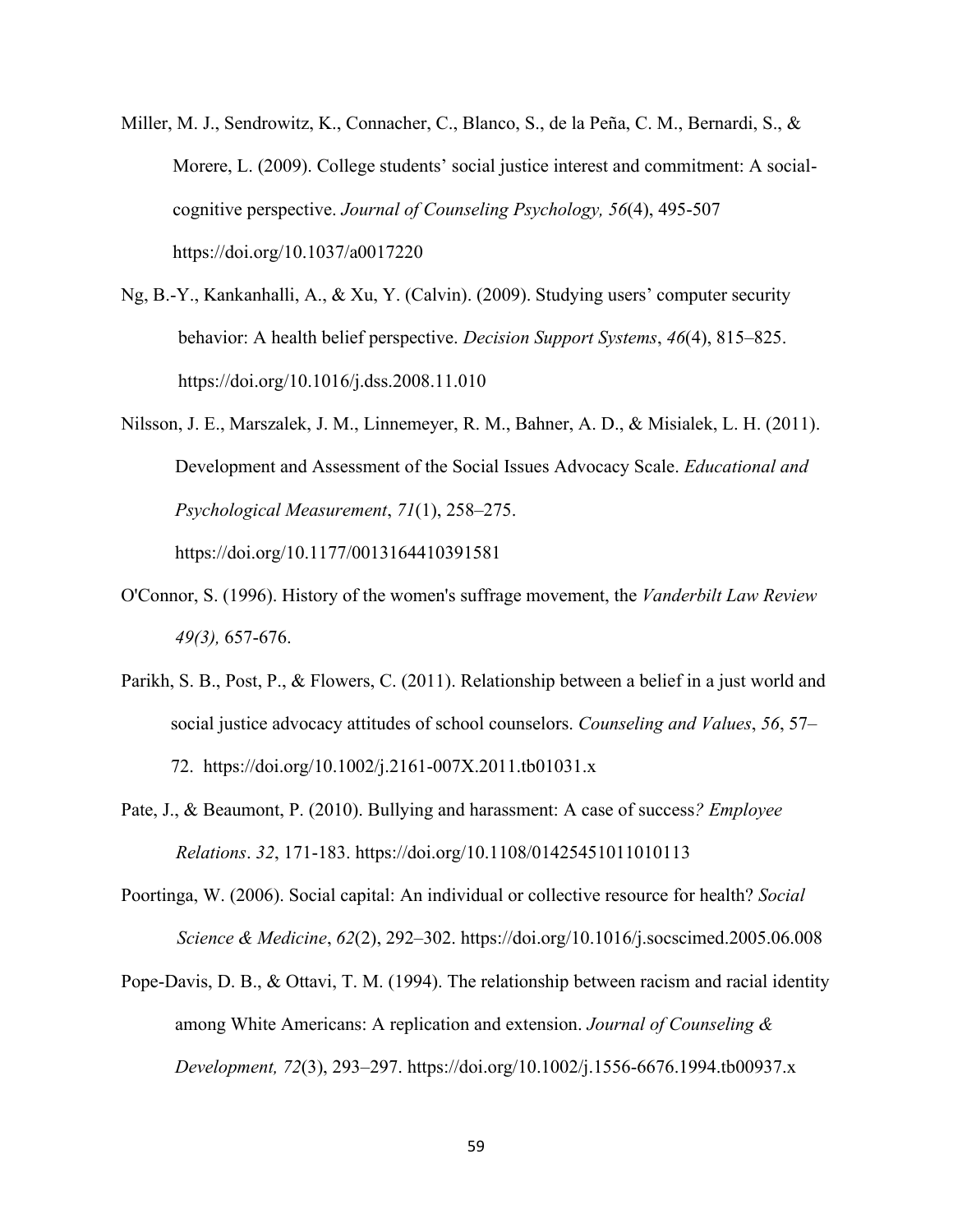- Miller, M. J., Sendrowitz, K., Connacher, C., Blanco, S., de la Peña, C. M., Bernardi, S., & Morere, L. (2009). College students' social justice interest and commitment: A socialcognitive perspective. *Journal of Counseling Psychology, 56*(4), 495-507 https://doi.org/10.1037/a0017220
- Ng, B.-Y., Kankanhalli, A., & Xu, Y. (Calvin). (2009). Studying users' computer security behavior: A health belief perspective. *Decision Support Systems*, *46*(4), 815–825. https://doi.org/10.1016/j.dss.2008.11.010
- Nilsson, J. E., Marszalek, J. M., Linnemeyer, R. M., Bahner, A. D., & Misialek, L. H. (2011). Development and Assessment of the Social Issues Advocacy Scale. *Educational and Psychological Measurement*, *71*(1), 258–275.

https://doi.org/10.1177/0013164410391581

- O'Connor, S. (1996). History of the women's suffrage movement, the *Vanderbilt Law Review 49(3),* 657-676.
- Parikh, S. B., Post, P., & Flowers, C. (2011). Relationship between a belief in a just world and social justice advocacy attitudes of school counselors. *Counseling and Values*, *56*, 57– 72. https://doi.org/10.1002/j.2161‐007X.2011.tb01031.x
- Pate, J., & Beaumont, P. (2010). Bullying and harassment: A case of success*? Employee Relations*. *32*, 171-183. https://doi.org/10.1108/01425451011010113
- Poortinga, W. (2006). Social capital: An individual or collective resource for health? *Social Science & Medicine*, *62*(2), 292–302. https://doi.org/10.1016/j.socscimed.2005.06.008
- Pope-Davis, D. B., & Ottavi, T. M. (1994). The relationship between racism and racial identity among White Americans: A replication and extension. *Journal of Counseling & Development, 72*(3), 293–297. https://doi.org/10.1002/j.1556-6676.1994.tb00937.x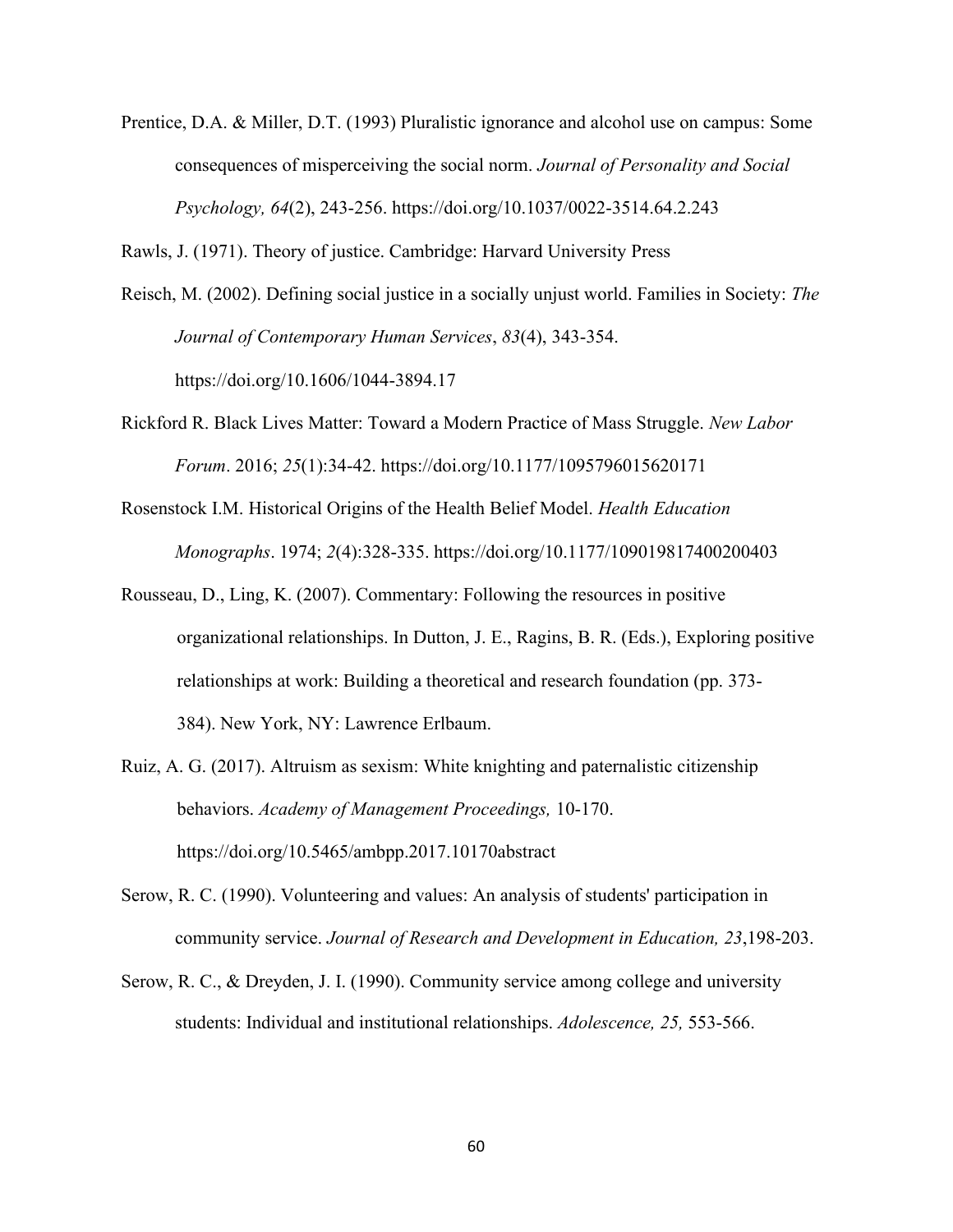Prentice, D.A. & Miller, D.T. (1993) Pluralistic ignorance and alcohol use on campus: Some consequences of misperceiving the social norm. *Journal of Personality and Social Psychology, 64*(2), 243-256. https://doi.org/10.1037/0022-3514.64.2.243

Rawls, J. (1971). Theory of justice. Cambridge: Harvard University Press

- Reisch, M. (2002). Defining social justice in a socially unjust world. Families in Society: *The Journal of Contemporary Human Services*, *83*(4), 343-354. https://doi.org/10.1606/1044-3894.17
- Rickford R. Black Lives Matter: Toward a Modern Practice of Mass Struggle. *New Labor Forum*. 2016; *25*(1):34-42. https://doi.org/10.1177/1095796015620171
- Rosenstock I.M. Historical Origins of the Health Belief Model. *Health Education Monographs*. 1974; *2*(4):328-335. https://doi.org/10.1177/109019817400200403
- Rousseau, D., Ling, K. (2007). Commentary: Following the resources in positive organizational relationships. In Dutton, J. E., Ragins, B. R. (Eds.), Exploring positive relationships at work: Building a theoretical and research foundation (pp. 373- 384). New York, NY: Lawrence Erlbaum.
- Ruiz, A. G. (2017). Altruism as sexism: White knighting and paternalistic citizenship behaviors. *Academy of Management Proceedings,* 10-170. https://doi.org/10.5465/ambpp.2017.10170abstract
- Serow, R. C. (1990). Volunteering and values: An analysis of students' participation in community service. *Journal of Research and Development in Education, 23*,198-203.
- Serow, R. C., & Dreyden, J. I. (1990). Community service among college and university students: Individual and institutional relationships. *Adolescence, 25,* 553-566.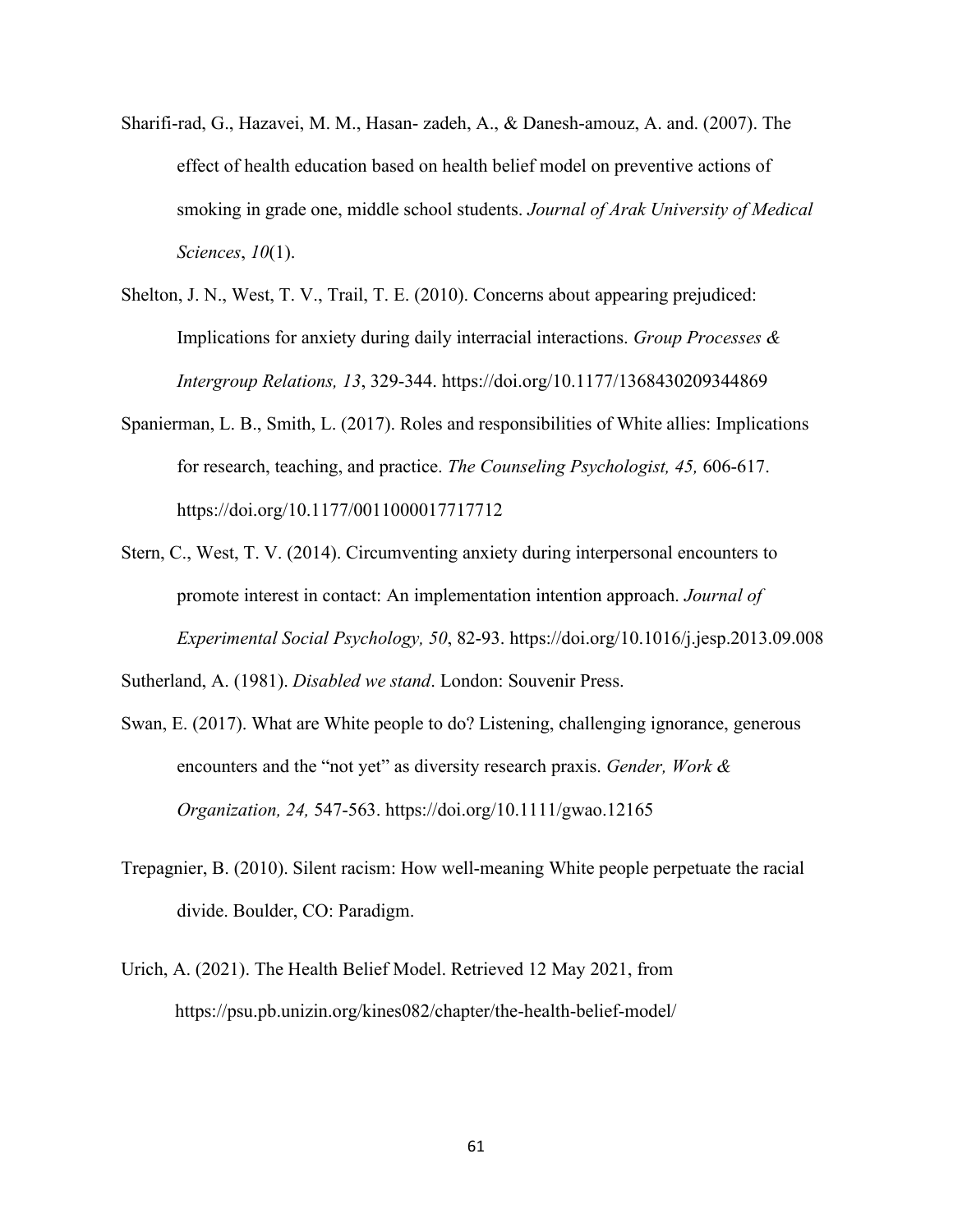- Sharifi-rad, G., Hazavei, M. M., Hasan- zadeh, A., & Danesh-amouz, A. and. (2007). The effect of health education based on health belief model on preventive actions of smoking in grade one, middle school students. *Journal of Arak University of Medical Sciences*, *10*(1).
- Shelton, J. N., West, T. V., Trail, T. E. (2010). Concerns about appearing prejudiced: Implications for anxiety during daily interracial interactions. *Group Processes & Intergroup Relations, 13*, 329-344. https://doi.org/10.1177/1368430209344869
- Spanierman, L. B., Smith, L. (2017). Roles and responsibilities of White allies: Implications for research, teaching, and practice. *The Counseling Psychologist, 45,* 606-617. https://doi.org/10.1177/0011000017717712
- Stern, C., West, T. V. (2014). Circumventing anxiety during interpersonal encounters to promote interest in contact: An implementation intention approach. *Journal of Experimental Social Psychology, 50*, 82-93. https://doi.org/10.1016/j.jesp.2013.09.008

Sutherland, A. (1981). *Disabled we stand*. London: Souvenir Press.

- Swan, E. (2017). What are White people to do? Listening, challenging ignorance, generous encounters and the "not yet" as diversity research praxis. *Gender, Work & Organization, 24,* 547-563. https://doi.org/10.1111/gwao.12165
- Trepagnier, B. (2010). Silent racism: How well-meaning White people perpetuate the racial divide. Boulder, CO: Paradigm.
- Urich, A. (2021). The Health Belief Model. Retrieved 12 May 2021, from https://psu.pb.unizin.org/kines082/chapter/the-health-belief-model/